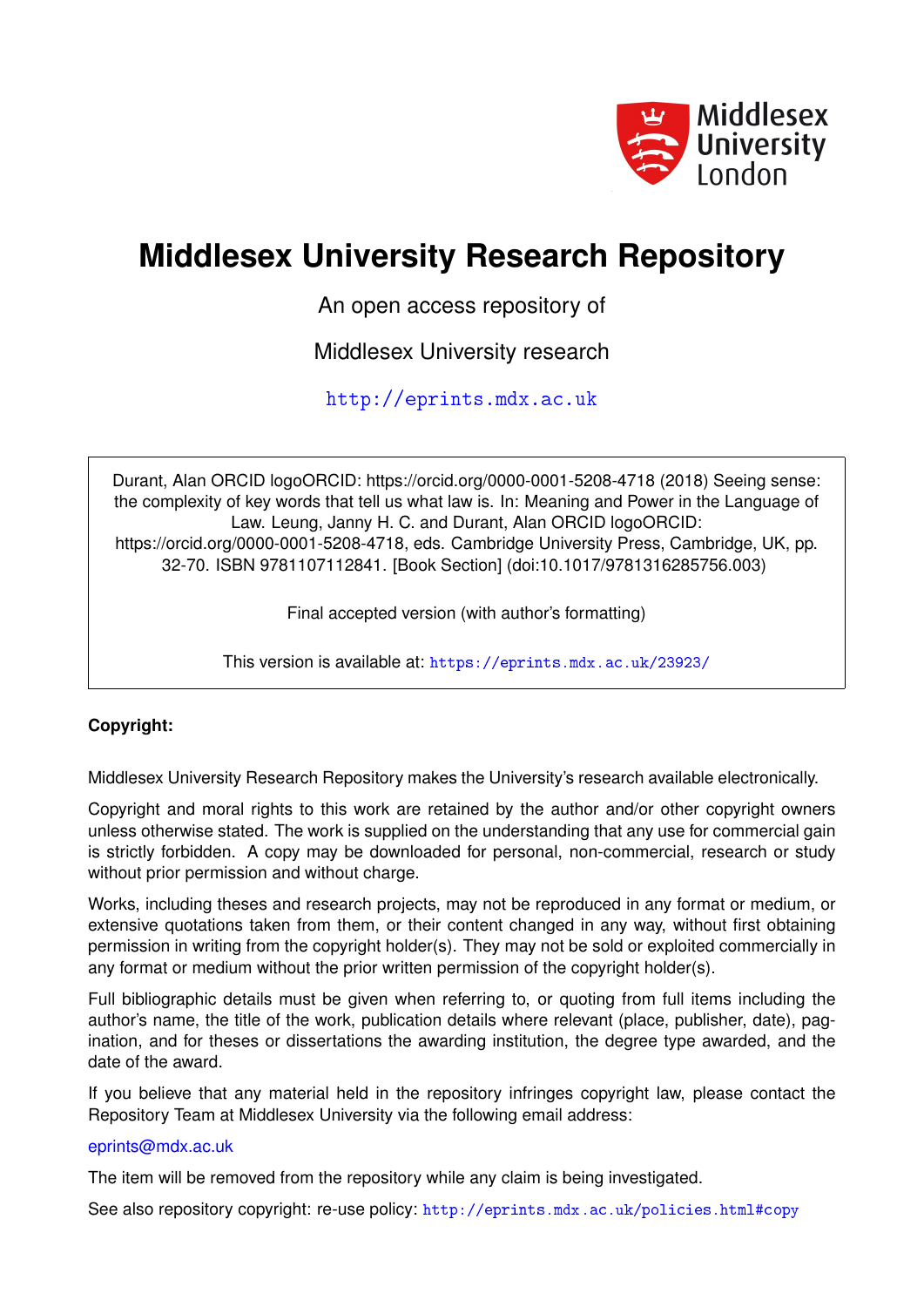

# **Middlesex University Research Repository**

An open access repository of

Middlesex University research

<http://eprints.mdx.ac.uk>

Durant, Alan ORCID logoORCID: https://orcid.org/0000-0001-5208-4718 (2018) Seeing sense: the complexity of key words that tell us what law is. In: Meaning and Power in the Language of Law. Leung, Janny H. C. and Durant, Alan ORCID logoORCID: https://orcid.org/0000-0001-5208-4718, eds. Cambridge University Press, Cambridge, UK, pp. 32-70. ISBN 9781107112841. [Book Section] (doi:10.1017/9781316285756.003)

Final accepted version (with author's formatting)

This version is available at: <https://eprints.mdx.ac.uk/23923/>

#### **Copyright:**

Middlesex University Research Repository makes the University's research available electronically.

Copyright and moral rights to this work are retained by the author and/or other copyright owners unless otherwise stated. The work is supplied on the understanding that any use for commercial gain is strictly forbidden. A copy may be downloaded for personal, non-commercial, research or study without prior permission and without charge.

Works, including theses and research projects, may not be reproduced in any format or medium, or extensive quotations taken from them, or their content changed in any way, without first obtaining permission in writing from the copyright holder(s). They may not be sold or exploited commercially in any format or medium without the prior written permission of the copyright holder(s).

Full bibliographic details must be given when referring to, or quoting from full items including the author's name, the title of the work, publication details where relevant (place, publisher, date), pagination, and for theses or dissertations the awarding institution, the degree type awarded, and the date of the award.

If you believe that any material held in the repository infringes copyright law, please contact the Repository Team at Middlesex University via the following email address:

#### [eprints@mdx.ac.uk](mailto:eprints@mdx.ac.uk)

The item will be removed from the repository while any claim is being investigated.

See also repository copyright: re-use policy: <http://eprints.mdx.ac.uk/policies.html#copy>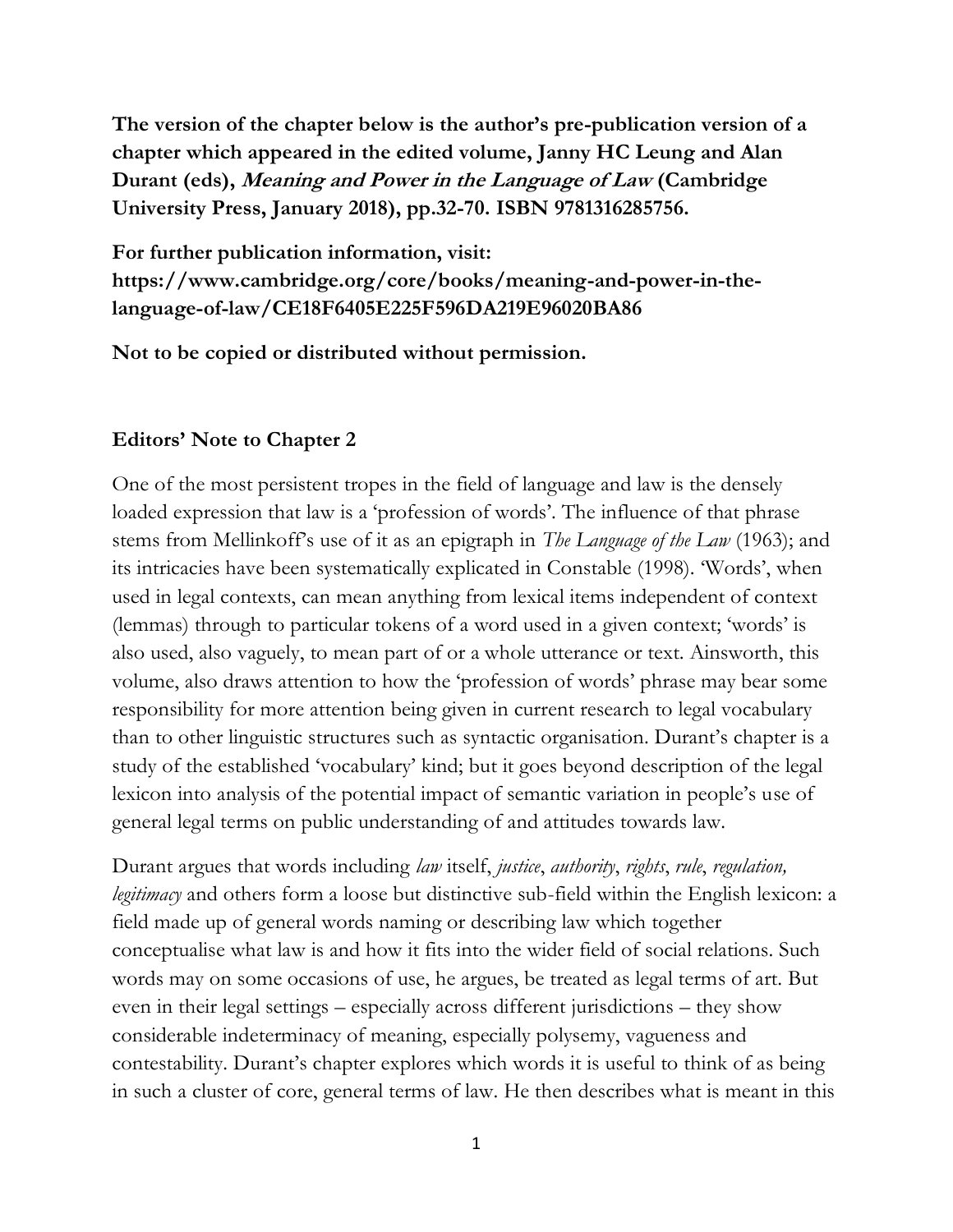**The version of the chapter below is the author's pre-publication version of a chapter which appeared in the edited volume, Janny HC Leung and Alan Durant (eds), Meaning and Power in the Language of Law (Cambridge University Press, January 2018), pp.32-70. ISBN 9781316285756.**

**For further publication information, visit: https://www.cambridge.org/core/books/meaning-and-power-in-thelanguage-of-law/CE18F6405E225F596DA219E96020BA86**

**Not to be copied or distributed without permission.** 

# **Editors' Note to Chapter 2**

One of the most persistent tropes in the field of language and law is the densely loaded expression that law is a 'profession of words'. The influence of that phrase stems from Mellinkoff's use of it as an epigraph in *The Language of the Law* (1963); and its intricacies have been systematically explicated in Constable (1998). 'Words', when used in legal contexts, can mean anything from lexical items independent of context (lemmas) through to particular tokens of a word used in a given context; 'words' is also used, also vaguely, to mean part of or a whole utterance or text. Ainsworth, this volume, also draws attention to how the 'profession of words' phrase may bear some responsibility for more attention being given in current research to legal vocabulary than to other linguistic structures such as syntactic organisation. Durant's chapter is a study of the established 'vocabulary' kind; but it goes beyond description of the legal lexicon into analysis of the potential impact of semantic variation in people's use of general legal terms on public understanding of and attitudes towards law.

Durant argues that words including *law* itself, *justice*, *authority*, *rights*, *rule*, *regulation, legitimacy* and others form a loose but distinctive sub-field within the English lexicon: a field made up of general words naming or describing law which together conceptualise what law is and how it fits into the wider field of social relations. Such words may on some occasions of use, he argues, be treated as legal terms of art. But even in their legal settings – especially across different jurisdictions – they show considerable indeterminacy of meaning, especially polysemy, vagueness and contestability. Durant's chapter explores which words it is useful to think of as being in such a cluster of core, general terms of law. He then describes what is meant in this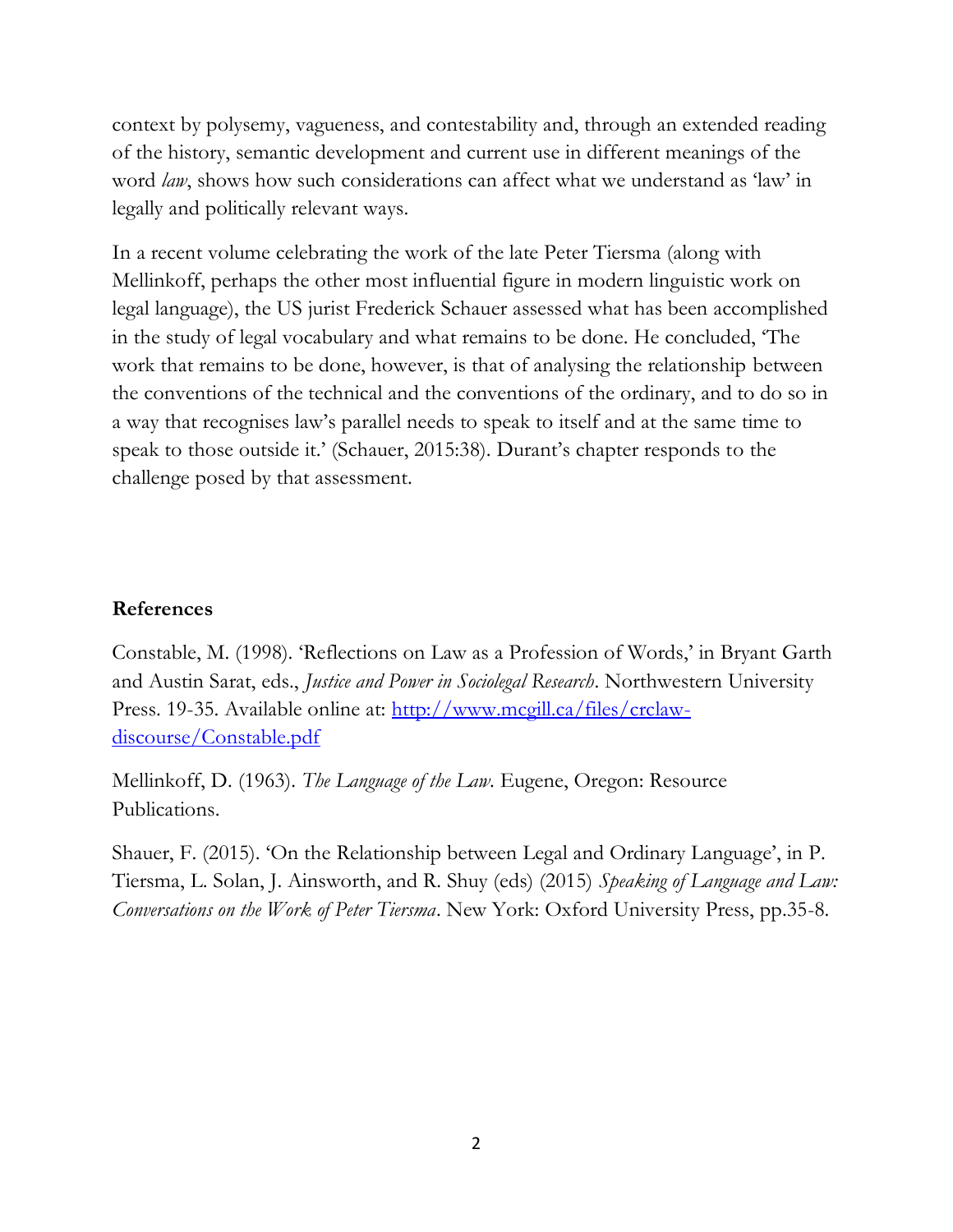context by polysemy, vagueness, and contestability and, through an extended reading of the history, semantic development and current use in different meanings of the word *law*, shows how such considerations can affect what we understand as 'law' in legally and politically relevant ways.

In a recent volume celebrating the work of the late Peter Tiersma (along with Mellinkoff, perhaps the other most influential figure in modern linguistic work on legal language), the US jurist Frederick Schauer assessed what has been accomplished in the study of legal vocabulary and what remains to be done. He concluded, 'The work that remains to be done, however, is that of analysing the relationship between the conventions of the technical and the conventions of the ordinary, and to do so in a way that recognises law's parallel needs to speak to itself and at the same time to speak to those outside it.' (Schauer, 2015:38). Durant's chapter responds to the challenge posed by that assessment.

#### **References**

Constable, M. (1998). 'Reflections on Law as a Profession of Words,' in Bryant Garth and Austin Sarat, eds., *Justice and Power in Sociolegal Research*. Northwestern University Press. 19-35. Available online at: [http://www.mcgill.ca/files/crclaw](http://www.mcgill.ca/files/crclaw-discourse/Constable.pdf)[discourse/Constable.pdf](http://www.mcgill.ca/files/crclaw-discourse/Constable.pdf)

Mellinkoff, D. (1963). *The Language of the Law*. Eugene, Oregon: Resource Publications.

Shauer, F. (2015). 'On the Relationship between Legal and Ordinary Language', in P. Tiersma, L. Solan, J. Ainsworth, and R. Shuy (eds) (2015) *Speaking of Language and Law: Conversations on the Work of Peter Tiersma*. New York: Oxford University Press, pp.35-8.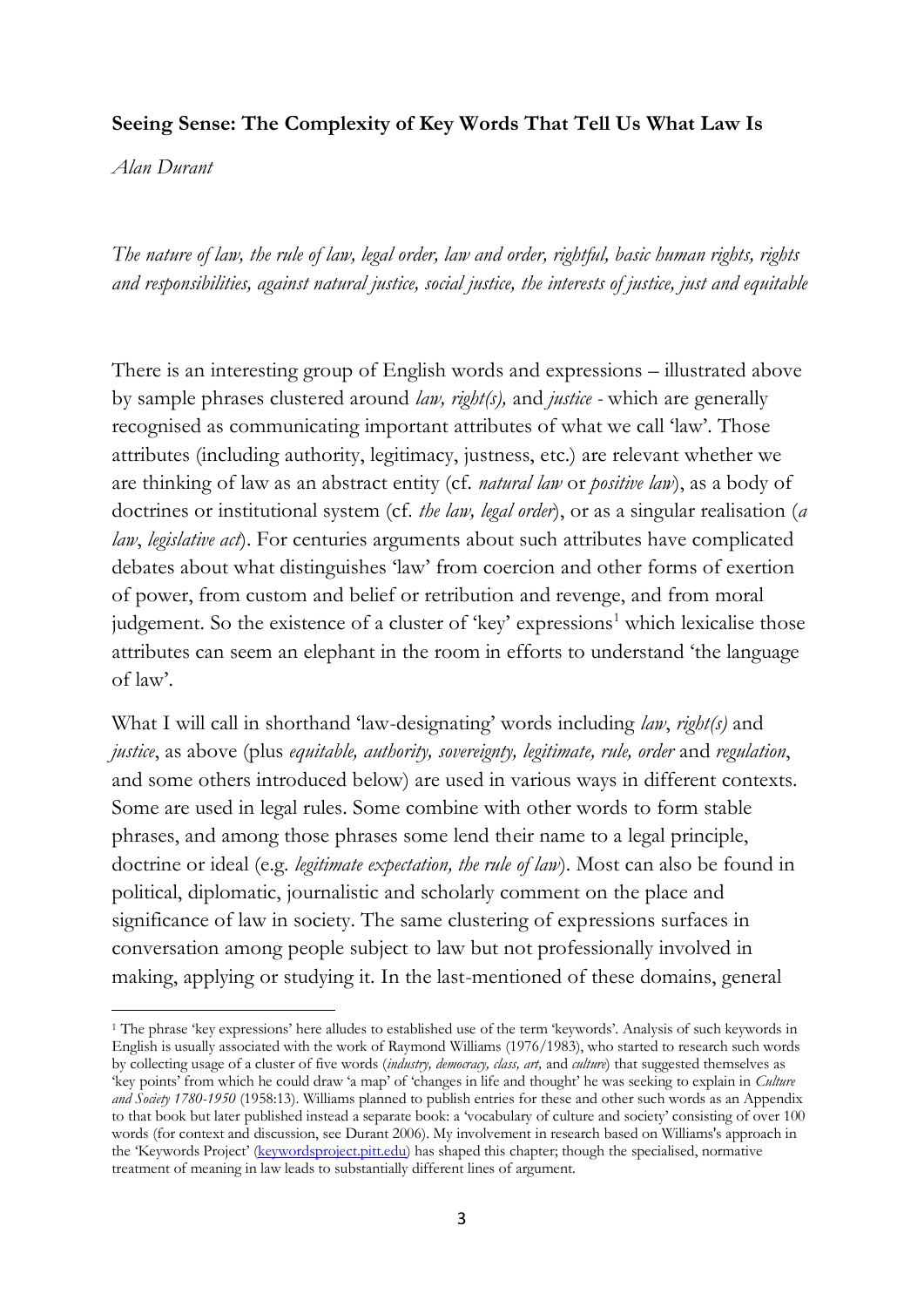#### **Seeing Sense: The Complexity of Key Words That Tell Us What Law Is**

*Alan Durant*

-

*The nature of law, the rule of law, legal order, law and order, rightful, basic human rights, rights and responsibilities, against natural justice, social justice, the interests of justice, just and equitable* 

There is an interesting group of English words and expressions – illustrated above by sample phrases clustered around *law, right(s),* and *justice -* which are generally recognised as communicating important attributes of what we call 'law'. Those attributes (including authority, legitimacy, justness, etc.) are relevant whether we are thinking of law as an abstract entity (cf. *natural law* or *positive law*), as a body of doctrines or institutional system (cf. *the law, legal order*), or as a singular realisation (*a law*, *legislative act*). For centuries arguments about such attributes have complicated debates about what distinguishes 'law' from coercion and other forms of exertion of power, from custom and belief or retribution and revenge, and from moral judgement. So the existence of a cluster of 'key' expressions<sup>1</sup> which lexicalise those attributes can seem an elephant in the room in efforts to understand 'the language of law'.

What I will call in shorthand 'law-designating' words including *law*, *right(s)* and *justice*, as above (plus *equitable, authority, sovereignty, legitimate, rule, order* and *regulation*, and some others introduced below) are used in various ways in different contexts. Some are used in legal rules. Some combine with other words to form stable phrases, and among those phrases some lend their name to a legal principle, doctrine or ideal (e.g. *legitimate expectation, the rule of law*). Most can also be found in political, diplomatic, journalistic and scholarly comment on the place and significance of law in society. The same clustering of expressions surfaces in conversation among people subject to law but not professionally involved in making, applying or studying it. In the last-mentioned of these domains, general

<sup>1</sup> The phrase 'key expressions' here alludes to established use of the term 'keywords'. Analysis of such keywords in English is usually associated with the work of Raymond Williams (1976/1983), who started to research such words by collecting usage of a cluster of five words (*industry, democracy, class, art,* and *culture*) that suggested themselves as 'key points' from which he could draw 'a map' of 'changes in life and thought' he was seeking to explain in *Culture and Society 1780-1950* (1958:13). Williams planned to publish entries for these and other such words as an Appendix to that book but later published instead a separate book: a 'vocabulary of culture and society' consisting of over 100 words (for context and discussion, see Durant 2006). My involvement in research based on Williams's approach in the 'Keywords Project' ([keywordsproject.pitt.edu\)](http://keywordsproject.pitt.edu/) has shaped this chapter; though the specialised, normative treatment of meaning in law leads to substantially different lines of argument.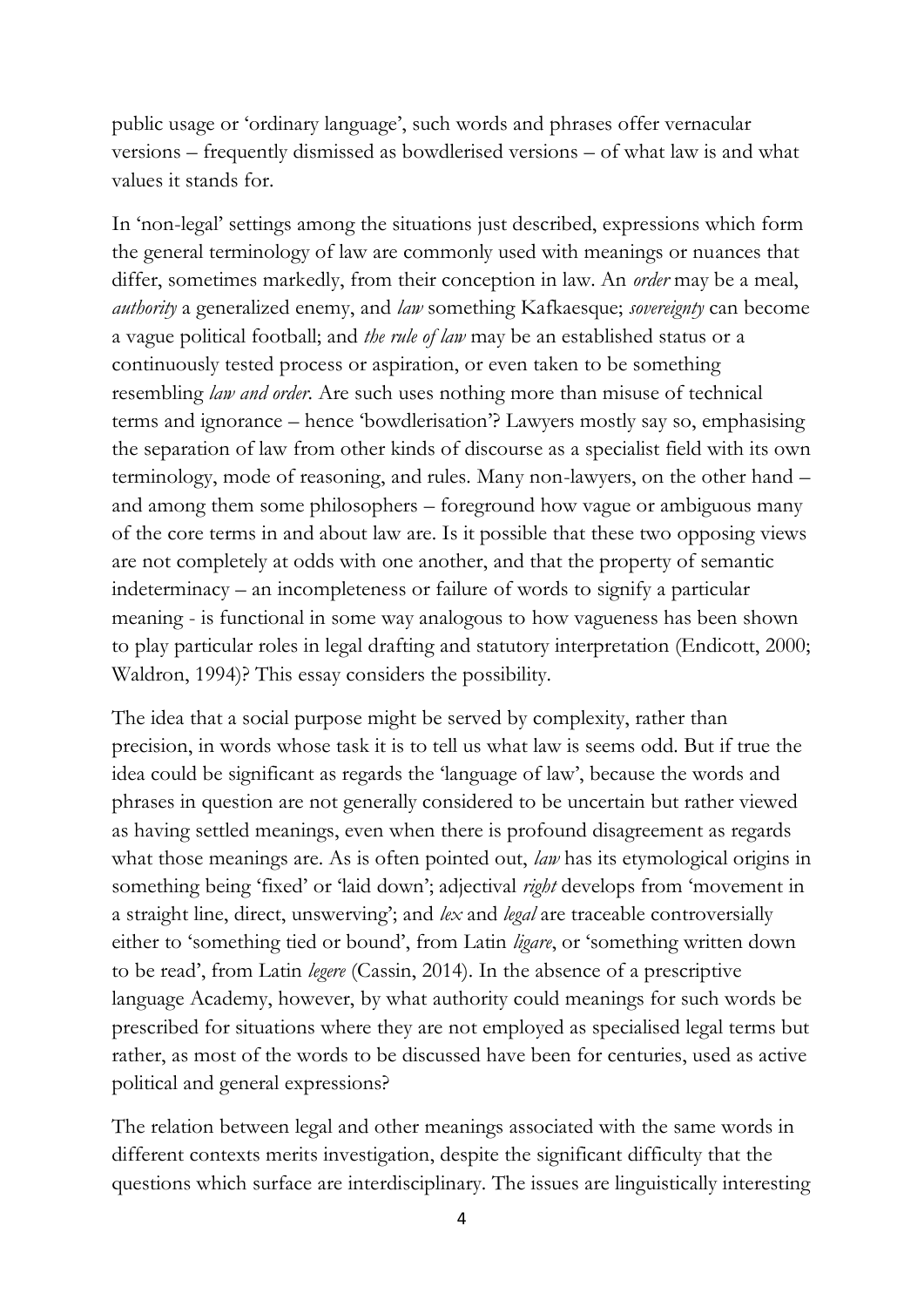public usage or 'ordinary language', such words and phrases offer vernacular versions – frequently dismissed as bowdlerised versions – of what law is and what values it stands for.

In 'non-legal' settings among the situations just described, expressions which form the general terminology of law are commonly used with meanings or nuances that differ, sometimes markedly, from their conception in law. An *order* may be a meal, *authority* a generalized enemy, and *law* something Kafkaesque; *sovereignty* can become a vague political football; and *the rule of law* may be an established status or a continuously tested process or aspiration, or even taken to be something resembling *law and order*. Are such uses nothing more than misuse of technical terms and ignorance – hence 'bowdlerisation'? Lawyers mostly say so, emphasising the separation of law from other kinds of discourse as a specialist field with its own terminology, mode of reasoning, and rules. Many non-lawyers, on the other hand – and among them some philosophers – foreground how vague or ambiguous many of the core terms in and about law are. Is it possible that these two opposing views are not completely at odds with one another, and that the property of semantic indeterminacy – an incompleteness or failure of words to signify a particular meaning - is functional in some way analogous to how vagueness has been shown to play particular roles in legal drafting and statutory interpretation (Endicott, 2000; Waldron, 1994)? This essay considers the possibility.

The idea that a social purpose might be served by complexity, rather than precision, in words whose task it is to tell us what law is seems odd. But if true the idea could be significant as regards the 'language of law', because the words and phrases in question are not generally considered to be uncertain but rather viewed as having settled meanings, even when there is profound disagreement as regards what those meanings are. As is often pointed out, *law* has its etymological origins in something being 'fixed' or 'laid down'; adjectival *right* develops from 'movement in a straight line, direct, unswerving'; and *lex* and *legal* are traceable controversially either to 'something tied or bound', from Latin *ligare*, or 'something written down to be read', from Latin *legere* (Cassin, 2014). In the absence of a prescriptive language Academy, however, by what authority could meanings for such words be prescribed for situations where they are not employed as specialised legal terms but rather, as most of the words to be discussed have been for centuries, used as active political and general expressions?

The relation between legal and other meanings associated with the same words in different contexts merits investigation, despite the significant difficulty that the questions which surface are interdisciplinary. The issues are linguistically interesting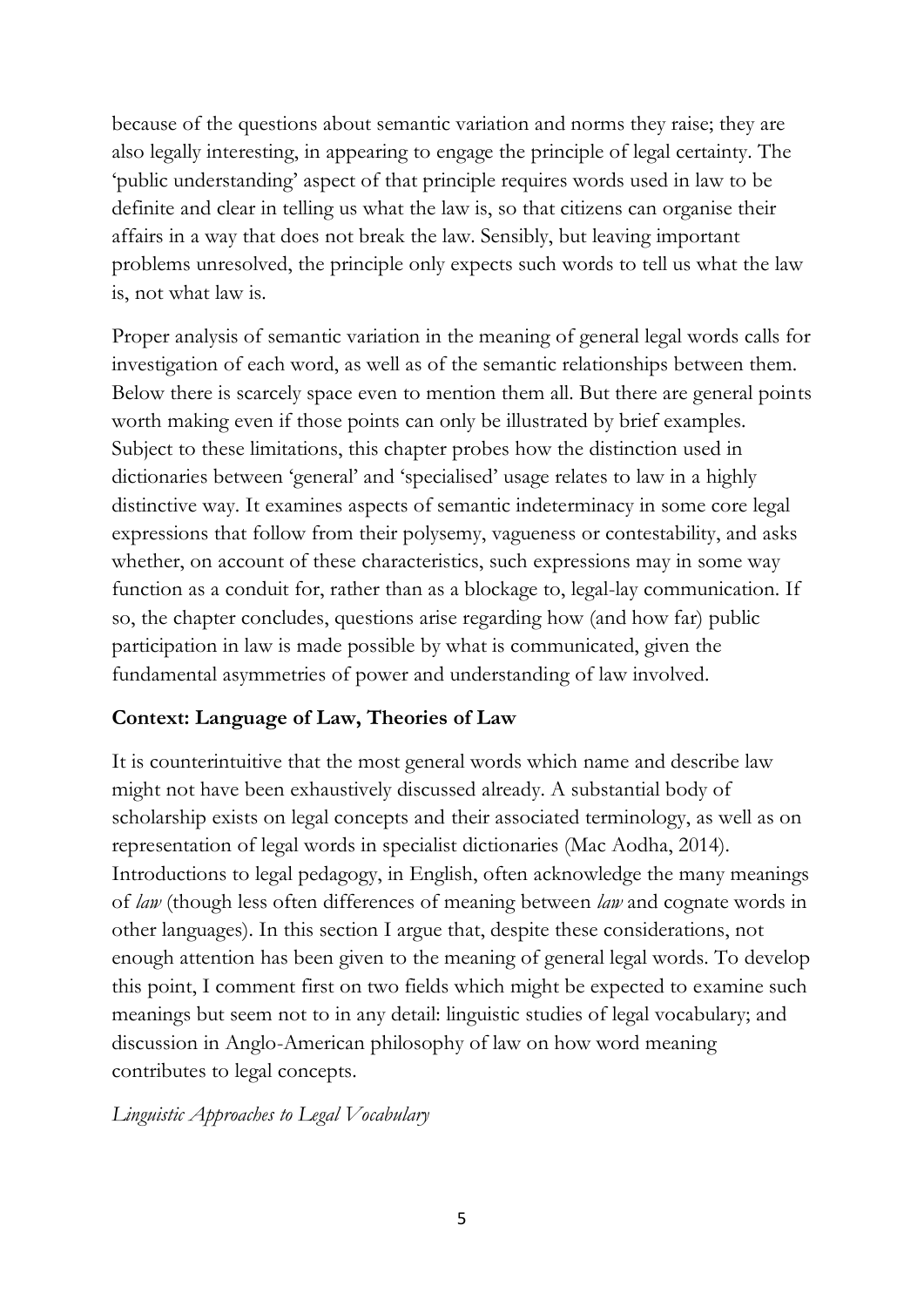because of the questions about semantic variation and norms they raise; they are also legally interesting, in appearing to engage the principle of legal certainty. The 'public understanding' aspect of that principle requires words used in law to be definite and clear in telling us what the law is, so that citizens can organise their affairs in a way that does not break the law. Sensibly, but leaving important problems unresolved, the principle only expects such words to tell us what the law is, not what law is.

Proper analysis of semantic variation in the meaning of general legal words calls for investigation of each word, as well as of the semantic relationships between them. Below there is scarcely space even to mention them all. But there are general points worth making even if those points can only be illustrated by brief examples. Subject to these limitations, this chapter probes how the distinction used in dictionaries between 'general' and 'specialised' usage relates to law in a highly distinctive way. It examines aspects of semantic indeterminacy in some core legal expressions that follow from their polysemy, vagueness or contestability, and asks whether, on account of these characteristics, such expressions may in some way function as a conduit for, rather than as a blockage to, legal-lay communication. If so, the chapter concludes, questions arise regarding how (and how far) public participation in law is made possible by what is communicated, given the fundamental asymmetries of power and understanding of law involved.

# **Context: Language of Law, Theories of Law**

It is counterintuitive that the most general words which name and describe law might not have been exhaustively discussed already. A substantial body of scholarship exists on legal concepts and their associated terminology, as well as on representation of legal words in specialist dictionaries (Mac Aodha, 2014). Introductions to legal pedagogy, in English, often acknowledge the many meanings of *law* (though less often differences of meaning between *law* and cognate words in other languages). In this section I argue that, despite these considerations, not enough attention has been given to the meaning of general legal words. To develop this point, I comment first on two fields which might be expected to examine such meanings but seem not to in any detail: linguistic studies of legal vocabulary; and discussion in Anglo-American philosophy of law on how word meaning contributes to legal concepts.

# *Linguistic Approaches to Legal Vocabulary*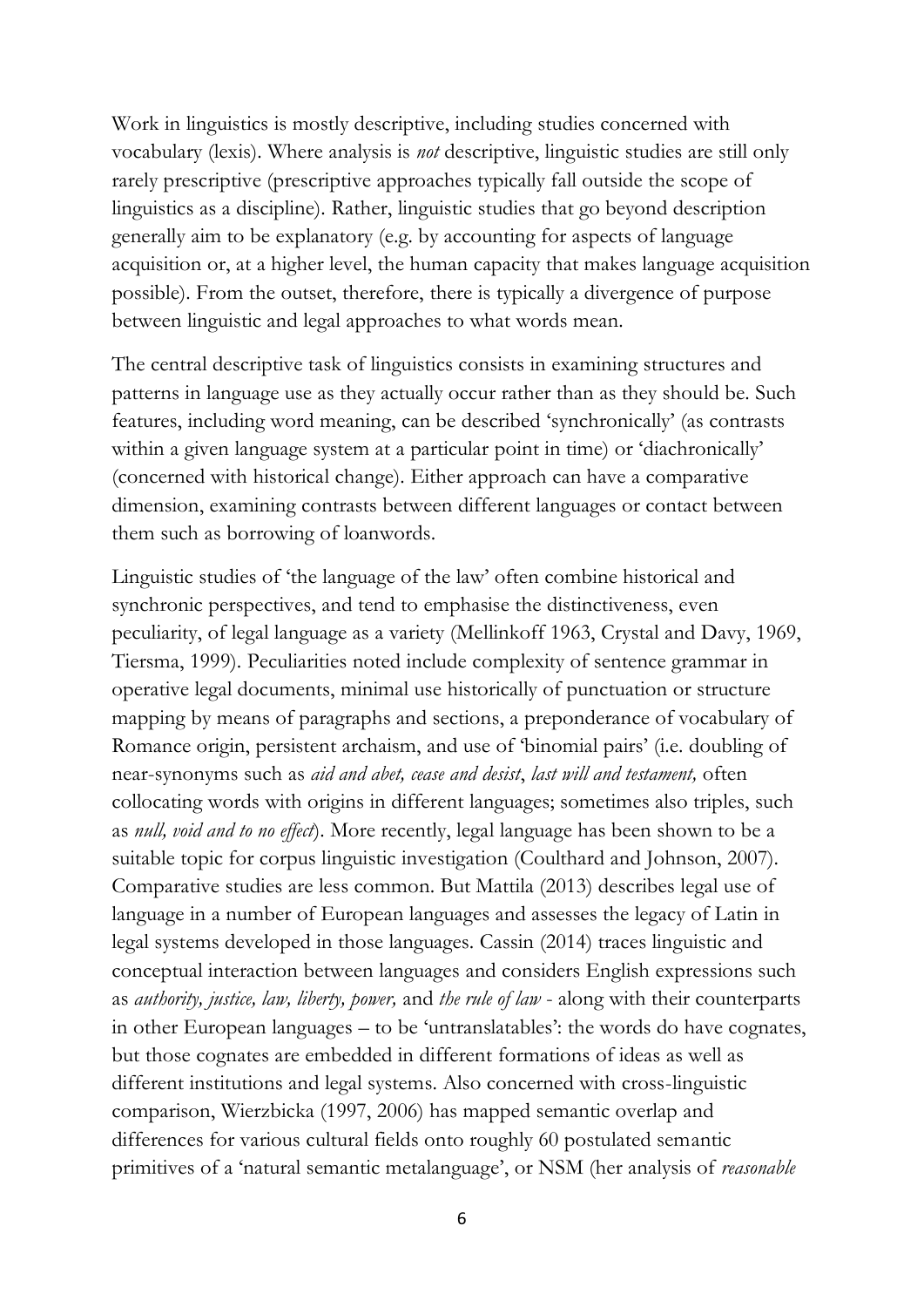Work in linguistics is mostly descriptive, including studies concerned with vocabulary (lexis). Where analysis is *not* descriptive, linguistic studies are still only rarely prescriptive (prescriptive approaches typically fall outside the scope of linguistics as a discipline). Rather, linguistic studies that go beyond description generally aim to be explanatory (e.g. by accounting for aspects of language acquisition or, at a higher level, the human capacity that makes language acquisition possible). From the outset, therefore, there is typically a divergence of purpose between linguistic and legal approaches to what words mean.

The central descriptive task of linguistics consists in examining structures and patterns in language use as they actually occur rather than as they should be. Such features, including word meaning, can be described 'synchronically' (as contrasts within a given language system at a particular point in time) or 'diachronically' (concerned with historical change). Either approach can have a comparative dimension, examining contrasts between different languages or contact between them such as borrowing of loanwords.

Linguistic studies of 'the language of the law' often combine historical and synchronic perspectives, and tend to emphasise the distinctiveness, even peculiarity, of legal language as a variety (Mellinkoff 1963, Crystal and Davy, 1969, Tiersma, 1999). Peculiarities noted include complexity of sentence grammar in operative legal documents, minimal use historically of punctuation or structure mapping by means of paragraphs and sections, a preponderance of vocabulary of Romance origin, persistent archaism, and use of 'binomial pairs' (i.e. doubling of near-synonyms such as *aid and abet, cease and desist*, *last will and testament,* often collocating words with origins in different languages; sometimes also triples, such as *null, void and to no effect*). More recently, legal language has been shown to be a suitable topic for corpus linguistic investigation (Coulthard and Johnson, 2007). Comparative studies are less common. But Mattila (2013) describes legal use of language in a number of European languages and assesses the legacy of Latin in legal systems developed in those languages. Cassin (2014) traces linguistic and conceptual interaction between languages and considers English expressions such as *authority, justice, law, liberty, power,* and *the rule of law* - along with their counterparts in other European languages – to be 'untranslatables': the words do have cognates, but those cognates are embedded in different formations of ideas as well as different institutions and legal systems. Also concerned with cross-linguistic comparison, Wierzbicka (1997, 2006) has mapped semantic overlap and differences for various cultural fields onto roughly 60 postulated semantic primitives of a 'natural semantic metalanguage', or NSM (her analysis of *reasonable*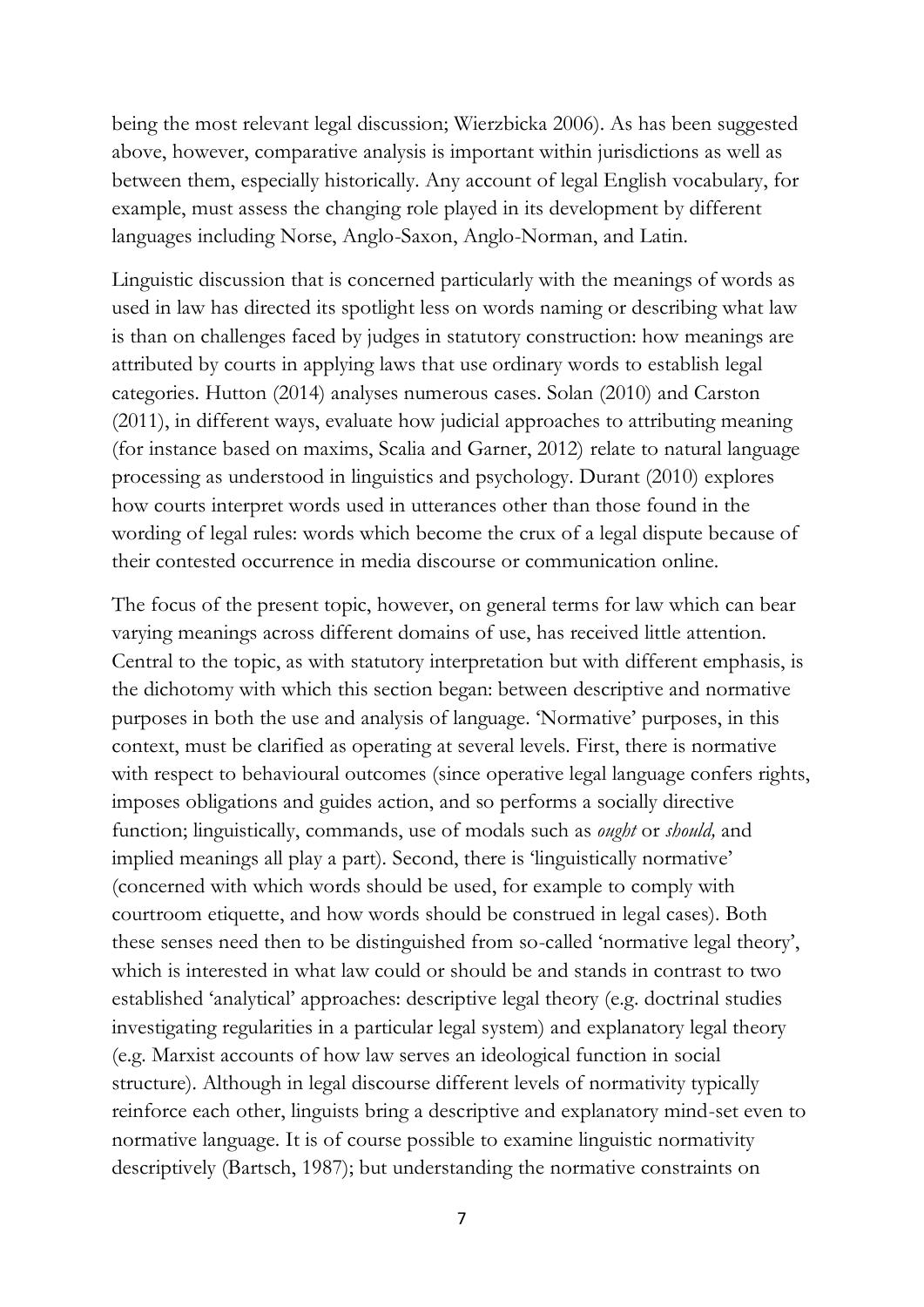being the most relevant legal discussion; Wierzbicka 2006). As has been suggested above, however, comparative analysis is important within jurisdictions as well as between them, especially historically. Any account of legal English vocabulary, for example, must assess the changing role played in its development by different languages including Norse, Anglo-Saxon, Anglo-Norman, and Latin.

Linguistic discussion that is concerned particularly with the meanings of words as used in law has directed its spotlight less on words naming or describing what law is than on challenges faced by judges in statutory construction: how meanings are attributed by courts in applying laws that use ordinary words to establish legal categories. Hutton (2014) analyses numerous cases. Solan (2010) and Carston (2011), in different ways, evaluate how judicial approaches to attributing meaning (for instance based on maxims, Scalia and Garner, 2012) relate to natural language processing as understood in linguistics and psychology. Durant (2010) explores how courts interpret words used in utterances other than those found in the wording of legal rules: words which become the crux of a legal dispute because of their contested occurrence in media discourse or communication online.

The focus of the present topic, however, on general terms for law which can bear varying meanings across different domains of use, has received little attention. Central to the topic, as with statutory interpretation but with different emphasis, is the dichotomy with which this section began: between descriptive and normative purposes in both the use and analysis of language. 'Normative' purposes, in this context, must be clarified as operating at several levels. First, there is normative with respect to behavioural outcomes (since operative legal language confers rights, imposes obligations and guides action, and so performs a socially directive function; linguistically, commands, use of modals such as *ought* or *should,* and implied meanings all play a part). Second, there is 'linguistically normative' (concerned with which words should be used, for example to comply with courtroom etiquette, and how words should be construed in legal cases). Both these senses need then to be distinguished from so-called 'normative legal theory', which is interested in what law could or should be and stands in contrast to two established 'analytical' approaches: descriptive legal theory (e.g. doctrinal studies investigating regularities in a particular legal system) and explanatory legal theory (e.g. Marxist accounts of how law serves an ideological function in social structure). Although in legal discourse different levels of normativity typically reinforce each other, linguists bring a descriptive and explanatory mind-set even to normative language. It is of course possible to examine linguistic normativity descriptively (Bartsch, 1987); but understanding the normative constraints on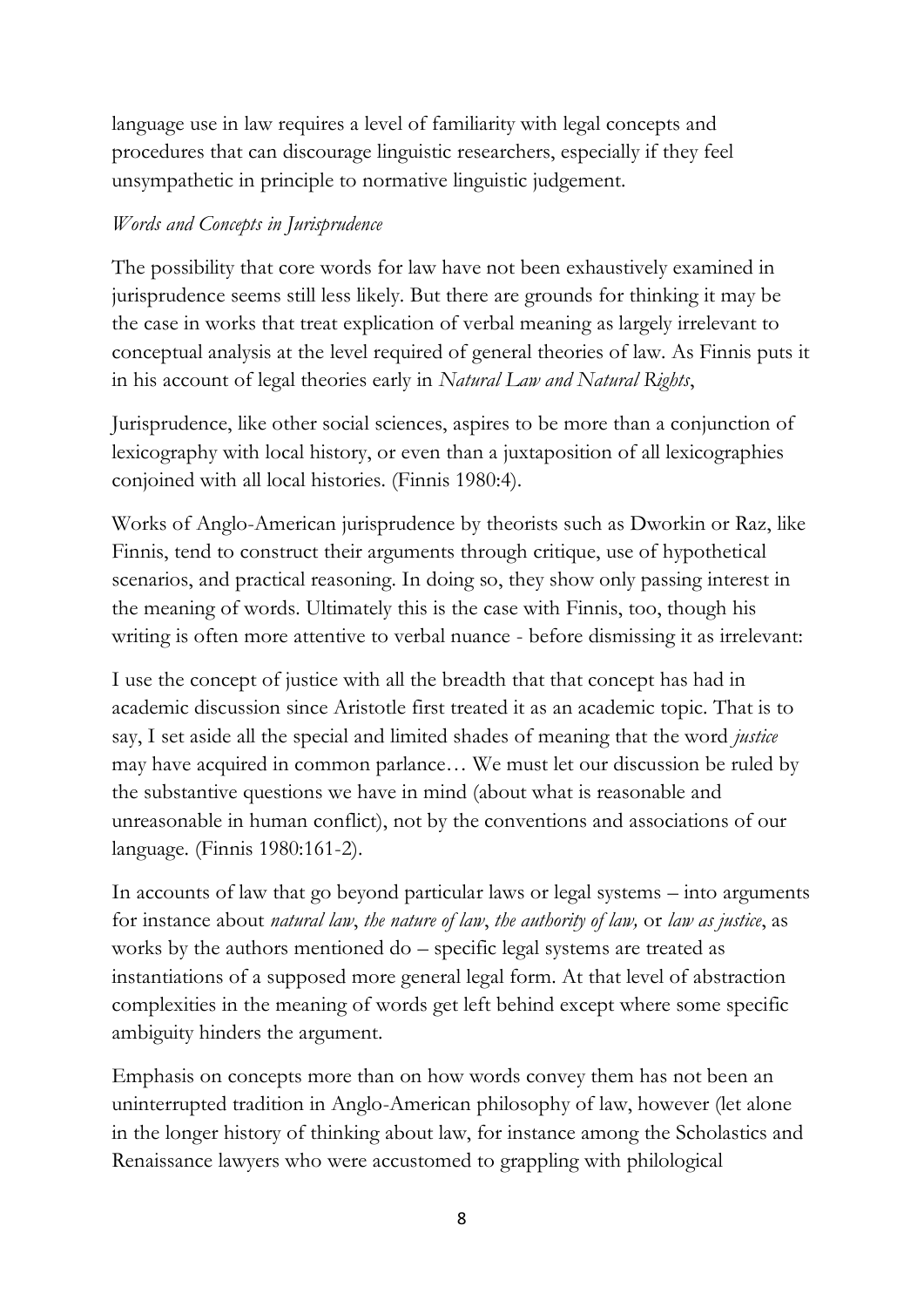language use in law requires a level of familiarity with legal concepts and procedures that can discourage linguistic researchers, especially if they feel unsympathetic in principle to normative linguistic judgement.

#### *Words and Concepts in Jurisprudence*

The possibility that core words for law have not been exhaustively examined in jurisprudence seems still less likely. But there are grounds for thinking it may be the case in works that treat explication of verbal meaning as largely irrelevant to conceptual analysis at the level required of general theories of law. As Finnis puts it in his account of legal theories early in *Natural Law and Natural Rights*,

Jurisprudence, like other social sciences, aspires to be more than a conjunction of lexicography with local history, or even than a juxtaposition of all lexicographies conjoined with all local histories. (Finnis 1980:4).

Works of Anglo-American jurisprudence by theorists such as Dworkin or Raz, like Finnis, tend to construct their arguments through critique, use of hypothetical scenarios, and practical reasoning. In doing so, they show only passing interest in the meaning of words. Ultimately this is the case with Finnis, too, though his writing is often more attentive to verbal nuance - before dismissing it as irrelevant:

I use the concept of justice with all the breadth that that concept has had in academic discussion since Aristotle first treated it as an academic topic. That is to say, I set aside all the special and limited shades of meaning that the word *justice* may have acquired in common parlance… We must let our discussion be ruled by the substantive questions we have in mind (about what is reasonable and unreasonable in human conflict), not by the conventions and associations of our language. (Finnis 1980:161-2).

In accounts of law that go beyond particular laws or legal systems – into arguments for instance about *natural law*, *the nature of law*, *the authority of law,* or *law as justice*, as works by the authors mentioned do – specific legal systems are treated as instantiations of a supposed more general legal form. At that level of abstraction complexities in the meaning of words get left behind except where some specific ambiguity hinders the argument.

Emphasis on concepts more than on how words convey them has not been an uninterrupted tradition in Anglo-American philosophy of law, however (let alone in the longer history of thinking about law, for instance among the Scholastics and Renaissance lawyers who were accustomed to grappling with philological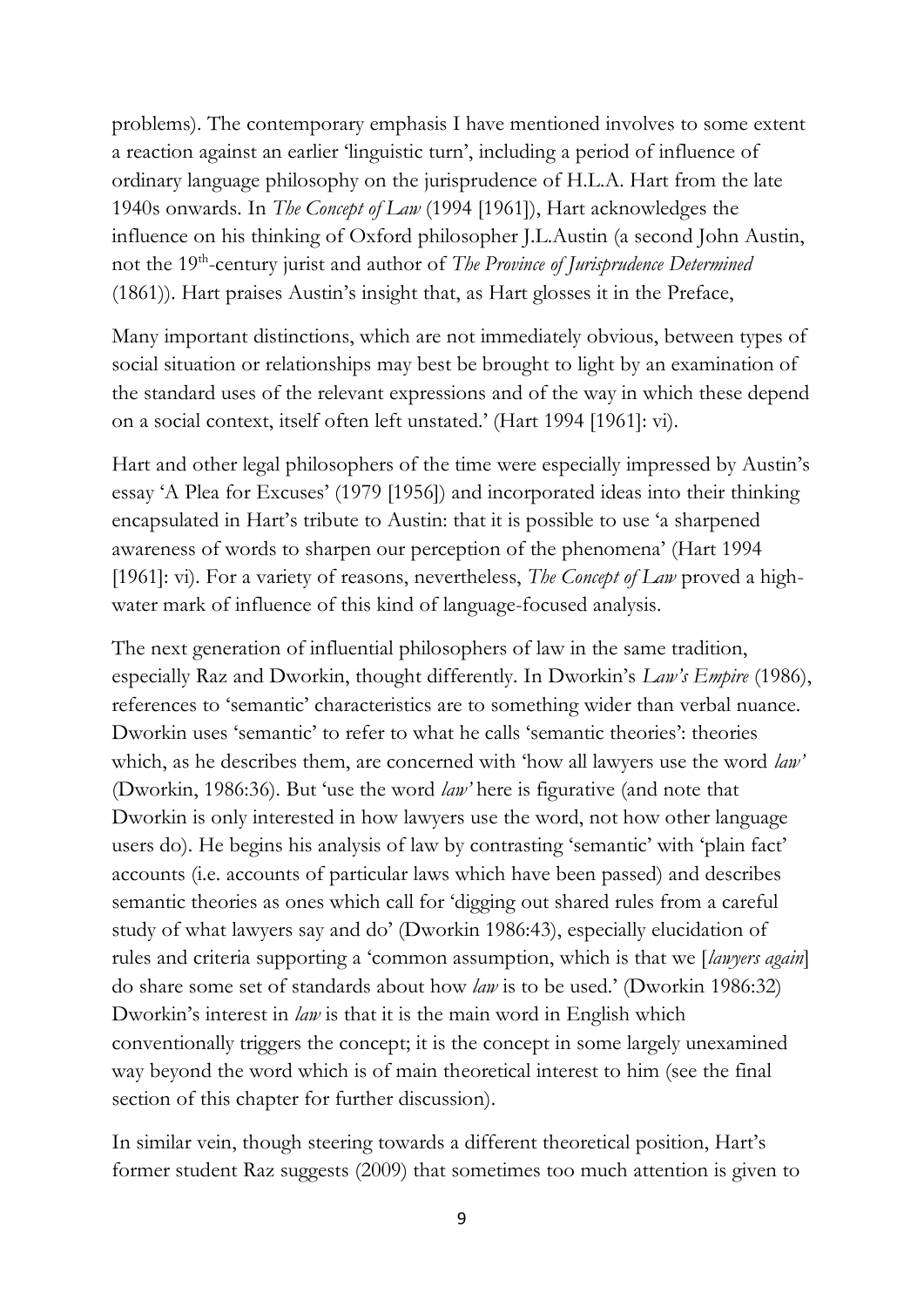problems). The contemporary emphasis I have mentioned involves to some extent a reaction against an earlier 'linguistic turn', including a period of influence of ordinary language philosophy on the jurisprudence of H.L.A. Hart from the late 1940s onwards. In *The Concept of Law* (1994 [1961]), Hart acknowledges the influence on his thinking of Oxford philosopher J.L.Austin (a second John Austin, not the 19<sup>th</sup>-century jurist and author of *The Province of Jurisprudence Determined* (1861)). Hart praises Austin's insight that, as Hart glosses it in the Preface,

Many important distinctions, which are not immediately obvious, between types of social situation or relationships may best be brought to light by an examination of the standard uses of the relevant expressions and of the way in which these depend on a social context, itself often left unstated.' (Hart 1994 [1961]: vi).

Hart and other legal philosophers of the time were especially impressed by Austin's essay 'A Plea for Excuses' (1979 [1956]) and incorporated ideas into their thinking encapsulated in Hart's tribute to Austin: that it is possible to use 'a sharpened awareness of words to sharpen our perception of the phenomena' (Hart 1994 [1961]: vi). For a variety of reasons, nevertheless, *The Concept of Law* proved a highwater mark of influence of this kind of language-focused analysis.

The next generation of influential philosophers of law in the same tradition, especially Raz and Dworkin, thought differently. In Dworkin's *Law's Empire* (1986), references to 'semantic' characteristics are to something wider than verbal nuance. Dworkin uses 'semantic' to refer to what he calls 'semantic theories': theories which, as he describes them, are concerned with 'how all lawyers use the word *law'* (Dworkin, 1986:36). But 'use the word *law'* here is figurative (and note that Dworkin is only interested in how lawyers use the word, not how other language users do). He begins his analysis of law by contrasting 'semantic' with 'plain fact' accounts (i.e. accounts of particular laws which have been passed) and describes semantic theories as ones which call for 'digging out shared rules from a careful study of what lawyers say and do' (Dworkin 1986:43), especially elucidation of rules and criteria supporting a 'common assumption, which is that we [*lawyers again*] do share some set of standards about how *law* is to be used.' (Dworkin 1986:32) Dworkin's interest in *law* is that it is the main word in English which conventionally triggers the concept; it is the concept in some largely unexamined way beyond the word which is of main theoretical interest to him (see the final section of this chapter for further discussion).

In similar vein, though steering towards a different theoretical position, Hart's former student Raz suggests (2009) that sometimes too much attention is given to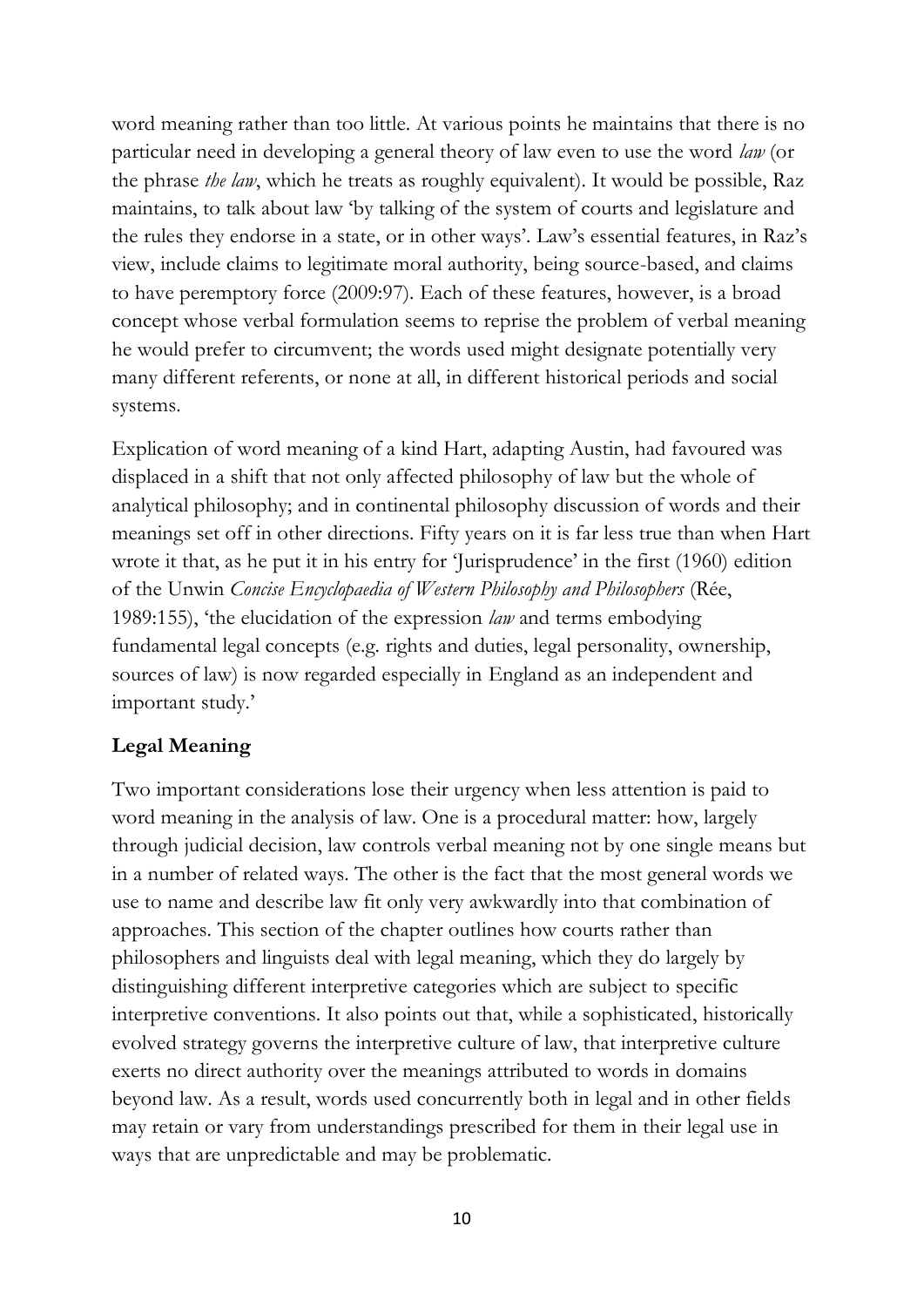word meaning rather than too little. At various points he maintains that there is no particular need in developing a general theory of law even to use the word *law* (or the phrase *the law*, which he treats as roughly equivalent). It would be possible, Raz maintains, to talk about law 'by talking of the system of courts and legislature and the rules they endorse in a state, or in other ways'. Law's essential features, in Raz's view, include claims to legitimate moral authority, being source-based, and claims to have peremptory force (2009:97). Each of these features, however, is a broad concept whose verbal formulation seems to reprise the problem of verbal meaning he would prefer to circumvent; the words used might designate potentially very many different referents, or none at all, in different historical periods and social systems.

Explication of word meaning of a kind Hart, adapting Austin, had favoured was displaced in a shift that not only affected philosophy of law but the whole of analytical philosophy; and in continental philosophy discussion of words and their meanings set off in other directions. Fifty years on it is far less true than when Hart wrote it that, as he put it in his entry for 'Jurisprudence' in the first (1960) edition of the Unwin *Concise Encyclopaedia of Western Philosophy and Philosophers* (Rée, 1989:155), 'the elucidation of the expression *law* and terms embodying fundamental legal concepts (e.g. rights and duties, legal personality, ownership, sources of law) is now regarded especially in England as an independent and important study.'

# **Legal Meaning**

Two important considerations lose their urgency when less attention is paid to word meaning in the analysis of law. One is a procedural matter: how, largely through judicial decision, law controls verbal meaning not by one single means but in a number of related ways. The other is the fact that the most general words we use to name and describe law fit only very awkwardly into that combination of approaches. This section of the chapter outlines how courts rather than philosophers and linguists deal with legal meaning, which they do largely by distinguishing different interpretive categories which are subject to specific interpretive conventions. It also points out that, while a sophisticated, historically evolved strategy governs the interpretive culture of law, that interpretive culture exerts no direct authority over the meanings attributed to words in domains beyond law. As a result, words used concurrently both in legal and in other fields may retain or vary from understandings prescribed for them in their legal use in ways that are unpredictable and may be problematic.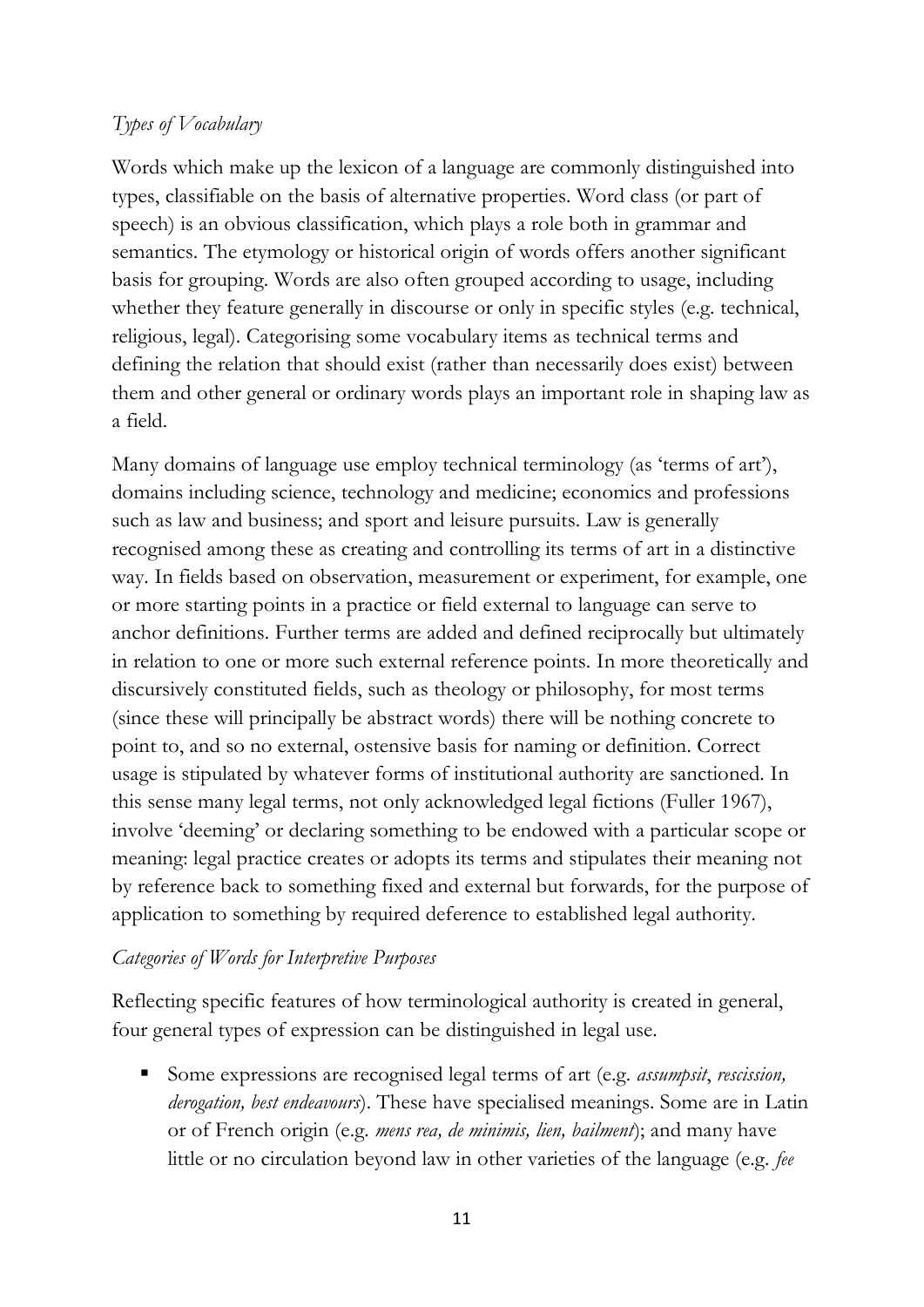# *Types of Vocabulary*

Words which make up the lexicon of a language are commonly distinguished into types, classifiable on the basis of alternative properties. Word class (or part of speech) is an obvious classification, which plays a role both in grammar and semantics. The etymology or historical origin of words offers another significant basis for grouping. Words are also often grouped according to usage, including whether they feature generally in discourse or only in specific styles (e.g. technical, religious, legal). Categorising some vocabulary items as technical terms and defining the relation that should exist (rather than necessarily does exist) between them and other general or ordinary words plays an important role in shaping law as a field.

Many domains of language use employ technical terminology (as 'terms of art'), domains including science, technology and medicine; economics and professions such as law and business; and sport and leisure pursuits. Law is generally recognised among these as creating and controlling its terms of art in a distinctive way. In fields based on observation, measurement or experiment, for example, one or more starting points in a practice or field external to language can serve to anchor definitions. Further terms are added and defined reciprocally but ultimately in relation to one or more such external reference points. In more theoretically and discursively constituted fields, such as theology or philosophy, for most terms (since these will principally be abstract words) there will be nothing concrete to point to, and so no external, ostensive basis for naming or definition. Correct usage is stipulated by whatever forms of institutional authority are sanctioned. In this sense many legal terms, not only acknowledged legal fictions (Fuller 1967), involve 'deeming' or declaring something to be endowed with a particular scope or meaning: legal practice creates or adopts its terms and stipulates their meaning not by reference back to something fixed and external but forwards, for the purpose of application to something by required deference to established legal authority.

# *Categories of Words for Interpretive Purposes*

Reflecting specific features of how terminological authority is created in general, four general types of expression can be distinguished in legal use.

 Some expressions are recognised legal terms of art (e.g. *assumpsit*, *rescission, derogation, best endeavours*). These have specialised meanings. Some are in Latin or of French origin (e.g. *mens rea, de minimis, lien, bailment*); and many have little or no circulation beyond law in other varieties of the language (e.g. *fee*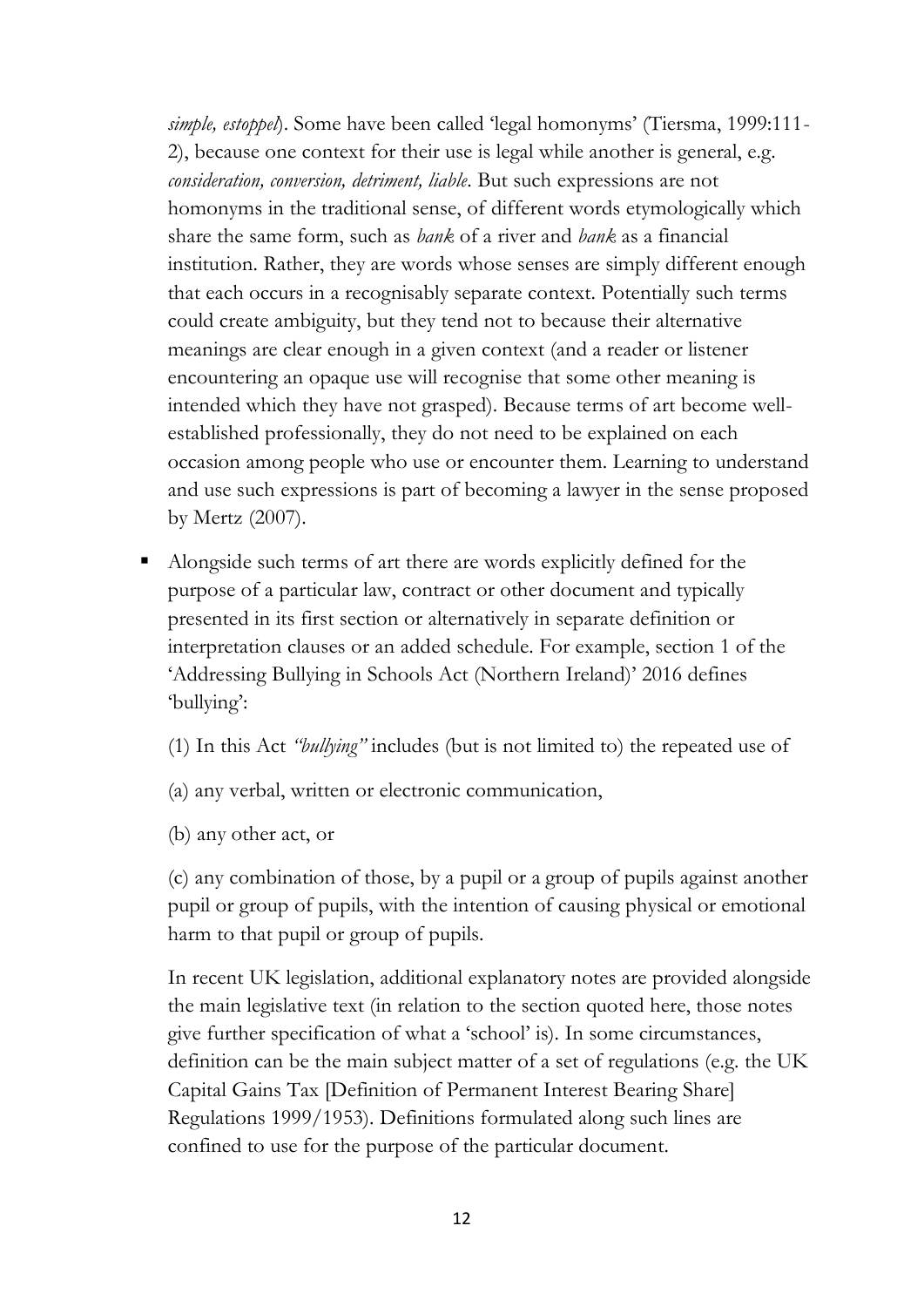*simple, estoppel*). Some have been called 'legal homonyms' (Tiersma, 1999:111- 2), because one context for their use is legal while another is general, e.g. *consideration, conversion, detriment, liable*. But such expressions are not homonyms in the traditional sense, of different words etymologically which share the same form, such as *bank* of a river and *bank* as a financial institution. Rather, they are words whose senses are simply different enough that each occurs in a recognisably separate context. Potentially such terms could create ambiguity, but they tend not to because their alternative meanings are clear enough in a given context (and a reader or listener encountering an opaque use will recognise that some other meaning is intended which they have not grasped). Because terms of art become wellestablished professionally, they do not need to be explained on each occasion among people who use or encounter them. Learning to understand and use such expressions is part of becoming a lawyer in the sense proposed by Mertz (2007).

- Alongside such terms of art there are words explicitly defined for the purpose of a particular law, contract or other document and typically presented in its first section or alternatively in separate definition or interpretation clauses or an added schedule. For example, section 1 of the 'Addressing Bullying in Schools Act (Northern Ireland)' 2016 defines 'bullying':
	- (1) In this Act *"bullying"* includes (but is not limited to) the repeated use of
	- (a) any verbal, written or electronic communication,
	- (b) any other act, or

(c) any combination of those, by a pupil or a group of pupils against another pupil or group of pupils, with the intention of causing physical or emotional harm to that pupil or group of pupils.

In recent UK legislation, additional explanatory notes are provided alongside the main legislative text (in relation to the section quoted here, those notes give further specification of what a 'school' is). In some circumstances, definition can be the main subject matter of a set of regulations (e.g. the UK Capital Gains Tax [Definition of Permanent Interest Bearing Share] Regulations 1999/1953). Definitions formulated along such lines are confined to use for the purpose of the particular document.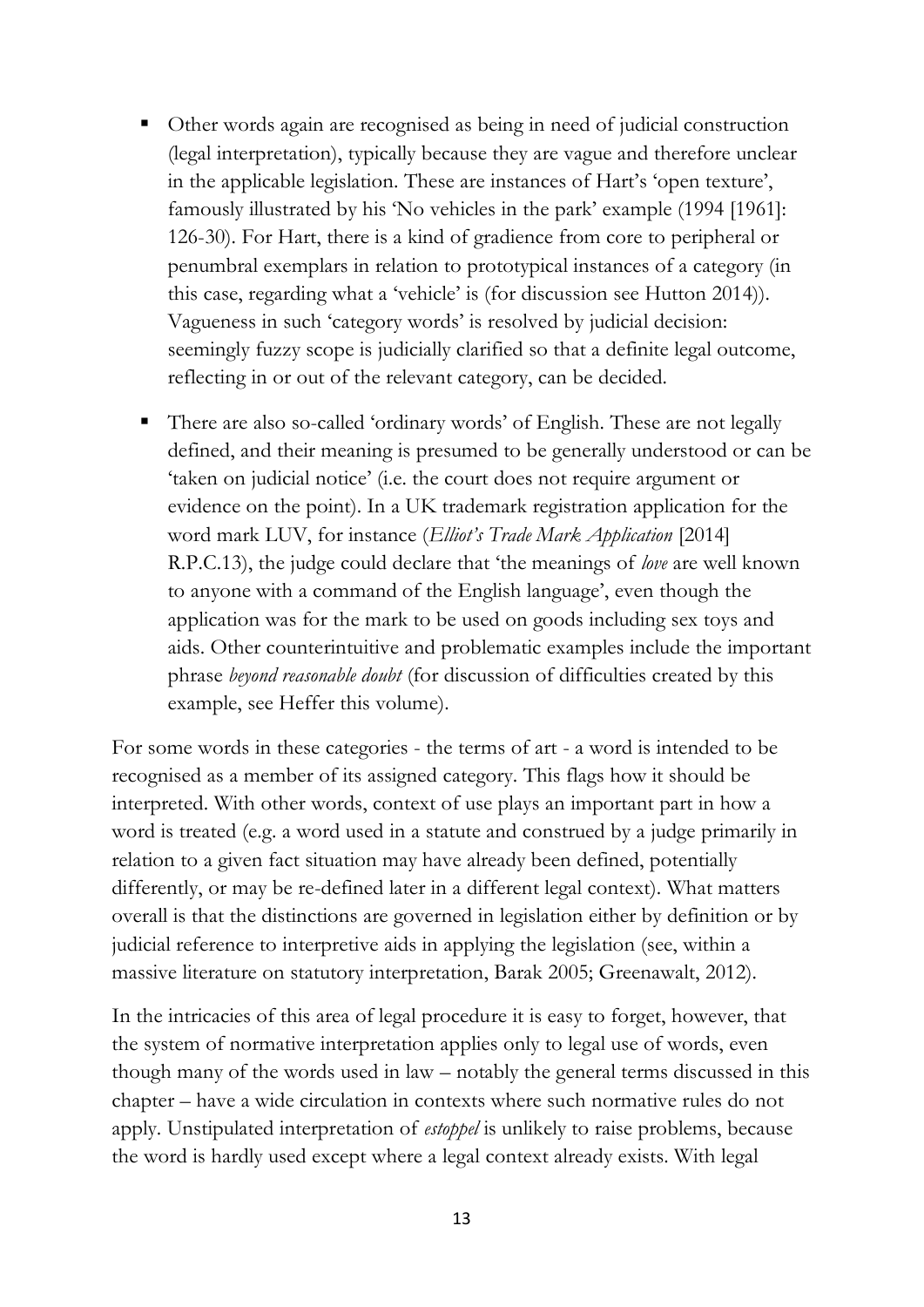- Other words again are recognised as being in need of judicial construction (legal interpretation), typically because they are vague and therefore unclear in the applicable legislation. These are instances of Hart's 'open texture', famously illustrated by his 'No vehicles in the park' example (1994 [1961]: 126-30). For Hart, there is a kind of gradience from core to peripheral or penumbral exemplars in relation to prototypical instances of a category (in this case, regarding what a 'vehicle' is (for discussion see Hutton 2014)). Vagueness in such 'category words' is resolved by judicial decision: seemingly fuzzy scope is judicially clarified so that a definite legal outcome, reflecting in or out of the relevant category, can be decided.
- There are also so-called 'ordinary words' of English. These are not legally defined, and their meaning is presumed to be generally understood or can be 'taken on judicial notice' (i.e. the court does not require argument or evidence on the point). In a UK trademark registration application for the word mark LUV, for instance (*Elliot's Trade Mark Application* [2014] R.P.C.13), the judge could declare that 'the meanings of *love* are well known to anyone with a command of the English language', even though the application was for the mark to be used on goods including sex toys and aids. Other counterintuitive and problematic examples include the important phrase *beyond reasonable doubt* (for discussion of difficulties created by this example, see Heffer this volume).

For some words in these categories - the terms of art - a word is intended to be recognised as a member of its assigned category. This flags how it should be interpreted. With other words, context of use plays an important part in how a word is treated (e.g. a word used in a statute and construed by a judge primarily in relation to a given fact situation may have already been defined, potentially differently, or may be re-defined later in a different legal context). What matters overall is that the distinctions are governed in legislation either by definition or by judicial reference to interpretive aids in applying the legislation (see, within a massive literature on statutory interpretation, Barak 2005; Greenawalt, 2012).

In the intricacies of this area of legal procedure it is easy to forget, however, that the system of normative interpretation applies only to legal use of words, even though many of the words used in law – notably the general terms discussed in this chapter – have a wide circulation in contexts where such normative rules do not apply. Unstipulated interpretation of *estoppel* is unlikely to raise problems, because the word is hardly used except where a legal context already exists. With legal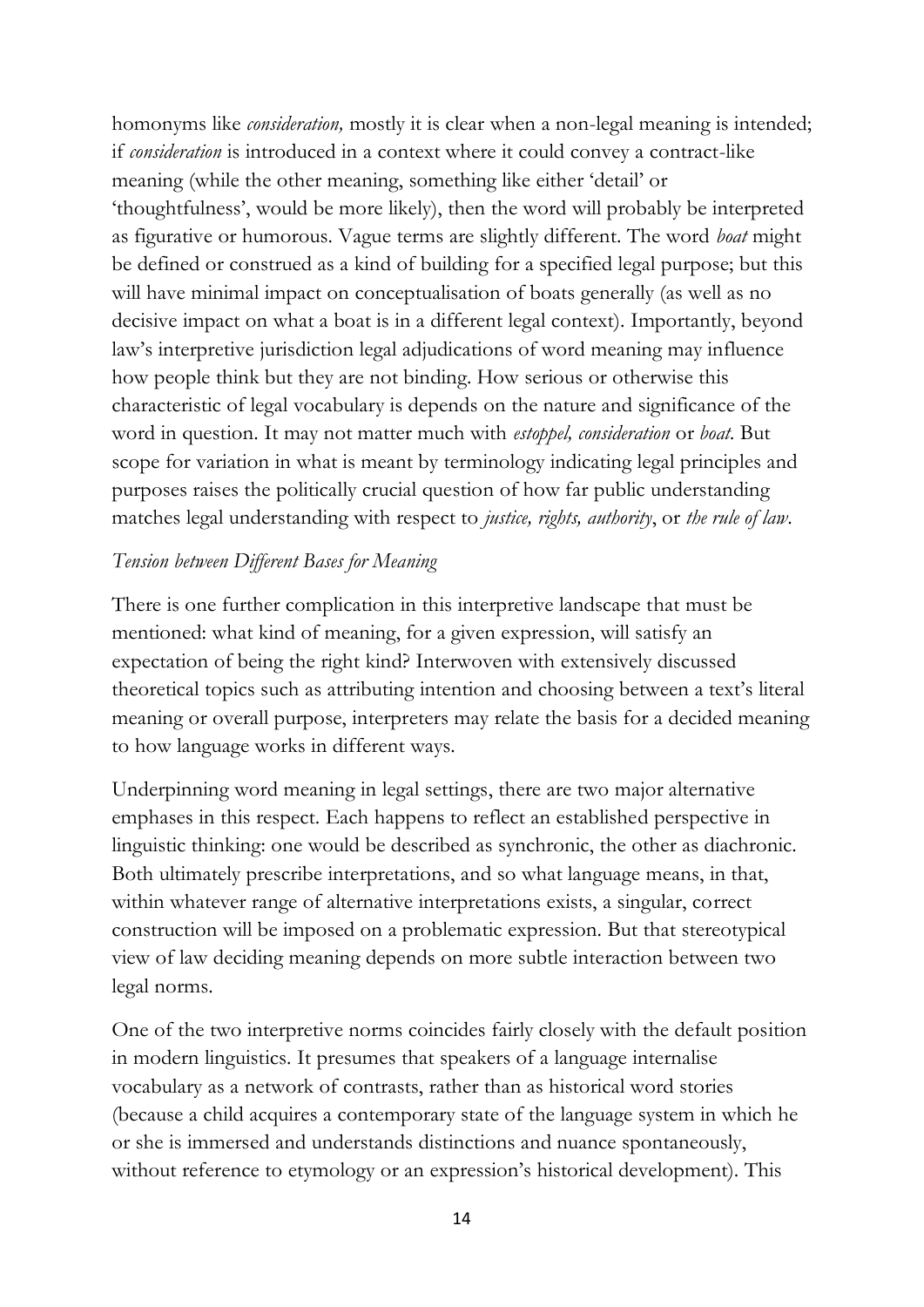homonyms like *consideration,* mostly it is clear when a non-legal meaning is intended; if *consideration* is introduced in a context where it could convey a contract-like meaning (while the other meaning, something like either 'detail' or 'thoughtfulness', would be more likely), then the word will probably be interpreted as figurative or humorous. Vague terms are slightly different. The word *boat* might be defined or construed as a kind of building for a specified legal purpose; but this will have minimal impact on conceptualisation of boats generally (as well as no decisive impact on what a boat is in a different legal context). Importantly, beyond law's interpretive jurisdiction legal adjudications of word meaning may influence how people think but they are not binding. How serious or otherwise this characteristic of legal vocabulary is depends on the nature and significance of the word in question. It may not matter much with *estoppel, consideration* or *boat.* But scope for variation in what is meant by terminology indicating legal principles and purposes raises the politically crucial question of how far public understanding matches legal understanding with respect to *justice, rights, authority*, or *the rule of law*.

# *Tension between Different Bases for Meaning*

There is one further complication in this interpretive landscape that must be mentioned: what kind of meaning, for a given expression, will satisfy an expectation of being the right kind? Interwoven with extensively discussed theoretical topics such as attributing intention and choosing between a text's literal meaning or overall purpose, interpreters may relate the basis for a decided meaning to how language works in different ways.

Underpinning word meaning in legal settings, there are two major alternative emphases in this respect. Each happens to reflect an established perspective in linguistic thinking: one would be described as synchronic, the other as diachronic. Both ultimately prescribe interpretations, and so what language means, in that, within whatever range of alternative interpretations exists, a singular, correct construction will be imposed on a problematic expression. But that stereotypical view of law deciding meaning depends on more subtle interaction between two legal norms.

One of the two interpretive norms coincides fairly closely with the default position in modern linguistics. It presumes that speakers of a language internalise vocabulary as a network of contrasts, rather than as historical word stories (because a child acquires a contemporary state of the language system in which he or she is immersed and understands distinctions and nuance spontaneously, without reference to etymology or an expression's historical development). This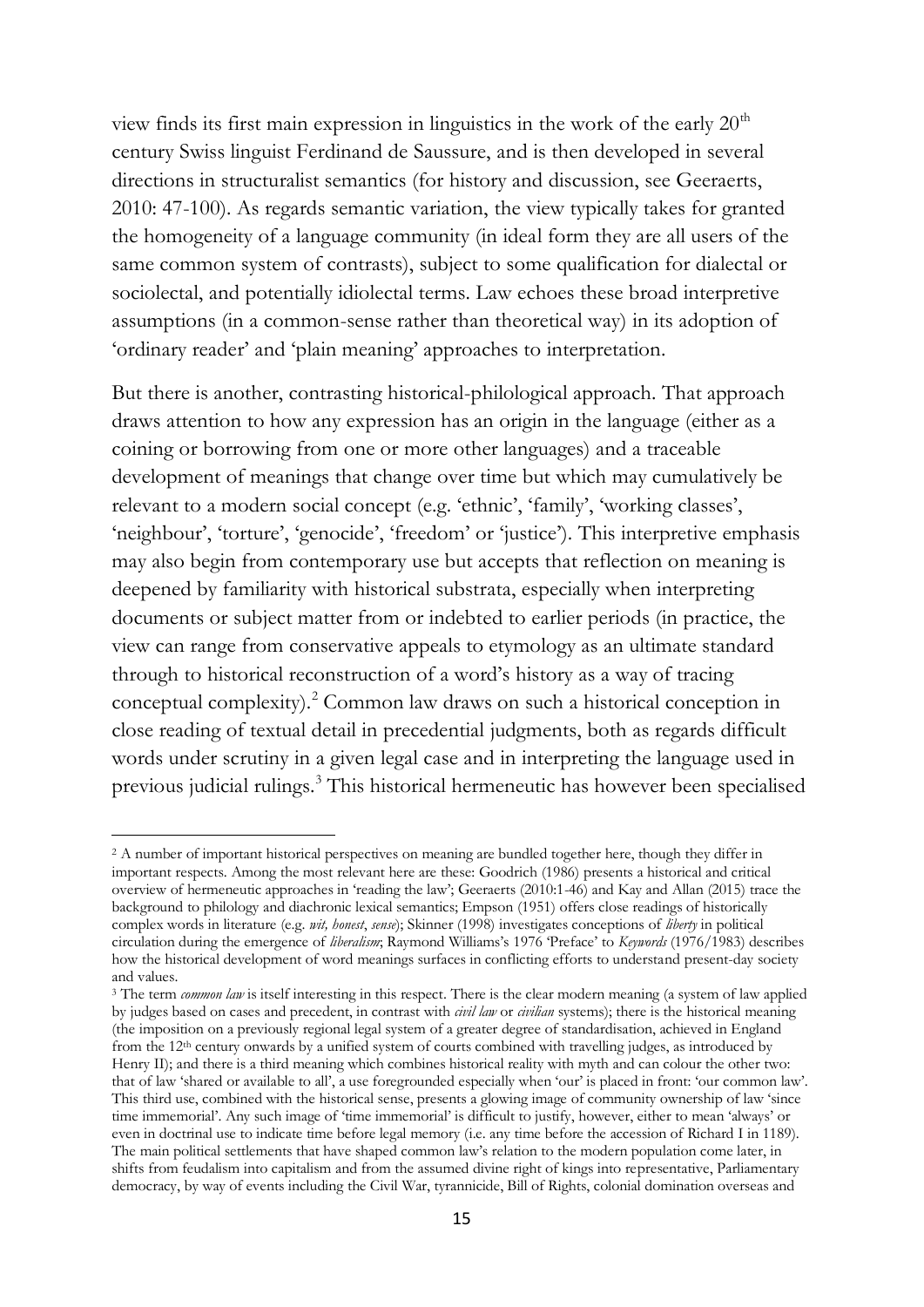view finds its first main expression in linguistics in the work of the early  $20<sup>th</sup>$ century Swiss linguist Ferdinand de Saussure, and is then developed in several directions in structuralist semantics (for history and discussion, see Geeraerts, 2010: 47-100). As regards semantic variation, the view typically takes for granted the homogeneity of a language community (in ideal form they are all users of the same common system of contrasts), subject to some qualification for dialectal or sociolectal, and potentially idiolectal terms. Law echoes these broad interpretive assumptions (in a common-sense rather than theoretical way) in its adoption of 'ordinary reader' and 'plain meaning' approaches to interpretation.

But there is another, contrasting historical-philological approach. That approach draws attention to how any expression has an origin in the language (either as a coining or borrowing from one or more other languages) and a traceable development of meanings that change over time but which may cumulatively be relevant to a modern social concept (e.g. 'ethnic', 'family', 'working classes', 'neighbour', 'torture', 'genocide', 'freedom' or 'justice'). This interpretive emphasis may also begin from contemporary use but accepts that reflection on meaning is deepened by familiarity with historical substrata, especially when interpreting documents or subject matter from or indebted to earlier periods (in practice, the view can range from conservative appeals to etymology as an ultimate standard through to historical reconstruction of a word's history as a way of tracing conceptual complexity).<sup>2</sup> Common law draws on such a historical conception in close reading of textual detail in precedential judgments, both as regards difficult words under scrutiny in a given legal case and in interpreting the language used in previous judicial rulings.<sup>3</sup> This historical hermeneutic has however been specialised

-

<sup>3</sup> The term *common law* is itself interesting in this respect. There is the clear modern meaning (a system of law applied by judges based on cases and precedent, in contrast with *civil law* or *civilian* systems); there is the historical meaning (the imposition on a previously regional legal system of a greater degree of standardisation, achieved in England from the 12th century onwards by a unified system of courts combined with travelling judges, as introduced by Henry II); and there is a third meaning which combines historical reality with myth and can colour the other two: that of law 'shared or available to all', a use foregrounded especially when 'our' is placed in front: 'our common law'. This third use, combined with the historical sense, presents a glowing image of community ownership of law 'since time immemorial'. Any such image of 'time immemorial' is difficult to justify, however, either to mean 'always' or even in doctrinal use to indicate time before legal memory (i.e. any time before the accession of Richard I in 1189). The main political settlements that have shaped common law's relation to the modern population come later, in shifts from feudalism into capitalism and from the assumed divine right of kings into representative, Parliamentary democracy, by way of events including the Civil War, tyrannicide, Bill of Rights, colonial domination overseas and

<sup>2</sup> A number of important historical perspectives on meaning are bundled together here, though they differ in important respects. Among the most relevant here are these: Goodrich (1986) presents a historical and critical overview of hermeneutic approaches in 'reading the law'; Geeraerts (2010:1-46) and Kay and Allan (2015) trace the background to philology and diachronic lexical semantics; Empson (1951) offers close readings of historically complex words in literature (e.g. *wit, honest*, *sense*); Skinner (1998) investigates conceptions of *liberty* in political circulation during the emergence of *liberalism*; Raymond Williams's 1976 'Preface' to *Keywords* (1976/1983) describes how the historical development of word meanings surfaces in conflicting efforts to understand present-day society and values.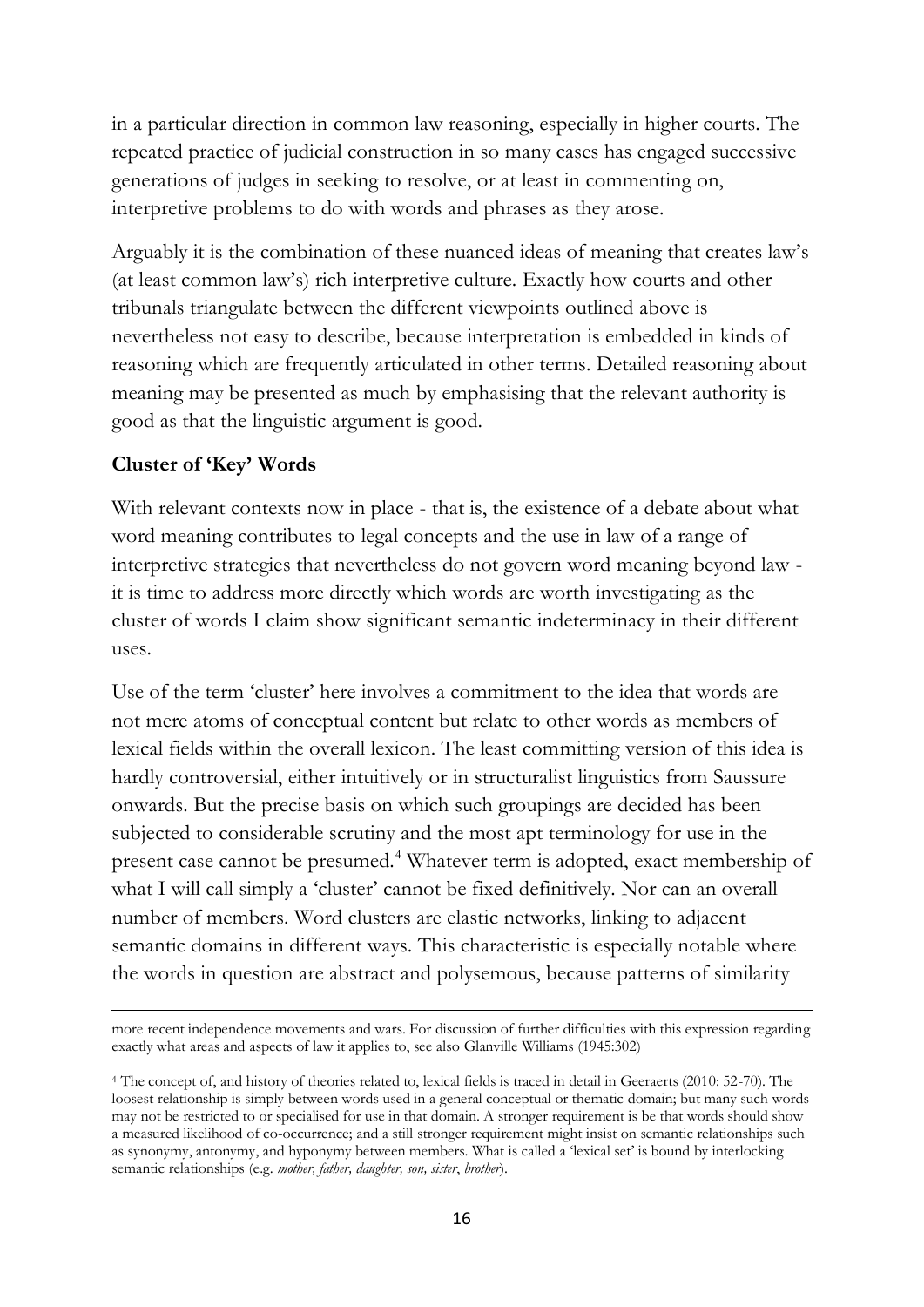in a particular direction in common law reasoning, especially in higher courts. The repeated practice of judicial construction in so many cases has engaged successive generations of judges in seeking to resolve, or at least in commenting on, interpretive problems to do with words and phrases as they arose.

Arguably it is the combination of these nuanced ideas of meaning that creates law's (at least common law's) rich interpretive culture. Exactly how courts and other tribunals triangulate between the different viewpoints outlined above is nevertheless not easy to describe, because interpretation is embedded in kinds of reasoning which are frequently articulated in other terms. Detailed reasoning about meaning may be presented as much by emphasising that the relevant authority is good as that the linguistic argument is good.

# **Cluster of 'Key' Words**

With relevant contexts now in place - that is, the existence of a debate about what word meaning contributes to legal concepts and the use in law of a range of interpretive strategies that nevertheless do not govern word meaning beyond law it is time to address more directly which words are worth investigating as the cluster of words I claim show significant semantic indeterminacy in their different uses.

Use of the term 'cluster' here involves a commitment to the idea that words are not mere atoms of conceptual content but relate to other words as members of lexical fields within the overall lexicon. The least committing version of this idea is hardly controversial, either intuitively or in structuralist linguistics from Saussure onwards. But the precise basis on which such groupings are decided has been subjected to considerable scrutiny and the most apt terminology for use in the present case cannot be presumed.<sup>4</sup> Whatever term is adopted, exact membership of what I will call simply a 'cluster' cannot be fixed definitively. Nor can an overall number of members. Word clusters are elastic networks, linking to adjacent semantic domains in different ways. This characteristic is especially notable where the words in question are abstract and polysemous, because patterns of similarity

more recent independence movements and wars. For discussion of further difficulties with this expression regarding exactly what areas and aspects of law it applies to, see also Glanville Williams (1945:302)

<sup>4</sup> The concept of, and history of theories related to, lexical fields is traced in detail in Geeraerts (2010: 52-70). The loosest relationship is simply between words used in a general conceptual or thematic domain; but many such words may not be restricted to or specialised for use in that domain. A stronger requirement is be that words should show a measured likelihood of co-occurrence; and a still stronger requirement might insist on semantic relationships such as synonymy, antonymy, and hyponymy between members. What is called a 'lexical set' is bound by interlocking semantic relationships (e.g. *mother, father, daughter, son, sister*, *brother*).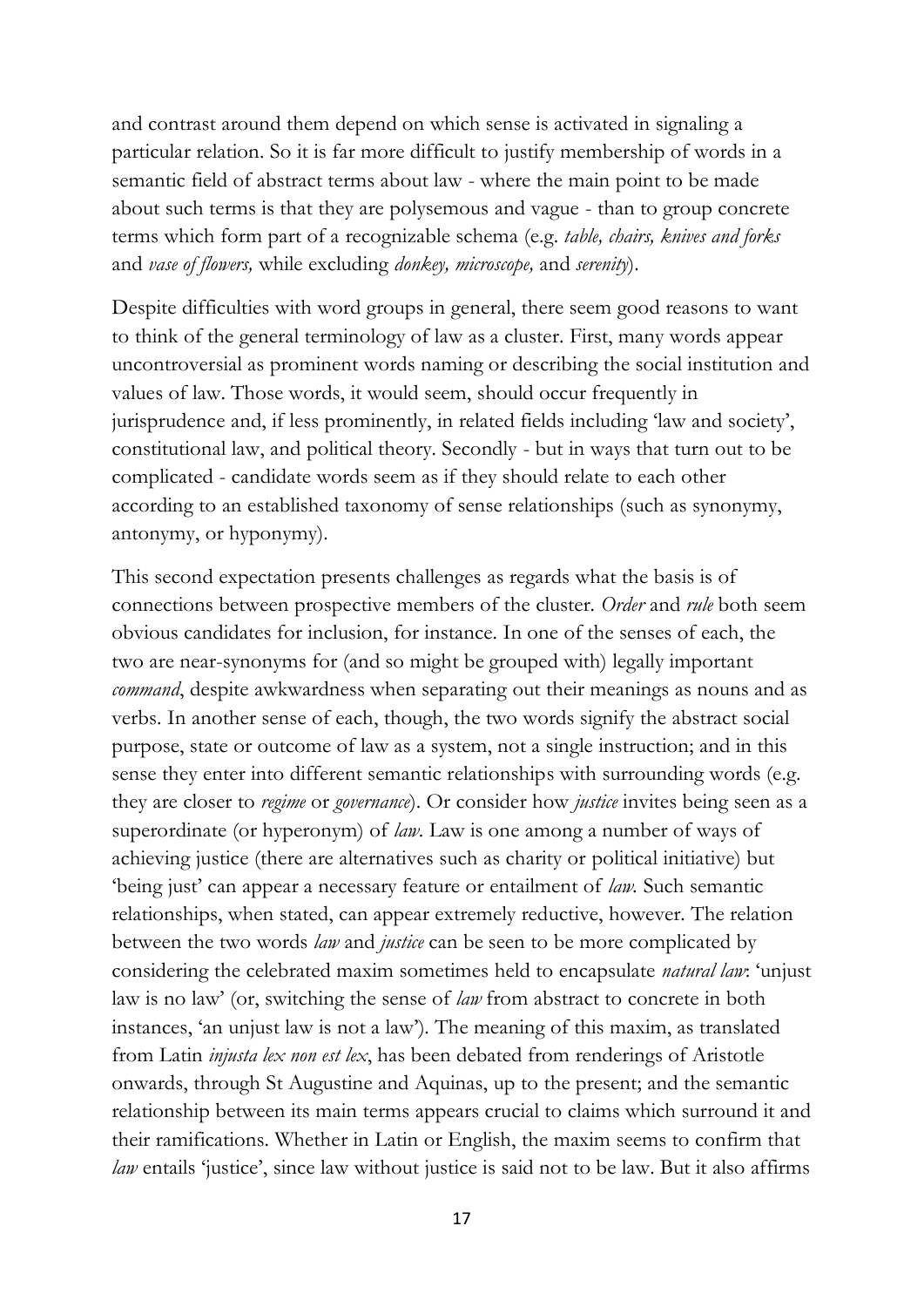and contrast around them depend on which sense is activated in signaling a particular relation. So it is far more difficult to justify membership of words in a semantic field of abstract terms about law - where the main point to be made about such terms is that they are polysemous and vague - than to group concrete terms which form part of a recognizable schema (e.g. *table, chairs, knives and forks* and *vase of flowers,* while excluding *donkey, microscope,* and *serenity*).

Despite difficulties with word groups in general, there seem good reasons to want to think of the general terminology of law as a cluster. First, many words appear uncontroversial as prominent words naming or describing the social institution and values of law. Those words, it would seem, should occur frequently in jurisprudence and, if less prominently, in related fields including 'law and society', constitutional law, and political theory. Secondly - but in ways that turn out to be complicated - candidate words seem as if they should relate to each other according to an established taxonomy of sense relationships (such as synonymy, antonymy, or hyponymy).

This second expectation presents challenges as regards what the basis is of connections between prospective members of the cluster. *Order* and *rule* both seem obvious candidates for inclusion, for instance. In one of the senses of each, the two are near-synonyms for (and so might be grouped with) legally important *command*, despite awkwardness when separating out their meanings as nouns and as verbs. In another sense of each, though, the two words signify the abstract social purpose, state or outcome of law as a system, not a single instruction; and in this sense they enter into different semantic relationships with surrounding words (e.g. they are closer to *regime* or *governance*). Or consider how *justice* invites being seen as a superordinate (or hyperonym) of *law*. Law is one among a number of ways of achieving justice (there are alternatives such as charity or political initiative) but 'being just' can appear a necessary feature or entailment of *law.* Such semantic relationships, when stated, can appear extremely reductive, however. The relation between the two words *law* and *justice* can be seen to be more complicated by considering the celebrated maxim sometimes held to encapsulate *natural law*: 'unjust law is no law' (or, switching the sense of *law* from abstract to concrete in both instances, 'an unjust law is not a law'). The meaning of this maxim, as translated from Latin *injusta lex non est lex*, has been debated from renderings of Aristotle onwards, through St Augustine and Aquinas, up to the present; and the semantic relationship between its main terms appears crucial to claims which surround it and their ramifications. Whether in Latin or English, the maxim seems to confirm that *law* entails 'justice', since law without justice is said not to be law. But it also affirms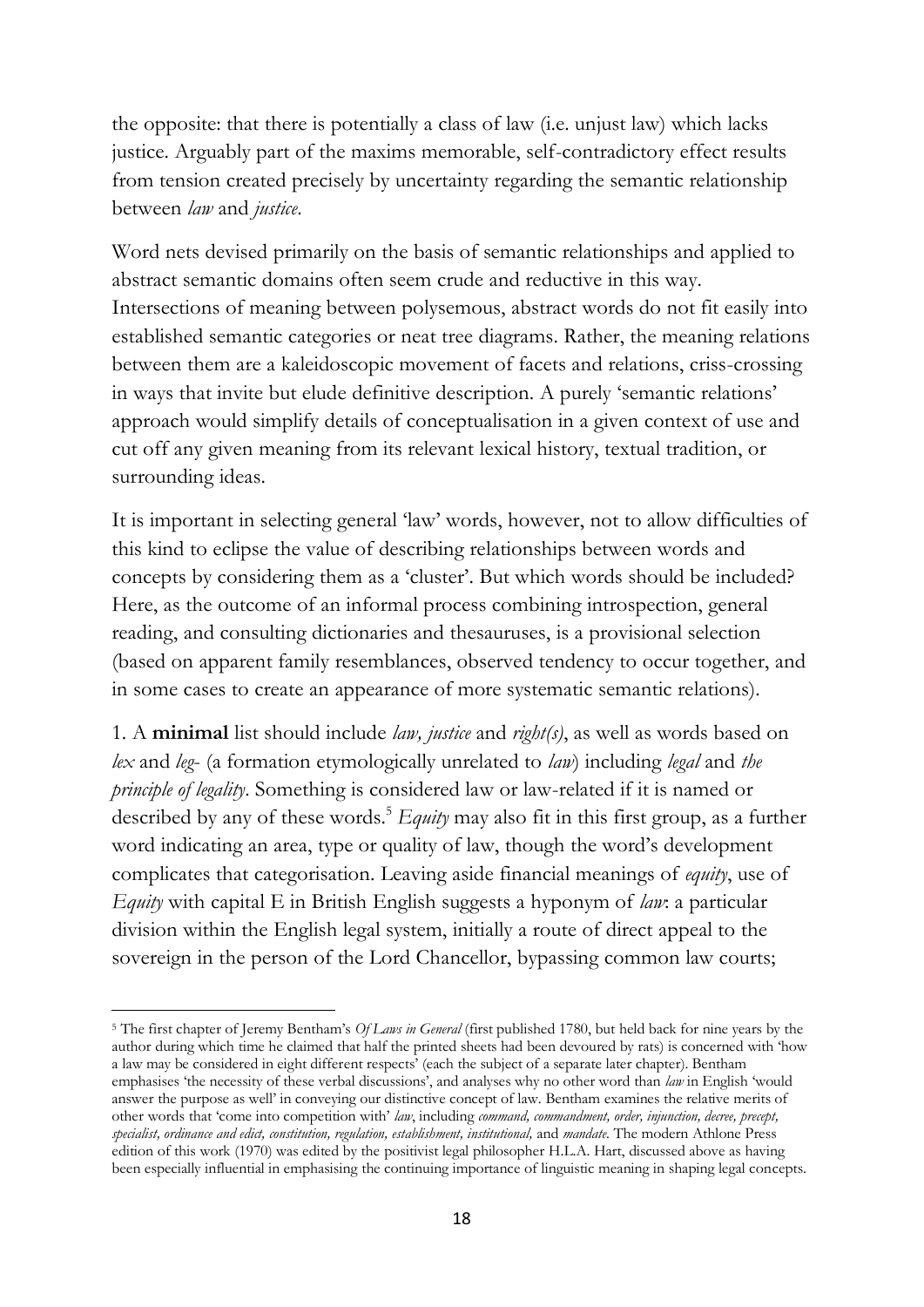the opposite: that there is potentially a class of law (i.e. unjust law) which lacks justice. Arguably part of the maxims memorable, self-contradictory effect results from tension created precisely by uncertainty regarding the semantic relationship between *law* and *justice*.

Word nets devised primarily on the basis of semantic relationships and applied to abstract semantic domains often seem crude and reductive in this way. Intersections of meaning between polysemous, abstract words do not fit easily into established semantic categories or neat tree diagrams. Rather, the meaning relations between them are a kaleidoscopic movement of facets and relations, criss-crossing in ways that invite but elude definitive description. A purely 'semantic relations' approach would simplify details of conceptualisation in a given context of use and cut off any given meaning from its relevant lexical history, textual tradition, or surrounding ideas.

It is important in selecting general 'law' words, however, not to allow difficulties of this kind to eclipse the value of describing relationships between words and concepts by considering them as a 'cluster'. But which words should be included? Here, as the outcome of an informal process combining introspection, general reading, and consulting dictionaries and thesauruses, is a provisional selection (based on apparent family resemblances, observed tendency to occur together, and in some cases to create an appearance of more systematic semantic relations).

1. A **minimal** list should include *law, justice* and *right(s)*, as well as words based on *lex* and *leg*- (a formation etymologically unrelated to *law*) including *legal* and *the principle of legality*. Something is considered law or law-related if it is named or described by any of these words.<sup>5</sup> *Equity* may also fit in this first group, as a further word indicating an area, type or quality of law, though the word's development complicates that categorisation. Leaving aside financial meanings of *equity*, use of *Equity* with capital E in British English suggests a hyponym of *law*: a particular division within the English legal system, initially a route of direct appeal to the sovereign in the person of the Lord Chancellor, bypassing common law courts;

<sup>-</sup><sup>5</sup> The first chapter of Jeremy Bentham's *Of Laws in General* (first published 1780, but held back for nine years by the author during which time he claimed that half the printed sheets had been devoured by rats) is concerned with 'how a law may be considered in eight different respects' (each the subject of a separate later chapter). Bentham emphasises 'the necessity of these verbal discussions', and analyses why no other word than *law* in English 'would answer the purpose as well' in conveying our distinctive concept of law. Bentham examines the relative merits of other words that 'come into competition with' *law*, including *command, commandment, order, injunction, decree, precept, specialist, ordinance and edict, constitution, regulation, establishment, institutional,* and *mandate.* The modern Athlone Press edition of this work (1970) was edited by the positivist legal philosopher H.L.A. Hart, discussed above as having been especially influential in emphasising the continuing importance of linguistic meaning in shaping legal concepts.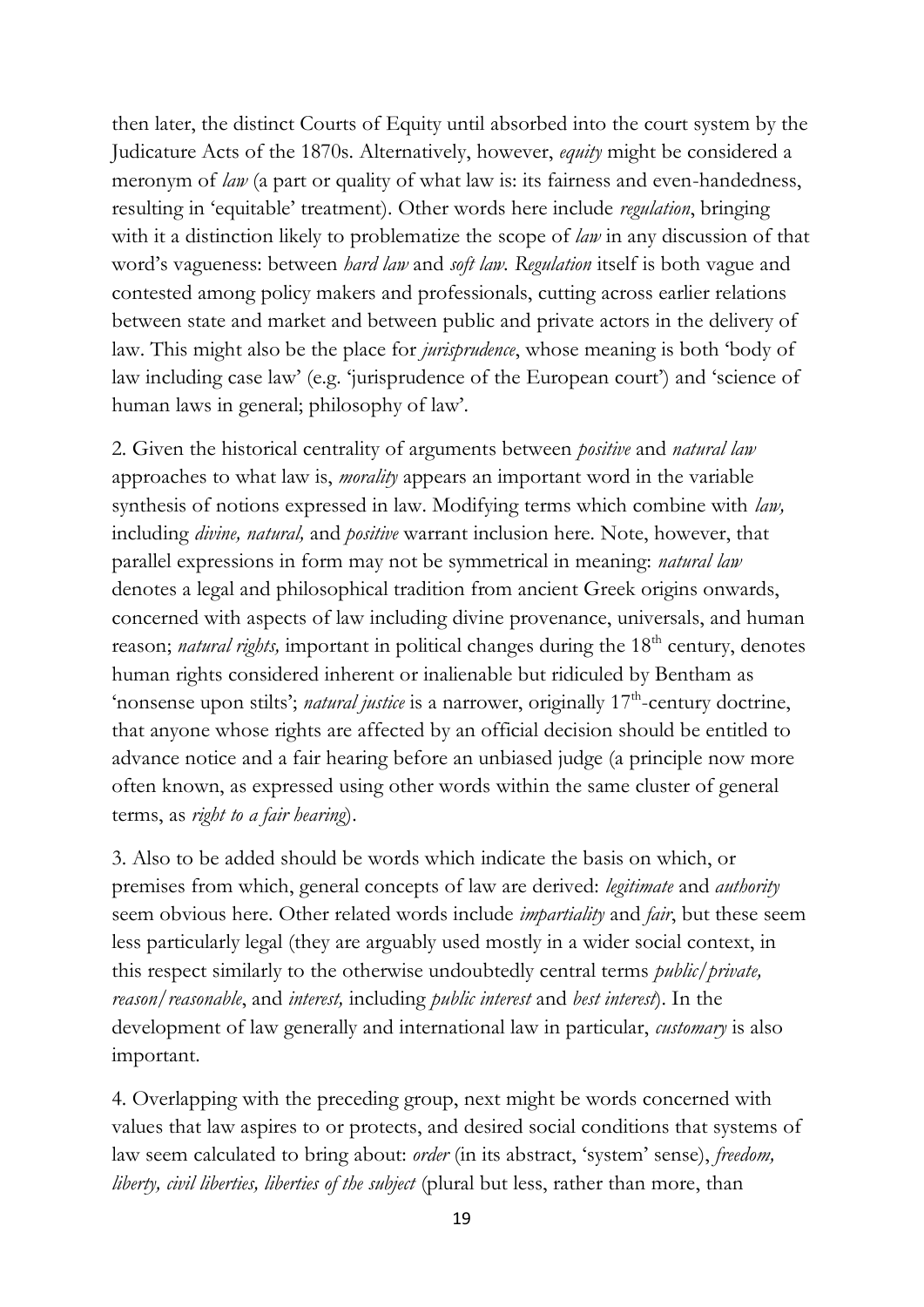then later, the distinct Courts of Equity until absorbed into the court system by the Judicature Acts of the 1870s. Alternatively, however, *equity* might be considered a meronym of *law* (a part or quality of what law is: its fairness and even-handedness, resulting in 'equitable' treatment). Other words here include *regulation*, bringing with it a distinction likely to problematize the scope of *law* in any discussion of that word's vagueness: between *hard law* and *soft law. Regulation* itself is both vague and contested among policy makers and professionals, cutting across earlier relations between state and market and between public and private actors in the delivery of law. This might also be the place for *jurisprudence*, whose meaning is both 'body of law including case law' (e.g. 'jurisprudence of the European court') and 'science of human laws in general; philosophy of law'.

2. Given the historical centrality of arguments between *positive* and *natural law* approaches to what law is, *morality* appears an important word in the variable synthesis of notions expressed in law. Modifying terms which combine with *law,* including *divine, natural,* and *positive* warrant inclusion here. Note, however, that parallel expressions in form may not be symmetrical in meaning: *natural law* denotes a legal and philosophical tradition from ancient Greek origins onwards, concerned with aspects of law including divine provenance, universals, and human reason; *natural rights*, important in political changes during the 18<sup>th</sup> century, denotes human rights considered inherent or inalienable but ridiculed by Bentham as 'nonsense upon stilts'; *natural justice* is a narrower, originally 17<sup>th</sup>-century doctrine, that anyone whose rights are affected by an official decision should be entitled to advance notice and a fair hearing before an unbiased judge (a principle now more often known, as expressed using other words within the same cluster of general terms, as *right to a fair hearing*).

3. Also to be added should be words which indicate the basis on which, or premises from which, general concepts of law are derived: *legitimate* and *authority* seem obvious here. Other related words include *impartiality* and *fair*, but these seem less particularly legal (they are arguably used mostly in a wider social context, in this respect similarly to the otherwise undoubtedly central terms *public/private, reason/reasonable*, and *interest,* including *public interest* and *best interest*). In the development of law generally and international law in particular, *customary* is also important.

4. Overlapping with the preceding group, next might be words concerned with values that law aspires to or protects, and desired social conditions that systems of law seem calculated to bring about: *order* (in its abstract, 'system' sense), *freedom, liberty, civil liberties, liberties of the subject* (plural but less, rather than more, than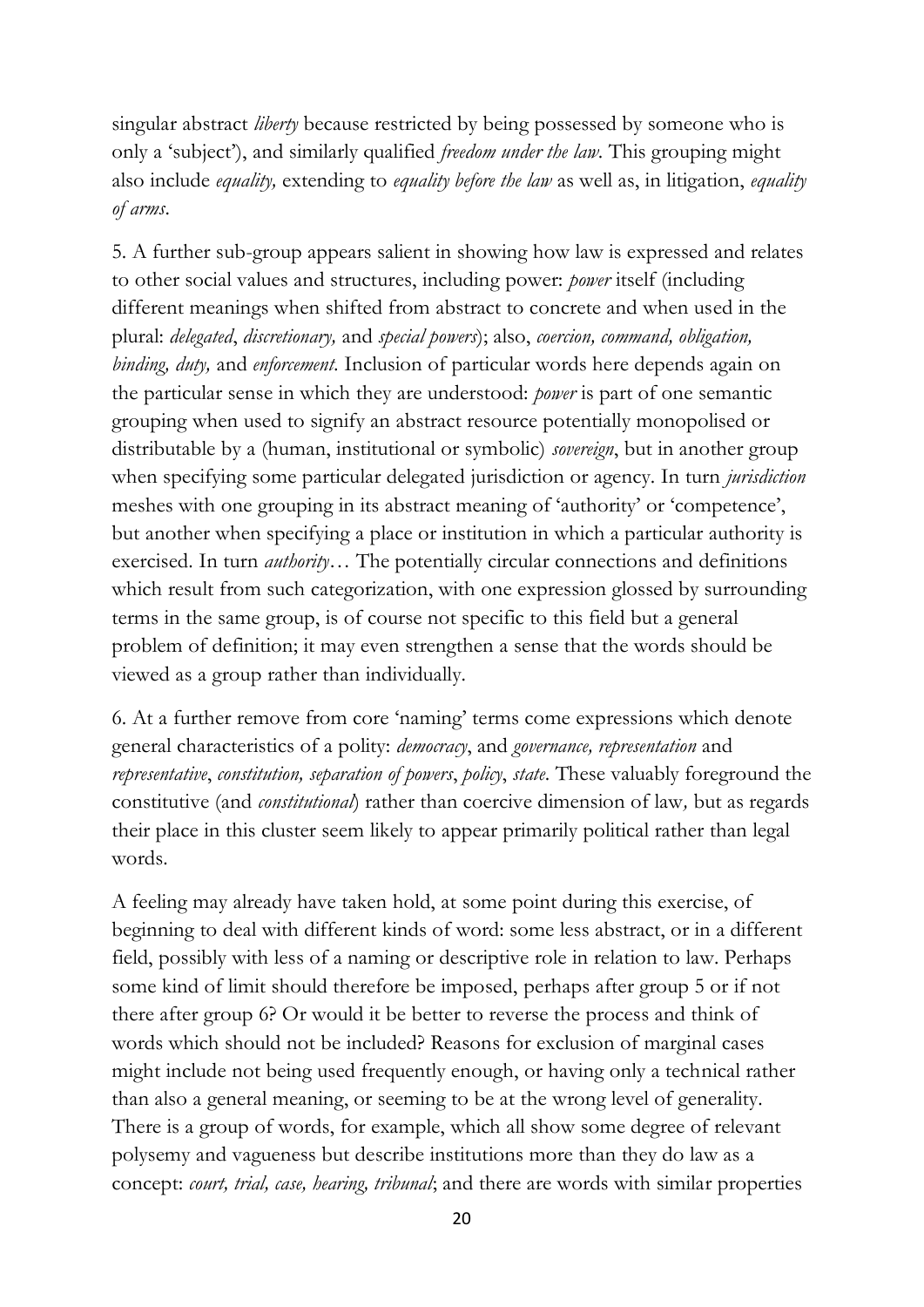singular abstract *liberty* because restricted by being possessed by someone who is only a 'subject'), and similarly qualified *freedom under the law*. This grouping might also include *equality,* extending to *equality before the law* as well as, in litigation, *equality of arms*.

5. A further sub-group appears salient in showing how law is expressed and relates to other social values and structures, including power: *power* itself (including different meanings when shifted from abstract to concrete and when used in the plural: *delegated*, *discretionary,* and *special powers*); also, *coercion, command, obligation, binding, duty,* and *enforcement.* Inclusion of particular words here depends again on the particular sense in which they are understood: *power* is part of one semantic grouping when used to signify an abstract resource potentially monopolised or distributable by a (human, institutional or symbolic) *sovereign*, but in another group when specifying some particular delegated jurisdiction or agency. In turn *jurisdiction*  meshes with one grouping in its abstract meaning of 'authority' or 'competence', but another when specifying a place or institution in which a particular authority is exercised. In turn *authority*… The potentially circular connections and definitions which result from such categorization, with one expression glossed by surrounding terms in the same group, is of course not specific to this field but a general problem of definition; it may even strengthen a sense that the words should be viewed as a group rather than individually.

6. At a further remove from core 'naming' terms come expressions which denote general characteristics of a polity: *democracy*, and *governance, representation* and *representative*, *constitution, separation of powers*, *policy*, *state*. These valuably foreground the constitutive (and *constitutional*) rather than coercive dimension of law*,* but as regards their place in this cluster seem likely to appear primarily political rather than legal words.

A feeling may already have taken hold, at some point during this exercise, of beginning to deal with different kinds of word: some less abstract, or in a different field, possibly with less of a naming or descriptive role in relation to law. Perhaps some kind of limit should therefore be imposed, perhaps after group 5 or if not there after group 6? Or would it be better to reverse the process and think of words which should not be included? Reasons for exclusion of marginal cases might include not being used frequently enough, or having only a technical rather than also a general meaning, or seeming to be at the wrong level of generality. There is a group of words, for example, which all show some degree of relevant polysemy and vagueness but describe institutions more than they do law as a concept: *court, trial, case, hearing, tribunal*; and there are words with similar properties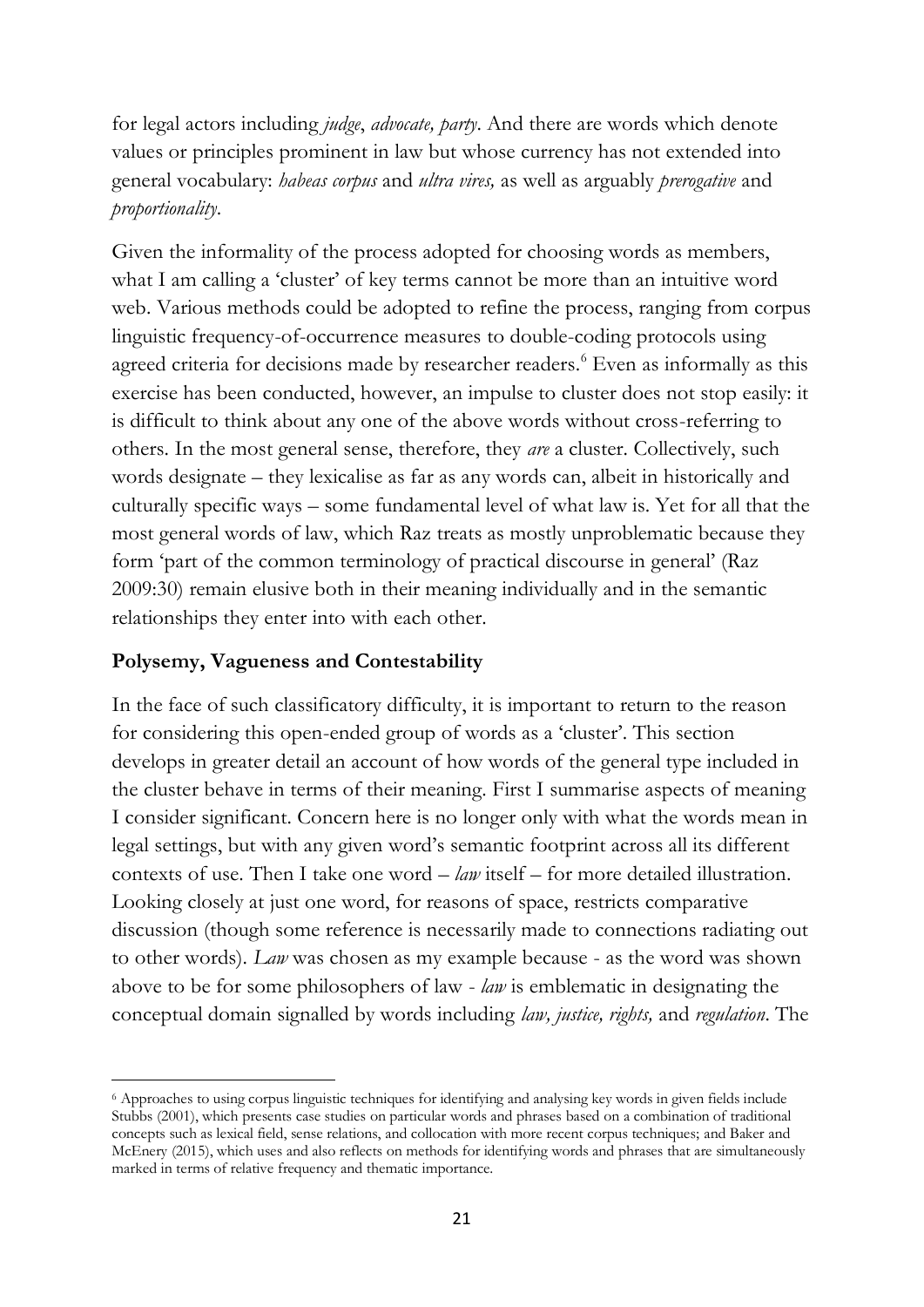for legal actors including *judge*, *advocate, party*. And there are words which denote values or principles prominent in law but whose currency has not extended into general vocabulary: *habeas corpus* and *ultra vires,* as well as arguably *prerogative* and *proportionality*.

Given the informality of the process adopted for choosing words as members, what I am calling a 'cluster' of key terms cannot be more than an intuitive word web. Various methods could be adopted to refine the process, ranging from corpus linguistic frequency-of-occurrence measures to double-coding protocols using agreed criteria for decisions made by researcher readers.<sup>6</sup> Even as informally as this exercise has been conducted, however, an impulse to cluster does not stop easily: it is difficult to think about any one of the above words without cross-referring to others. In the most general sense, therefore, they *are* a cluster. Collectively, such words designate – they lexicalise as far as any words can, albeit in historically and culturally specific ways – some fundamental level of what law is. Yet for all that the most general words of law, which Raz treats as mostly unproblematic because they form 'part of the common terminology of practical discourse in general' (Raz 2009:30) remain elusive both in their meaning individually and in the semantic relationships they enter into with each other.

# **Polysemy, Vagueness and Contestability**

In the face of such classificatory difficulty, it is important to return to the reason for considering this open-ended group of words as a 'cluster'. This section develops in greater detail an account of how words of the general type included in the cluster behave in terms of their meaning. First I summarise aspects of meaning I consider significant. Concern here is no longer only with what the words mean in legal settings, but with any given word's semantic footprint across all its different contexts of use. Then I take one word – *law* itself – for more detailed illustration. Looking closely at just one word, for reasons of space, restricts comparative discussion (though some reference is necessarily made to connections radiating out to other words). *Law* was chosen as my example because - as the word was shown above to be for some philosophers of law - *law* is emblematic in designating the conceptual domain signalled by words including *law, justice, rights,* and *regulation*. The

<sup>-</sup><sup>6</sup> Approaches to using corpus linguistic techniques for identifying and analysing key words in given fields include Stubbs (2001), which presents case studies on particular words and phrases based on a combination of traditional concepts such as lexical field, sense relations, and collocation with more recent corpus techniques; and Baker and McEnery (2015), which uses and also reflects on methods for identifying words and phrases that are simultaneously marked in terms of relative frequency and thematic importance.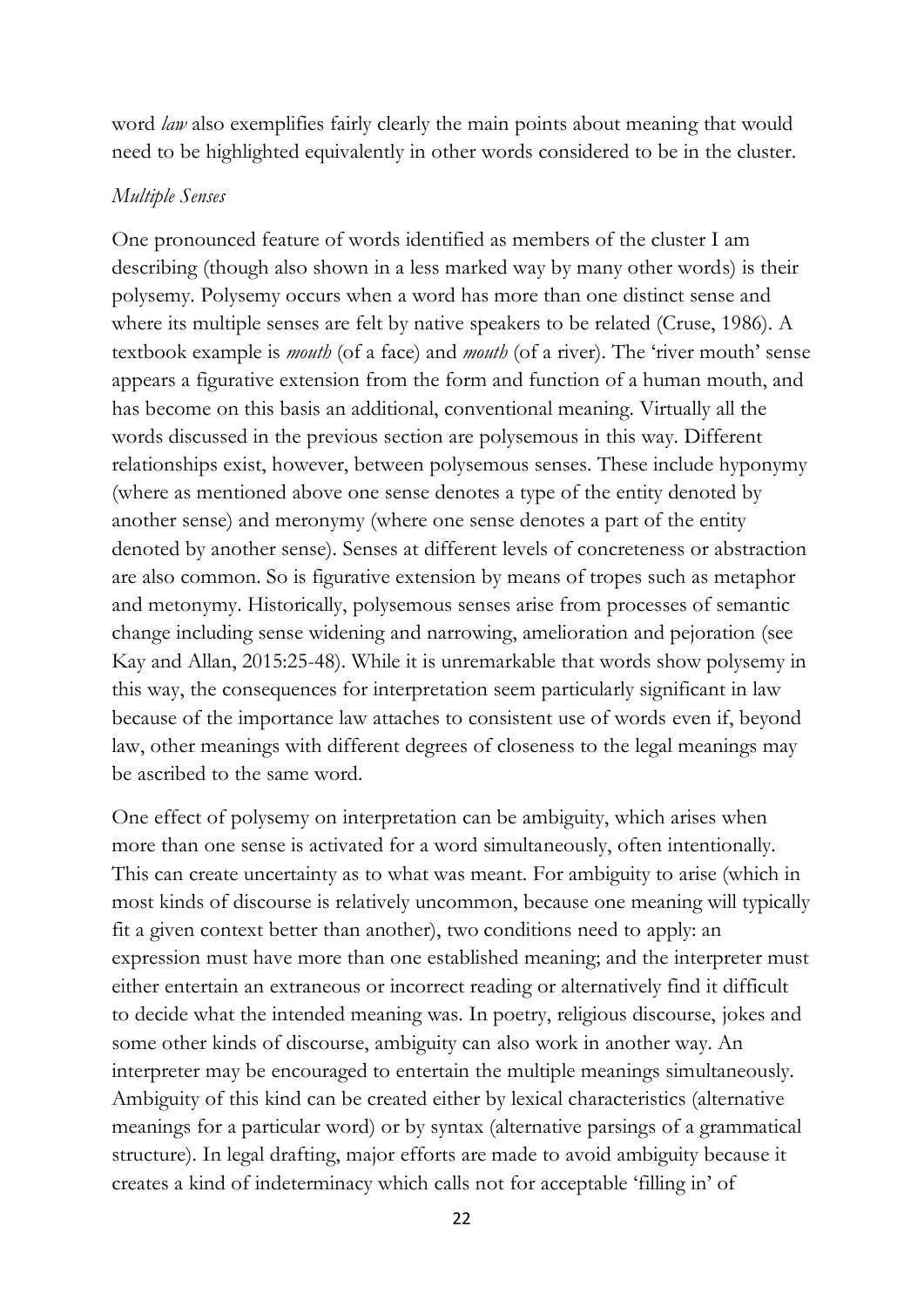word *law* also exemplifies fairly clearly the main points about meaning that would need to be highlighted equivalently in other words considered to be in the cluster.

#### *Multiple Senses*

One pronounced feature of words identified as members of the cluster I am describing (though also shown in a less marked way by many other words) is their polysemy. Polysemy occurs when a word has more than one distinct sense and where its multiple senses are felt by native speakers to be related (Cruse, 1986). A textbook example is *mouth* (of a face) and *mouth* (of a river). The 'river mouth' sense appears a figurative extension from the form and function of a human mouth, and has become on this basis an additional, conventional meaning. Virtually all the words discussed in the previous section are polysemous in this way. Different relationships exist, however, between polysemous senses. These include hyponymy (where as mentioned above one sense denotes a type of the entity denoted by another sense) and meronymy (where one sense denotes a part of the entity denoted by another sense). Senses at different levels of concreteness or abstraction are also common. So is figurative extension by means of tropes such as metaphor and metonymy. Historically, polysemous senses arise from processes of semantic change including sense widening and narrowing, amelioration and pejoration (see Kay and Allan, 2015:25-48). While it is unremarkable that words show polysemy in this way, the consequences for interpretation seem particularly significant in law because of the importance law attaches to consistent use of words even if, beyond law, other meanings with different degrees of closeness to the legal meanings may be ascribed to the same word.

One effect of polysemy on interpretation can be ambiguity, which arises when more than one sense is activated for a word simultaneously, often intentionally. This can create uncertainty as to what was meant. For ambiguity to arise (which in most kinds of discourse is relatively uncommon, because one meaning will typically fit a given context better than another), two conditions need to apply: an expression must have more than one established meaning; and the interpreter must either entertain an extraneous or incorrect reading or alternatively find it difficult to decide what the intended meaning was. In poetry, religious discourse, jokes and some other kinds of discourse, ambiguity can also work in another way. An interpreter may be encouraged to entertain the multiple meanings simultaneously. Ambiguity of this kind can be created either by lexical characteristics (alternative meanings for a particular word) or by syntax (alternative parsings of a grammatical structure). In legal drafting, major efforts are made to avoid ambiguity because it creates a kind of indeterminacy which calls not for acceptable 'filling in' of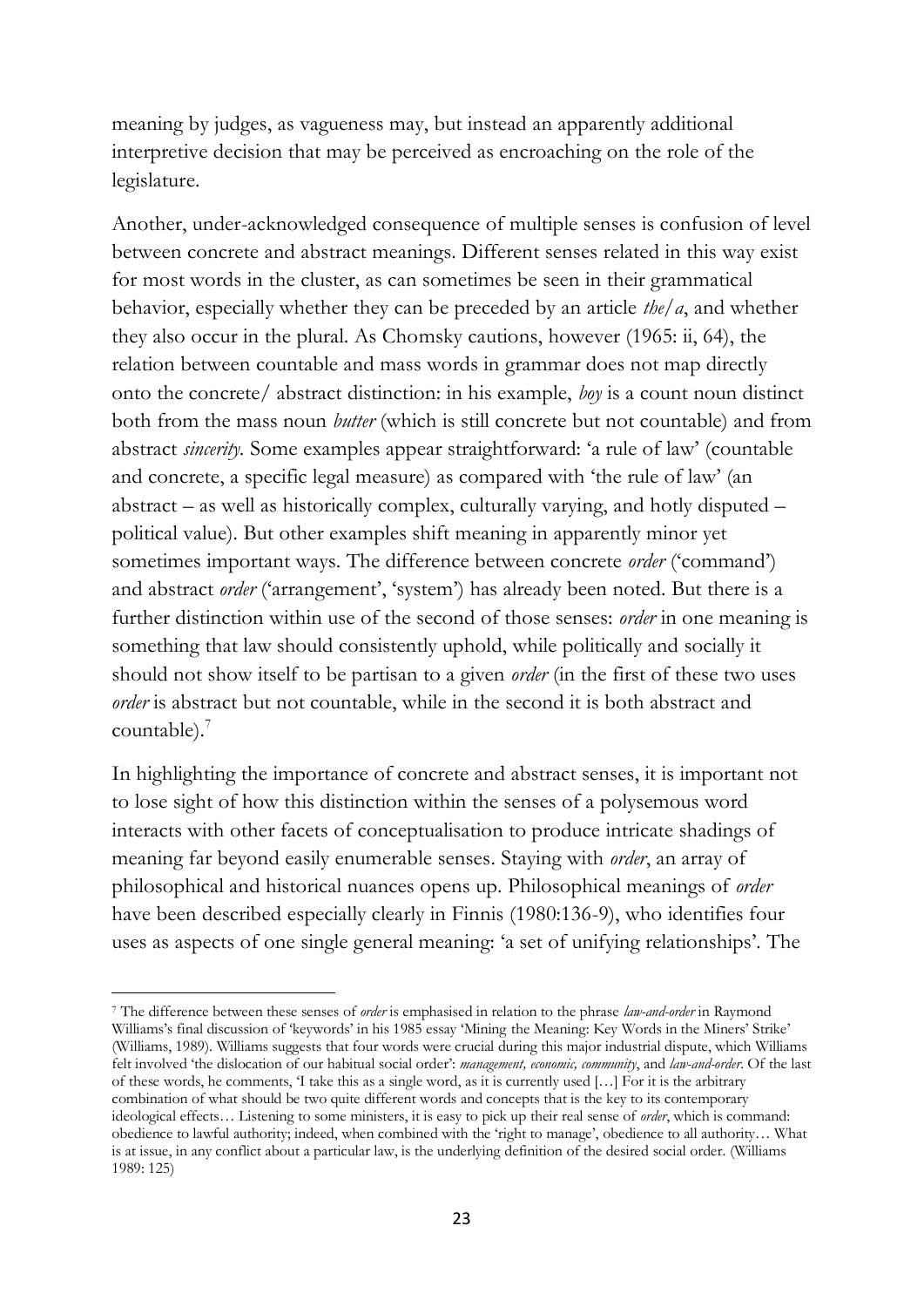meaning by judges, as vagueness may, but instead an apparently additional interpretive decision that may be perceived as encroaching on the role of the legislature.

Another, under-acknowledged consequence of multiple senses is confusion of level between concrete and abstract meanings. Different senses related in this way exist for most words in the cluster, as can sometimes be seen in their grammatical behavior, especially whether they can be preceded by an article *the/a*, and whether they also occur in the plural. As Chomsky cautions, however (1965: ii, 64), the relation between countable and mass words in grammar does not map directly onto the concrete/ abstract distinction: in his example, *boy* is a count noun distinct both from the mass noun *butter* (which is still concrete but not countable) and from abstract *sincerity.* Some examples appear straightforward: 'a rule of law' (countable and concrete, a specific legal measure) as compared with 'the rule of law' (an abstract – as well as historically complex, culturally varying, and hotly disputed – political value). But other examples shift meaning in apparently minor yet sometimes important ways. The difference between concrete *order* ('command') and abstract *order* ('arrangement', 'system') has already been noted. But there is a further distinction within use of the second of those senses: *order* in one meaning is something that law should consistently uphold, while politically and socially it should not show itself to be partisan to a given *order* (in the first of these two uses *order* is abstract but not countable, while in the second it is both abstract and countable). $<sup>7</sup>$ </sup>

In highlighting the importance of concrete and abstract senses, it is important not to lose sight of how this distinction within the senses of a polysemous word interacts with other facets of conceptualisation to produce intricate shadings of meaning far beyond easily enumerable senses. Staying with *order*, an array of philosophical and historical nuances opens up. Philosophical meanings of *order* have been described especially clearly in Finnis (1980:136-9), who identifies four uses as aspects of one single general meaning: 'a set of unifying relationships'. The

<sup>-</sup><sup>7</sup> The difference between these senses of *order* is emphasised in relation to the phrase *law-and-order* in Raymond Williams's final discussion of 'keywords' in his 1985 essay 'Mining the Meaning: Key Words in the Miners' Strike' (Williams, 1989). Williams suggests that four words were crucial during this major industrial dispute, which Williams felt involved 'the dislocation of our habitual social order': *management, economic, community*, and *law-and-order*. Of the last of these words, he comments, 'I take this as a single word, as it is currently used […] For it is the arbitrary combination of what should be two quite different words and concepts that is the key to its contemporary ideological effects… Listening to some ministers, it is easy to pick up their real sense of *order*, which is command: obedience to lawful authority; indeed, when combined with the 'right to manage', obedience to all authority… What is at issue, in any conflict about a particular law, is the underlying definition of the desired social order. (Williams 1989: 125)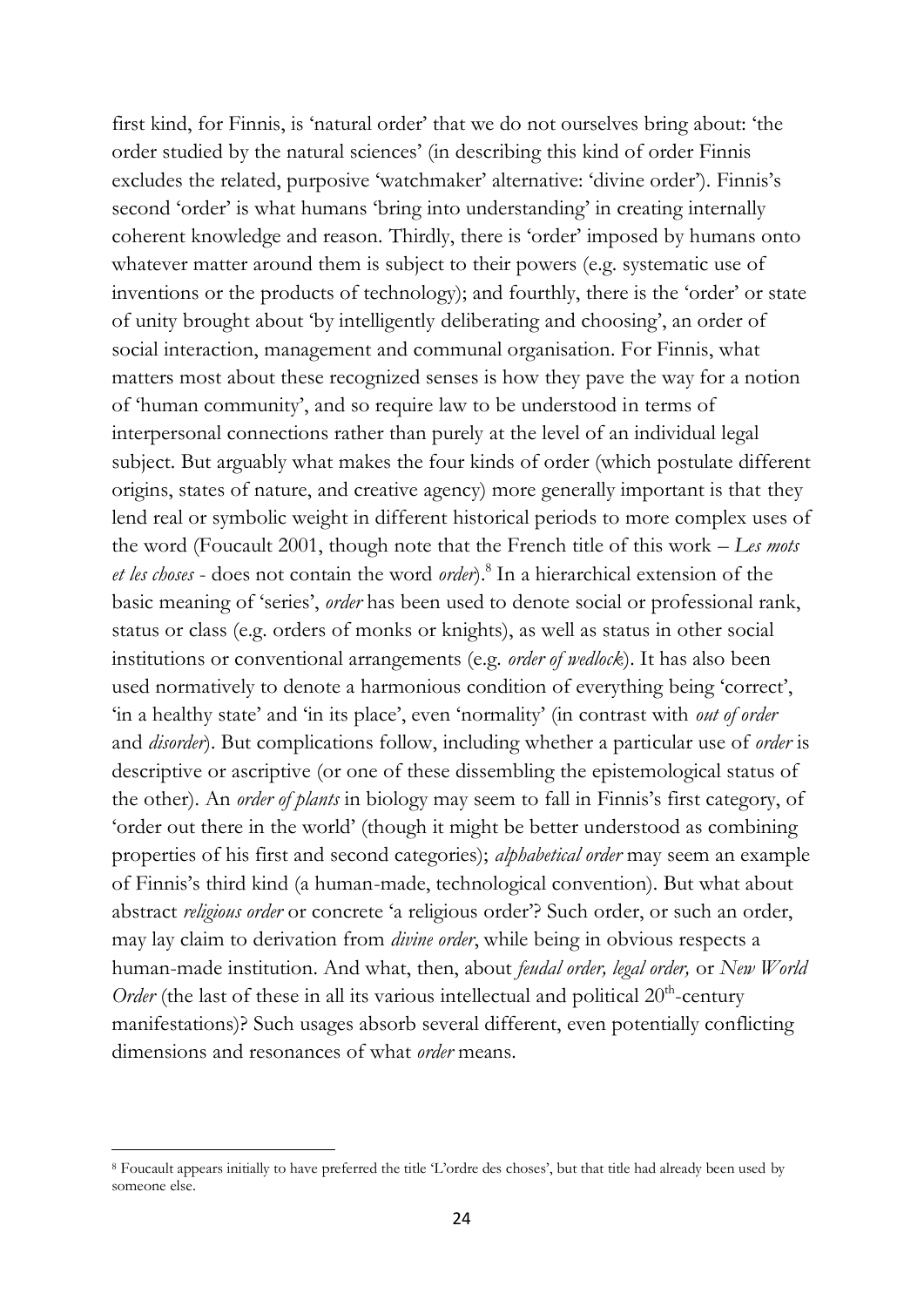first kind, for Finnis, is 'natural order' that we do not ourselves bring about: 'the order studied by the natural sciences' (in describing this kind of order Finnis excludes the related, purposive 'watchmaker' alternative: 'divine order'). Finnis's second 'order' is what humans 'bring into understanding' in creating internally coherent knowledge and reason. Thirdly, there is 'order' imposed by humans onto whatever matter around them is subject to their powers (e.g. systematic use of inventions or the products of technology); and fourthly, there is the 'order' or state of unity brought about 'by intelligently deliberating and choosing', an order of social interaction, management and communal organisation. For Finnis, what matters most about these recognized senses is how they pave the way for a notion of 'human community', and so require law to be understood in terms of interpersonal connections rather than purely at the level of an individual legal subject. But arguably what makes the four kinds of order (which postulate different origins, states of nature, and creative agency) more generally important is that they lend real or symbolic weight in different historical periods to more complex uses of the word (Foucault 2001, though note that the French title of this work – *Les mots et les choses* - does not contain the word *order*).<sup>8</sup> In a hierarchical extension of the basic meaning of 'series', *order* has been used to denote social or professional rank, status or class (e.g. orders of monks or knights), as well as status in other social institutions or conventional arrangements (e.g. *order of wedlock*). It has also been used normatively to denote a harmonious condition of everything being 'correct', 'in a healthy state' and 'in its place', even 'normality' (in contrast with *out of order* and *disorder*). But complications follow, including whether a particular use of *order* is descriptive or ascriptive (or one of these dissembling the epistemological status of the other). An *order of plants* in biology may seem to fall in Finnis's first category, of 'order out there in the world' (though it might be better understood as combining properties of his first and second categories); *alphabetical order* may seem an example of Finnis's third kind (a human-made, technological convention). But what about abstract *religious order* or concrete 'a religious order'? Such order, or such an order, may lay claim to derivation from *divine order*, while being in obvious respects a human-made institution. And what, then, about *feudal order, legal order,* or *New World*  Order (the last of these in all its various intellectual and political 20<sup>th</sup>-century manifestations)? Such usages absorb several different, even potentially conflicting dimensions and resonances of what *order* means.

-

<sup>8</sup> Foucault appears initially to have preferred the title 'L'ordre des choses', but that title had already been used by someone else.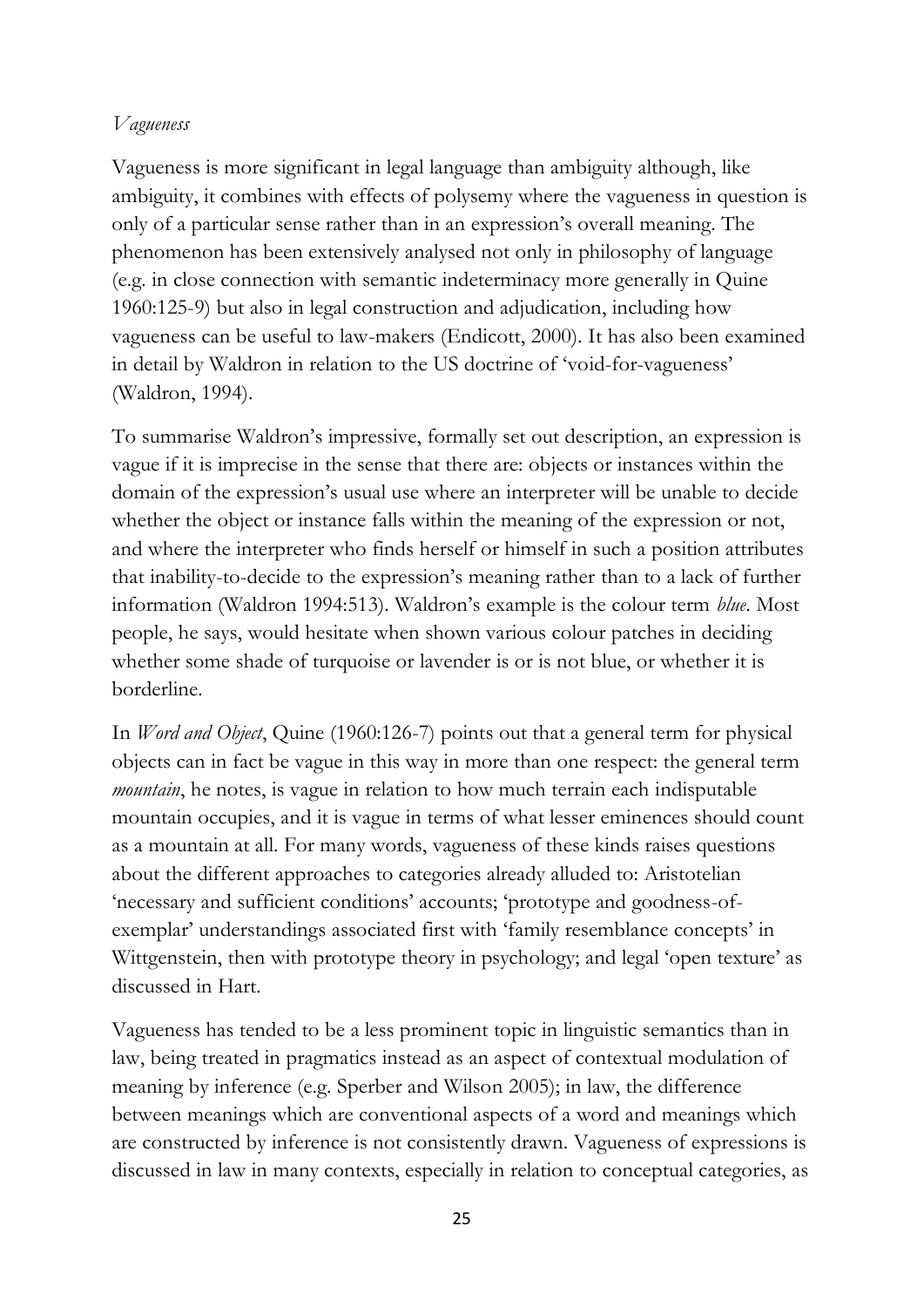# *Vagueness*

Vagueness is more significant in legal language than ambiguity although, like ambiguity, it combines with effects of polysemy where the vagueness in question is only of a particular sense rather than in an expression's overall meaning. The phenomenon has been extensively analysed not only in philosophy of language (e.g. in close connection with semantic indeterminacy more generally in Quine 1960:125-9) but also in legal construction and adjudication, including how vagueness can be useful to law-makers (Endicott, 2000). It has also been examined in detail by Waldron in relation to the US doctrine of 'void-for-vagueness' (Waldron, 1994).

To summarise Waldron's impressive, formally set out description, an expression is vague if it is imprecise in the sense that there are: objects or instances within the domain of the expression's usual use where an interpreter will be unable to decide whether the object or instance falls within the meaning of the expression or not, and where the interpreter who finds herself or himself in such a position attributes that inability-to-decide to the expression's meaning rather than to a lack of further information (Waldron 1994:513). Waldron's example is the colour term *blue*. Most people, he says, would hesitate when shown various colour patches in deciding whether some shade of turquoise or lavender is or is not blue, or whether it is borderline.

In *Word and Object*, Quine (1960:126-7) points out that a general term for physical objects can in fact be vague in this way in more than one respect: the general term *mountain*, he notes, is vague in relation to how much terrain each indisputable mountain occupies, and it is vague in terms of what lesser eminences should count as a mountain at all. For many words, vagueness of these kinds raises questions about the different approaches to categories already alluded to: Aristotelian 'necessary and sufficient conditions' accounts; 'prototype and goodness-ofexemplar' understandings associated first with 'family resemblance concepts' in Wittgenstein, then with prototype theory in psychology; and legal 'open texture' as discussed in Hart.

Vagueness has tended to be a less prominent topic in linguistic semantics than in law, being treated in pragmatics instead as an aspect of contextual modulation of meaning by inference (e.g. Sperber and Wilson 2005); in law, the difference between meanings which are conventional aspects of a word and meanings which are constructed by inference is not consistently drawn. Vagueness of expressions is discussed in law in many contexts, especially in relation to conceptual categories, as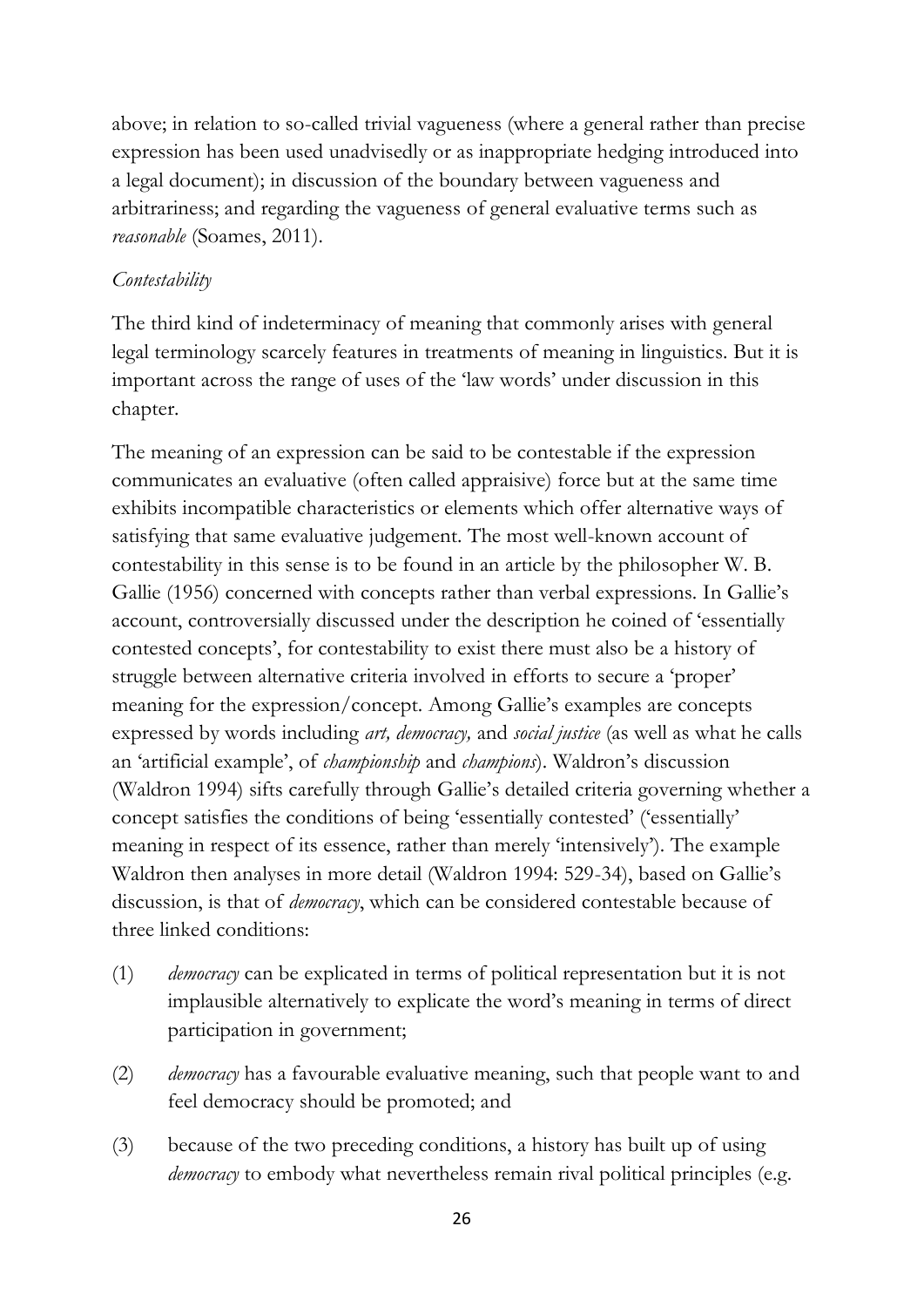above; in relation to so-called trivial vagueness (where a general rather than precise expression has been used unadvisedly or as inappropriate hedging introduced into a legal document); in discussion of the boundary between vagueness and arbitrariness; and regarding the vagueness of general evaluative terms such as *reasonable* (Soames, 2011).

#### *Contestability*

The third kind of indeterminacy of meaning that commonly arises with general legal terminology scarcely features in treatments of meaning in linguistics. But it is important across the range of uses of the 'law words' under discussion in this chapter.

The meaning of an expression can be said to be contestable if the expression communicates an evaluative (often called appraisive) force but at the same time exhibits incompatible characteristics or elements which offer alternative ways of satisfying that same evaluative judgement. The most well-known account of contestability in this sense is to be found in an article by the philosopher W. B. Gallie (1956) concerned with concepts rather than verbal expressions. In Gallie's account, controversially discussed under the description he coined of 'essentially contested concepts', for contestability to exist there must also be a history of struggle between alternative criteria involved in efforts to secure a 'proper' meaning for the expression/concept. Among Gallie's examples are concepts expressed by words including *art, democracy,* and *social justice* (as well as what he calls an 'artificial example', of *championship* and *champions*). Waldron's discussion (Waldron 1994) sifts carefully through Gallie's detailed criteria governing whether a concept satisfies the conditions of being 'essentially contested' ('essentially' meaning in respect of its essence, rather than merely 'intensively'). The example Waldron then analyses in more detail (Waldron 1994: 529-34), based on Gallie's discussion, is that of *democracy*, which can be considered contestable because of three linked conditions:

- (1) *democracy* can be explicated in terms of political representation but it is not implausible alternatively to explicate the word's meaning in terms of direct participation in government;
- (2) *democracy* has a favourable evaluative meaning, such that people want to and feel democracy should be promoted; and
- (3) because of the two preceding conditions, a history has built up of using *democracy* to embody what nevertheless remain rival political principles (e.g.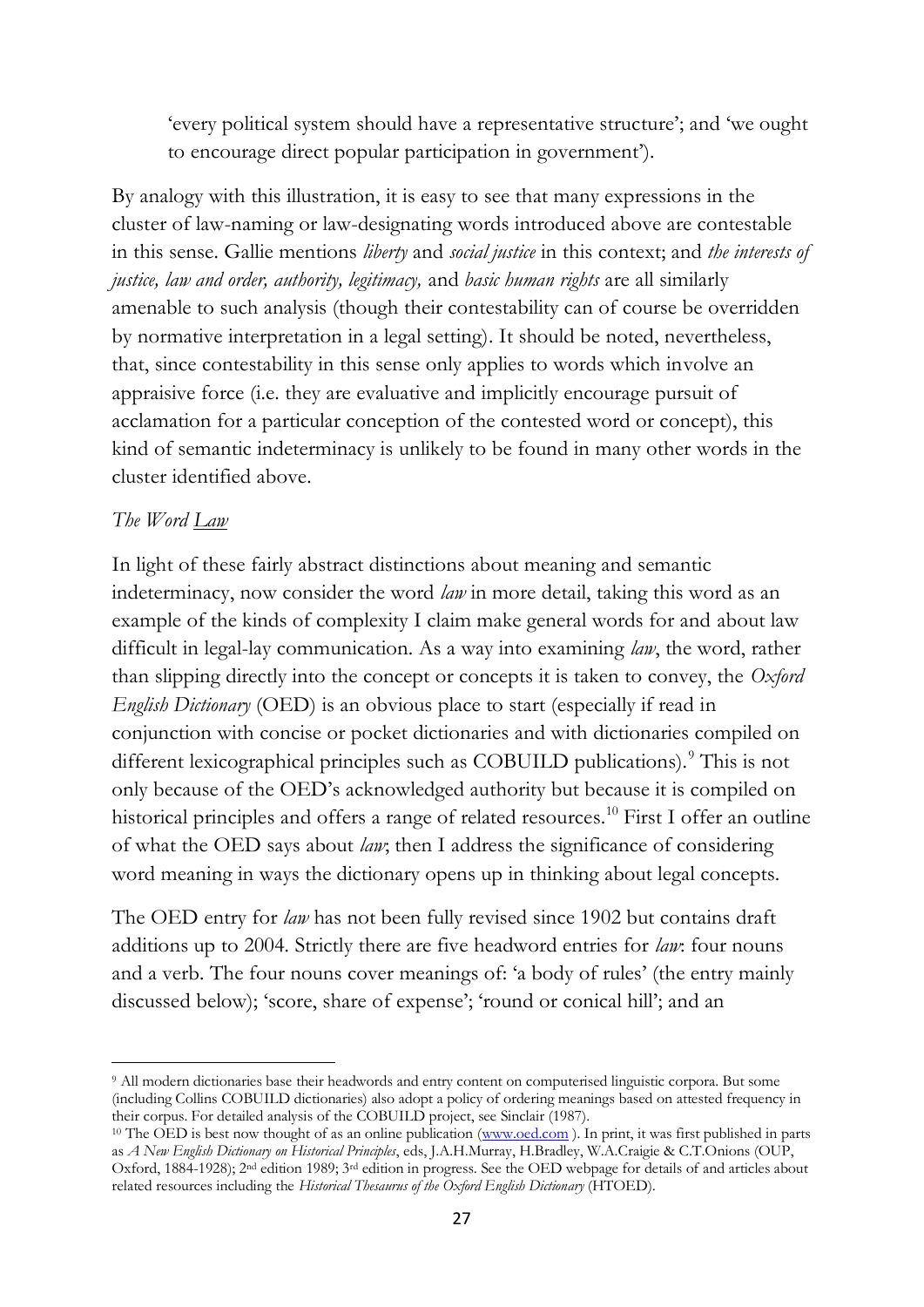'every political system should have a representative structure'; and 'we ought to encourage direct popular participation in government').

By analogy with this illustration, it is easy to see that many expressions in the cluster of law-naming or law-designating words introduced above are contestable in this sense. Gallie mentions *liberty* and *social justice* in this context; and *the interests of justice, law and order, authority, legitimacy,* and *basic human rights* are all similarly amenable to such analysis (though their contestability can of course be overridden by normative interpretation in a legal setting). It should be noted, nevertheless, that, since contestability in this sense only applies to words which involve an appraisive force (i.e. they are evaluative and implicitly encourage pursuit of acclamation for a particular conception of the contested word or concept), this kind of semantic indeterminacy is unlikely to be found in many other words in the cluster identified above.

#### *The Word Law*

In light of these fairly abstract distinctions about meaning and semantic indeterminacy, now consider the word *law* in more detail, taking this word as an example of the kinds of complexity I claim make general words for and about law difficult in legal-lay communication. As a way into examining *law*, the word, rather than slipping directly into the concept or concepts it is taken to convey, the *Oxford English Dictionary* (OED) is an obvious place to start (especially if read in conjunction with concise or pocket dictionaries and with dictionaries compiled on different lexicographical principles such as COBUILD publications).<sup>9</sup> This is not only because of the OED's acknowledged authority but because it is compiled on historical principles and offers a range of related resources.<sup>10</sup> First I offer an outline of what the OED says about *law*; then I address the significance of considering word meaning in ways the dictionary opens up in thinking about legal concepts.

The OED entry for *law* has not been fully revised since 1902 but contains draft additions up to 2004. Strictly there are five headword entries for *law*: four nouns and a verb. The four nouns cover meanings of: 'a body of rules' (the entry mainly discussed below); 'score, share of expense'; 'round or conical hill'; and an

<sup>-</sup><sup>9</sup> All modern dictionaries base their headwords and entry content on computerised linguistic corpora. But some (including Collins COBUILD dictionaries) also adopt a policy of ordering meanings based on attested frequency in their corpus. For detailed analysis of the COBUILD project, see Sinclair (1987).

<sup>&</sup>lt;sup>10</sup> The OED is best now thought of as an online publication  $(www.oed.com)$  $(www.oed.com)$ . In print, it was first published in parts as *A New English Dictionary on Historical Principles*, eds, J.A.H.Murray, H.Bradley, W.A.Craigie & C.T.Onions (OUP, Oxford, 1884-1928); 2nd edition 1989; 3rd edition in progress. See the OED webpage for details of and articles about related resources including the *Historical Thesaurus of the Oxford English Dictionary* (HTOED).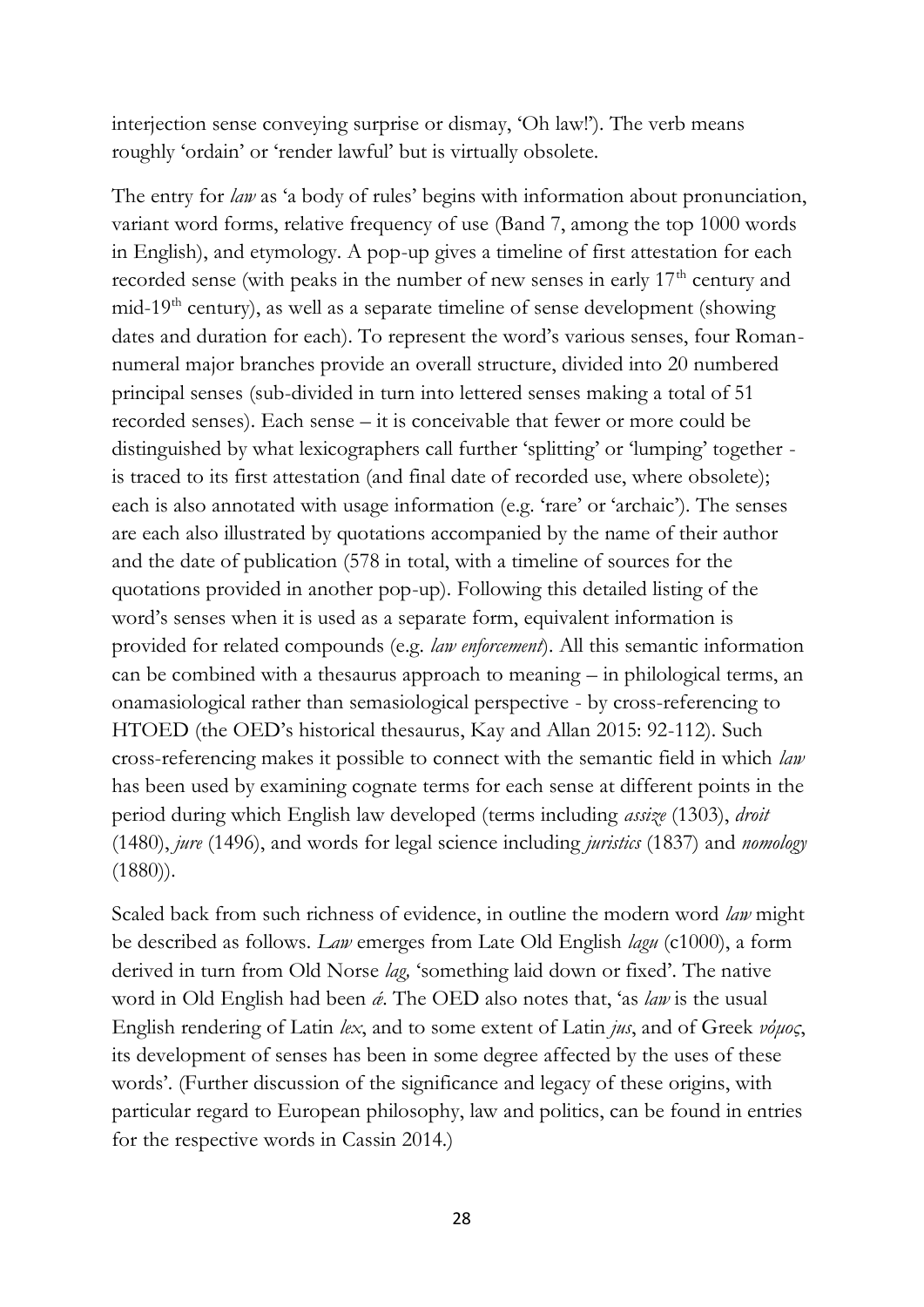interjection sense conveying surprise or dismay, 'Oh law!'). The verb means roughly 'ordain' or 'render lawful' but is virtually obsolete.

The entry for *law* as 'a body of rules' begins with information about pronunciation, variant word forms, relative frequency of use (Band 7, among the top 1000 words in English), and etymology. A pop-up gives a timeline of first attestation for each recorded sense (with peaks in the number of new senses in early  $17<sup>th</sup>$  century and  $mid-19<sup>th</sup>$  century), as well as a separate timeline of sense development (showing dates and duration for each). To represent the word's various senses, four Romannumeral major branches provide an overall structure, divided into 20 numbered principal senses (sub-divided in turn into lettered senses making a total of 51 recorded senses). Each sense – it is conceivable that fewer or more could be distinguished by what lexicographers call further 'splitting' or 'lumping' together is traced to its first attestation (and final date of recorded use, where obsolete); each is also annotated with usage information (e.g. 'rare' or 'archaic'). The senses are each also illustrated by quotations accompanied by the name of their author and the date of publication (578 in total, with a timeline of sources for the quotations provided in another pop-up). Following this detailed listing of the word's senses when it is used as a separate form, equivalent information is provided for related compounds (e.g. *law enforcement*). All this semantic information can be combined with a thesaurus approach to meaning – in philological terms, an onamasiological rather than semasiological perspective - by cross-referencing to HTOED (the OED's historical thesaurus, Kay and Allan 2015: 92-112). Such cross-referencing makes it possible to connect with the semantic field in which *law* has been used by examining cognate terms for each sense at different points in the period during which English law developed (terms including *assize* (1303), *droit* (1480), *jure* (1496), and words for legal science including *juristics* (1837) and *nomology*  $(1880)$ ).

Scaled back from such richness of evidence, in outline the modern word *law* might be described as follows. *Law* emerges from Late Old English *lagu* (c1000), a form derived in turn from Old Norse *lag,* 'something laid down or fixed'. The native word in Old English had been *ǽ*. The OED also notes that, 'as *law* is the usual English rendering of Latin *lex*, and to some extent of Latin *jus*, and of Greek *νόμος*, its development of senses has been in some degree affected by the uses of these words'. (Further discussion of the significance and legacy of these origins, with particular regard to European philosophy, law and politics, can be found in entries for the respective words in Cassin 2014.)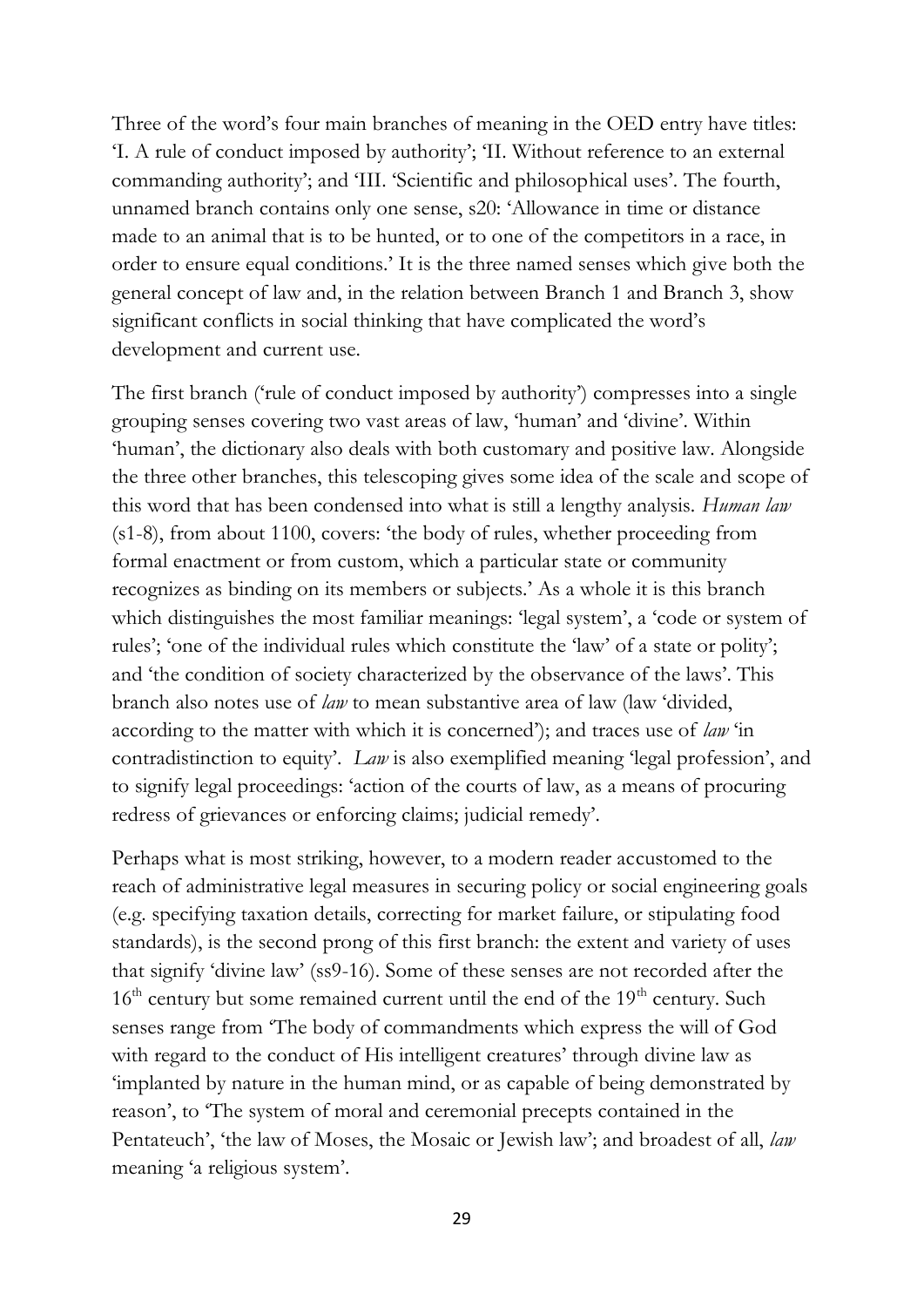Three of the word's four main branches of meaning in the OED entry have titles: 'I. A rule of conduct imposed by authority'; 'II. Without reference to an external commanding authority'; and 'III. 'Scientific and philosophical uses'. The fourth, unnamed branch contains only one sense, s20: 'Allowance in time or distance made to an animal that is to be hunted, or to one of the competitors in a race, in order to ensure equal conditions.' It is the three named senses which give both the general concept of law and, in the relation between Branch 1 and Branch 3, show significant conflicts in social thinking that have complicated the word's development and current use.

The first branch ('rule of conduct imposed by authority') compresses into a single grouping senses covering two vast areas of law, 'human' and 'divine'. Within 'human', the dictionary also deals with both customary and positive law. Alongside the three other branches, this telescoping gives some idea of the scale and scope of this word that has been condensed into what is still a lengthy analysis. *Human law* (s1-8), from about 1100, covers: 'the body of rules, whether proceeding from formal enactment or from custom, which a particular state or community recognizes as binding on its members or subjects.' As a whole it is this branch which distinguishes the most familiar meanings: 'legal system', a 'code or system of rules'; 'one of the individual rules which constitute the 'law' of a state or polity'; and 'the condition of society characterized by the observance of the laws'. This branch also notes use of *law* to mean substantive area of law (law 'divided, according to the matter with which it is concerned'); and traces use of *law* 'in contradistinction to equity'. *Law* is also exemplified meaning 'legal profession', and to signify legal proceedings: 'action of the courts of law, as a means of procuring redress of grievances or enforcing claims; judicial remedy'.

Perhaps what is most striking, however, to a modern reader accustomed to the reach of administrative legal measures in securing policy or social engineering goals (e.g. specifying taxation details, correcting for market failure, or stipulating food standards), is the second prong of this first branch: the extent and variety of uses that signify 'divine law' (ss9-16). Some of these senses are not recorded after the  $16<sup>th</sup>$  century but some remained current until the end of the  $19<sup>th</sup>$  century. Such senses range from 'The body of commandments which express the will of God with regard to the conduct of His intelligent creatures' through divine law as 'implanted by nature in the human mind, or as capable of being demonstrated by reason', to 'The system of moral and ceremonial precepts contained in the Pentateuch', 'the law of Moses, the Mosaic or Jewish law'; and broadest of all, *law* meaning 'a religious system'.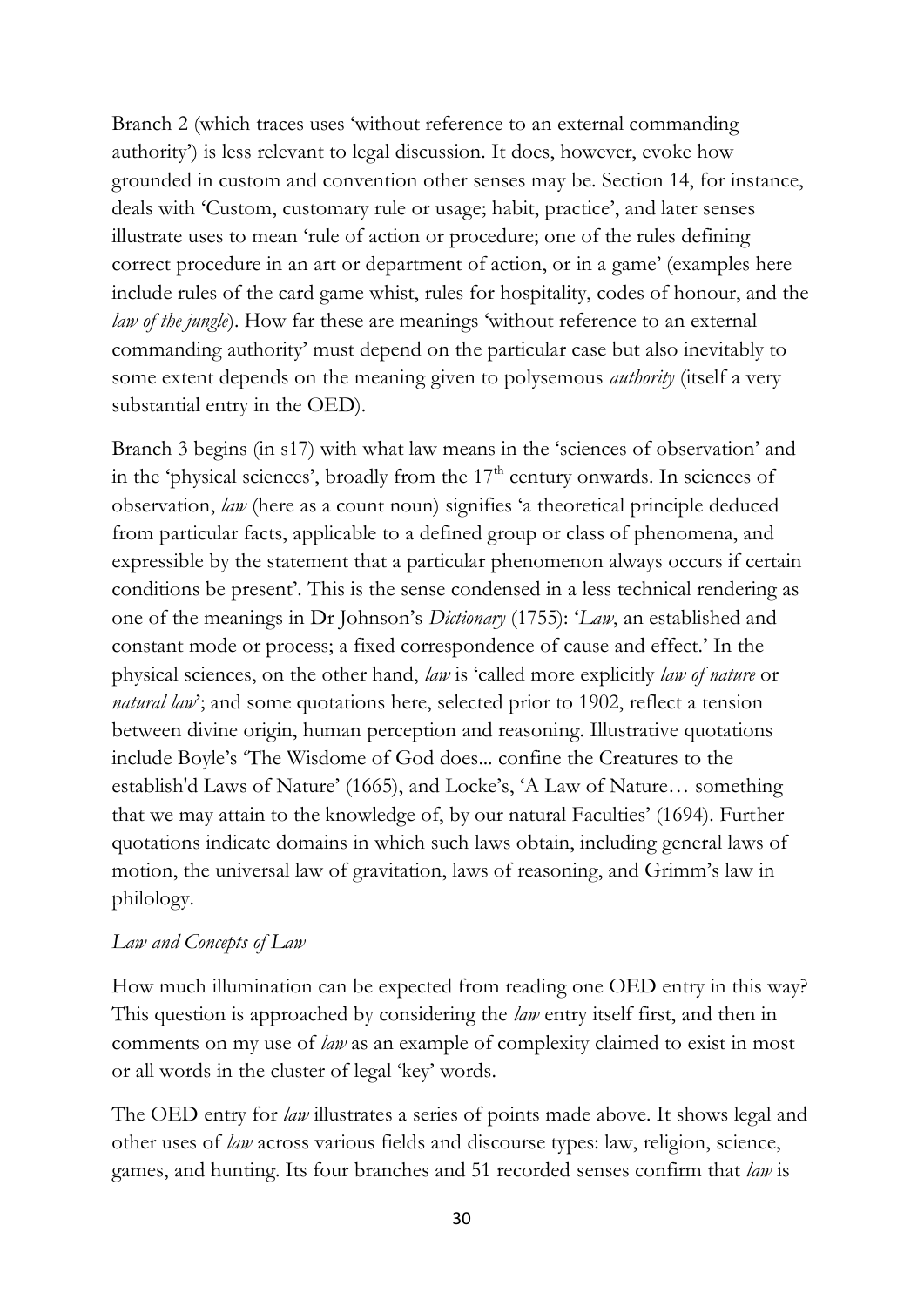Branch 2 (which traces uses 'without reference to an external commanding authority') is less relevant to legal discussion. It does, however, evoke how grounded in custom and convention other senses may be. Section 14, for instance, deals with 'Custom, customary rule or usage; habit, practice', and later senses illustrate uses to mean 'rule of action or procedure; one of the rules defining correct procedure in an art or department of action, or in a game' (examples here include rules of the card game whist, rules for hospitality, codes of honour, and the *law of the jungle*). How far these are meanings 'without reference to an external commanding authority' must depend on the particular case but also inevitably to some extent depends on the meaning given to polysemous *authority* (itself a very substantial entry in the OED).

Branch 3 begins (in s17) with what law means in the 'sciences of observation' and in the 'physical sciences', broadly from the  $17<sup>th</sup>$  century onwards. In sciences of observation, *law* (here as a count noun) signifies 'a theoretical principle deduced from particular facts, applicable to a defined group or class of phenomena, and expressible by the statement that a particular phenomenon always occurs if certain conditions be present'. This is the sense condensed in a less technical rendering as one of the meanings in Dr Johnson's *Dictionary* (1755): '*Law*, an established and constant mode or process; a fixed correspondence of cause and effect.' In the physical sciences, on the other hand, *law* is 'called more explicitly *law of nature* or *natural law*'; and some quotations here, selected prior to 1902, reflect a tension between divine origin, human perception and reasoning. Illustrative quotations include Boyle's 'The Wisdome of God does... confine the Creatures to the establish'd Laws of Nature' (1665), and Locke's, 'A Law of Nature… something that we may attain to the knowledge of, by our natural Faculties' (1694). Further quotations indicate domains in which such laws obtain, including general laws of motion, the universal law of gravitation, laws of reasoning, and Grimm's law in philology.

#### *Law and Concepts of Law*

How much illumination can be expected from reading one OED entry in this way? This question is approached by considering the *law* entry itself first, and then in comments on my use of *law* as an example of complexity claimed to exist in most or all words in the cluster of legal 'key' words.

The OED entry for *law* illustrates a series of points made above. It shows legal and other uses of *law* across various fields and discourse types: law, religion, science, games, and hunting. Its four branches and 51 recorded senses confirm that *law* is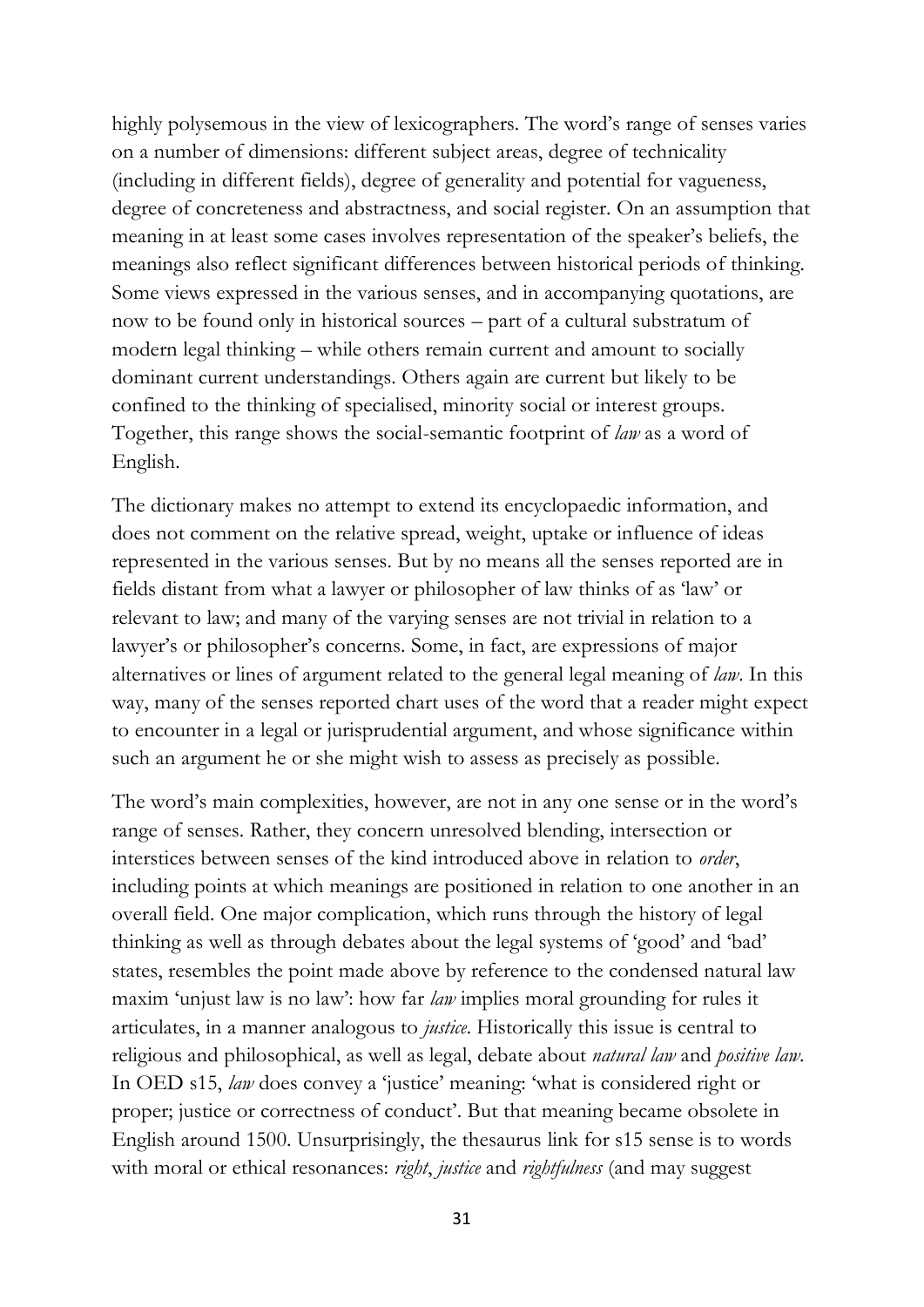highly polysemous in the view of lexicographers. The word's range of senses varies on a number of dimensions: different subject areas, degree of technicality (including in different fields), degree of generality and potential for vagueness, degree of concreteness and abstractness, and social register. On an assumption that meaning in at least some cases involves representation of the speaker's beliefs, the meanings also reflect significant differences between historical periods of thinking. Some views expressed in the various senses, and in accompanying quotations, are now to be found only in historical sources – part of a cultural substratum of modern legal thinking – while others remain current and amount to socially dominant current understandings. Others again are current but likely to be confined to the thinking of specialised, minority social or interest groups. Together, this range shows the social-semantic footprint of *law* as a word of English.

The dictionary makes no attempt to extend its encyclopaedic information, and does not comment on the relative spread, weight, uptake or influence of ideas represented in the various senses. But by no means all the senses reported are in fields distant from what a lawyer or philosopher of law thinks of as 'law' or relevant to law; and many of the varying senses are not trivial in relation to a lawyer's or philosopher's concerns. Some, in fact, are expressions of major alternatives or lines of argument related to the general legal meaning of *law*. In this way, many of the senses reported chart uses of the word that a reader might expect to encounter in a legal or jurisprudential argument, and whose significance within such an argument he or she might wish to assess as precisely as possible.

The word's main complexities, however, are not in any one sense or in the word's range of senses. Rather, they concern unresolved blending, intersection or interstices between senses of the kind introduced above in relation to *order*, including points at which meanings are positioned in relation to one another in an overall field. One major complication, which runs through the history of legal thinking as well as through debates about the legal systems of 'good' and 'bad' states, resembles the point made above by reference to the condensed natural law maxim 'unjust law is no law': how far *law* implies moral grounding for rules it articulates, in a manner analogous to *justice*. Historically this issue is central to religious and philosophical, as well as legal, debate about *natural law* and *positive law*. In OED s15, *law* does convey a 'justice' meaning: 'what is considered right or proper; justice or correctness of conduct'. But that meaning became obsolete in English around 1500. Unsurprisingly, the thesaurus link for s15 sense is to words with moral or ethical resonances: *right*, *justice* and *rightfulness* (and may suggest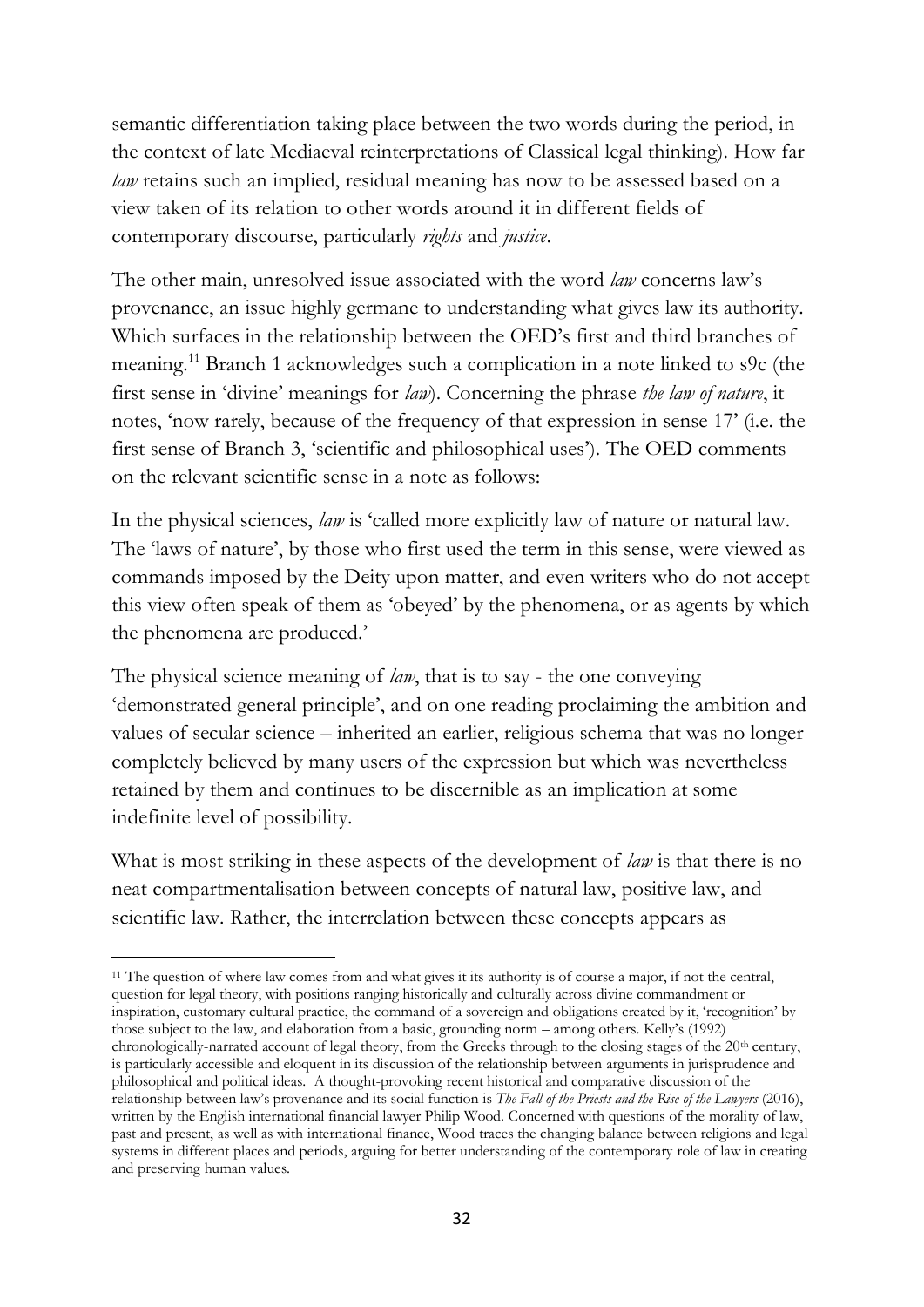semantic differentiation taking place between the two words during the period, in the context of late Mediaeval reinterpretations of Classical legal thinking). How far *law* retains such an implied, residual meaning has now to be assessed based on a view taken of its relation to other words around it in different fields of contemporary discourse, particularly *rights* and *justice*.

The other main, unresolved issue associated with the word *law* concerns law's provenance, an issue highly germane to understanding what gives law its authority. Which surfaces in the relationship between the OED's first and third branches of meaning.<sup>11</sup> Branch 1 acknowledges such a complication in a note linked to s9c (the first sense in 'divine' meanings for *law*). Concerning the phrase *the law of nature*, it notes, 'now rarely, because of the frequency of that expression in sense 17' (i.e. the first sense of Branch 3, 'scientific and philosophical uses'). The OED comments on the relevant scientific sense in a note as follows:

In the physical sciences, *law* is 'called more explicitly law of nature or natural law. The 'laws of nature', by those who first used the term in this sense, were viewed as commands imposed by the Deity upon matter, and even writers who do not accept this view often speak of them as 'obeyed' by the phenomena, or as agents by which the phenomena are produced.'

The physical science meaning of *law*, that is to say - the one conveying 'demonstrated general principle', and on one reading proclaiming the ambition and values of secular science – inherited an earlier, religious schema that was no longer completely believed by many users of the expression but which was nevertheless retained by them and continues to be discernible as an implication at some indefinite level of possibility.

What is most striking in these aspects of the development of *law* is that there is no neat compartmentalisation between concepts of natural law, positive law, and scientific law. Rather, the interrelation between these concepts appears as

-

<sup>&</sup>lt;sup>11</sup> The question of where law comes from and what gives it its authority is of course a major, if not the central, question for legal theory, with positions ranging historically and culturally across divine commandment or inspiration, customary cultural practice, the command of a sovereign and obligations created by it, 'recognition' by those subject to the law, and elaboration from a basic, grounding norm – among others. Kelly's (1992) chronologically-narrated account of legal theory, from the Greeks through to the closing stages of the 20<sup>th</sup> century, is particularly accessible and eloquent in its discussion of the relationship between arguments in jurisprudence and philosophical and political ideas. A thought-provoking recent historical and comparative discussion of the relationship between law's provenance and its social function is *The Fall of the Priests and the Rise of the Lawyers* (2016), written by the English international financial lawyer Philip Wood. Concerned with questions of the morality of law, past and present, as well as with international finance, Wood traces the changing balance between religions and legal systems in different places and periods, arguing for better understanding of the contemporary role of law in creating and preserving human values.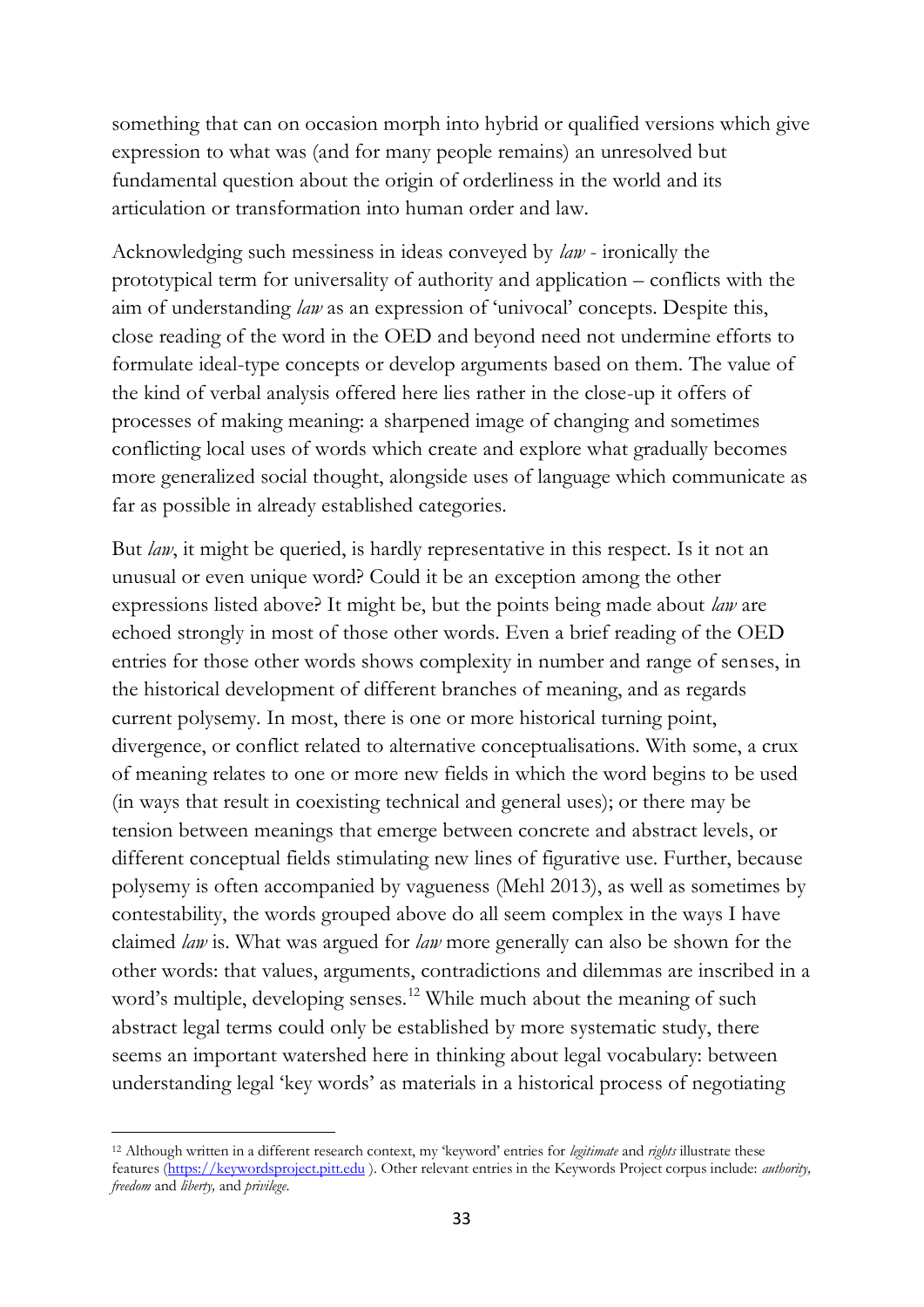something that can on occasion morph into hybrid or qualified versions which give expression to what was (and for many people remains) an unresolved but fundamental question about the origin of orderliness in the world and its articulation or transformation into human order and law.

Acknowledging such messiness in ideas conveyed by *law* - ironically the prototypical term for universality of authority and application – conflicts with the aim of understanding *law* as an expression of 'univocal' concepts. Despite this, close reading of the word in the OED and beyond need not undermine efforts to formulate ideal-type concepts or develop arguments based on them. The value of the kind of verbal analysis offered here lies rather in the close-up it offers of processes of making meaning: a sharpened image of changing and sometimes conflicting local uses of words which create and explore what gradually becomes more generalized social thought, alongside uses of language which communicate as far as possible in already established categories.

But *law*, it might be queried, is hardly representative in this respect. Is it not an unusual or even unique word? Could it be an exception among the other expressions listed above? It might be, but the points being made about *law* are echoed strongly in most of those other words. Even a brief reading of the OED entries for those other words shows complexity in number and range of senses, in the historical development of different branches of meaning, and as regards current polysemy. In most, there is one or more historical turning point, divergence, or conflict related to alternative conceptualisations. With some, a crux of meaning relates to one or more new fields in which the word begins to be used (in ways that result in coexisting technical and general uses); or there may be tension between meanings that emerge between concrete and abstract levels, or different conceptual fields stimulating new lines of figurative use. Further, because polysemy is often accompanied by vagueness (Mehl 2013), as well as sometimes by contestability, the words grouped above do all seem complex in the ways I have claimed *law* is. What was argued for *law* more generally can also be shown for the other words: that values, arguments, contradictions and dilemmas are inscribed in a word's multiple, developing senses.<sup>12</sup> While much about the meaning of such abstract legal terms could only be established by more systematic study, there seems an important watershed here in thinking about legal vocabulary: between understanding legal 'key words' as materials in a historical process of negotiating

<sup>-</sup><sup>12</sup> Although written in a different research context, my 'keyword' entries for *legitimate* and *rights* illustrate these features [\(https://keywordsproject.pitt.edu](https://keywordsproject.pitt.edu/) ). Other relevant entries in the Keywords Project corpus include: *authority, freedom* and *liberty,* and *privilege*.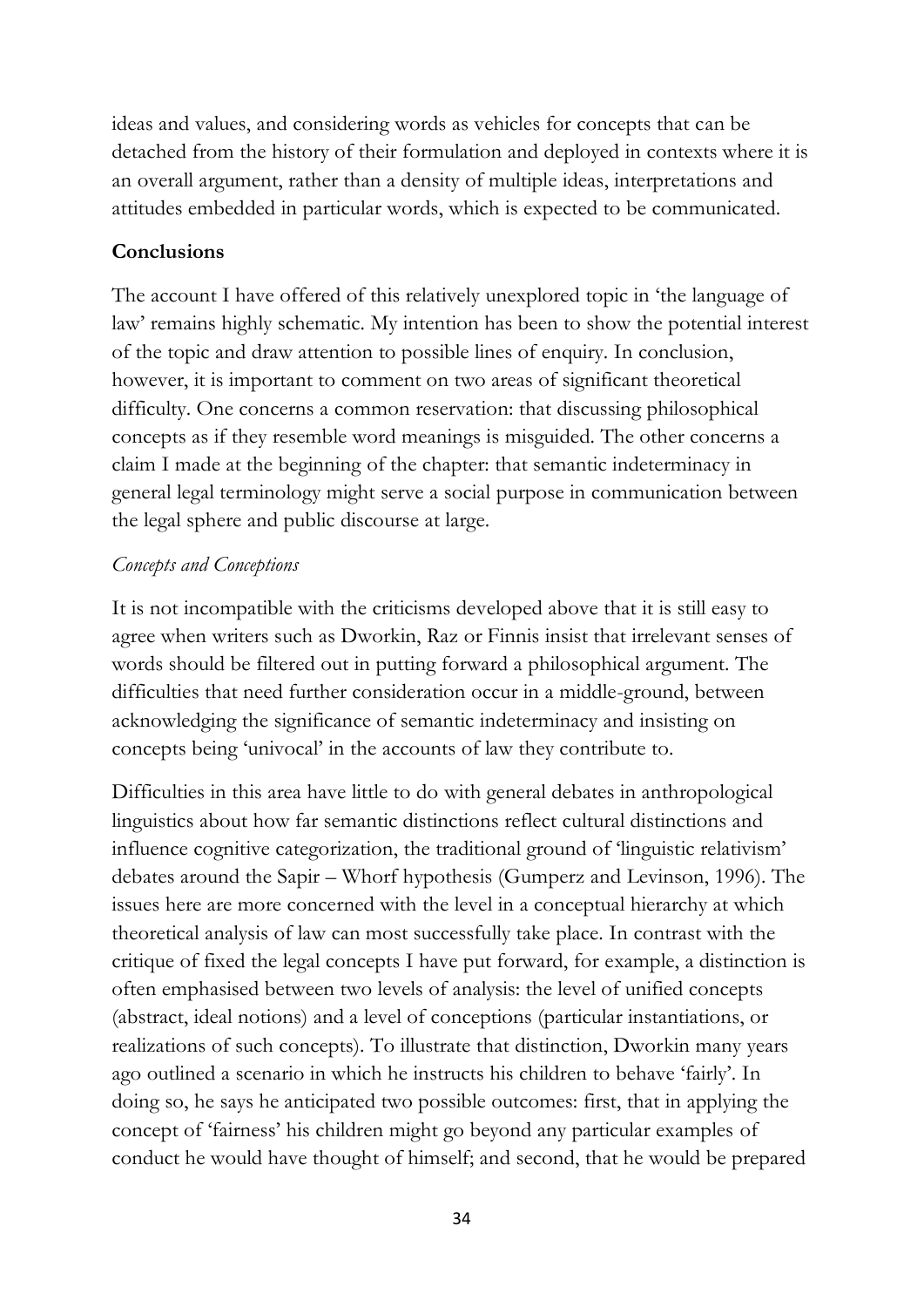ideas and values, and considering words as vehicles for concepts that can be detached from the history of their formulation and deployed in contexts where it is an overall argument, rather than a density of multiple ideas, interpretations and attitudes embedded in particular words, which is expected to be communicated.

#### **Conclusions**

The account I have offered of this relatively unexplored topic in 'the language of law' remains highly schematic. My intention has been to show the potential interest of the topic and draw attention to possible lines of enquiry. In conclusion, however, it is important to comment on two areas of significant theoretical difficulty. One concerns a common reservation: that discussing philosophical concepts as if they resemble word meanings is misguided. The other concerns a claim I made at the beginning of the chapter: that semantic indeterminacy in general legal terminology might serve a social purpose in communication between the legal sphere and public discourse at large.

# *Concepts and Conceptions*

It is not incompatible with the criticisms developed above that it is still easy to agree when writers such as Dworkin, Raz or Finnis insist that irrelevant senses of words should be filtered out in putting forward a philosophical argument. The difficulties that need further consideration occur in a middle-ground, between acknowledging the significance of semantic indeterminacy and insisting on concepts being 'univocal' in the accounts of law they contribute to.

Difficulties in this area have little to do with general debates in anthropological linguistics about how far semantic distinctions reflect cultural distinctions and influence cognitive categorization, the traditional ground of 'linguistic relativism' debates around the Sapir – Whorf hypothesis (Gumperz and Levinson, 1996). The issues here are more concerned with the level in a conceptual hierarchy at which theoretical analysis of law can most successfully take place. In contrast with the critique of fixed the legal concepts I have put forward, for example, a distinction is often emphasised between two levels of analysis: the level of unified concepts (abstract, ideal notions) and a level of conceptions (particular instantiations, or realizations of such concepts). To illustrate that distinction, Dworkin many years ago outlined a scenario in which he instructs his children to behave 'fairly'. In doing so, he says he anticipated two possible outcomes: first, that in applying the concept of 'fairness' his children might go beyond any particular examples of conduct he would have thought of himself; and second, that he would be prepared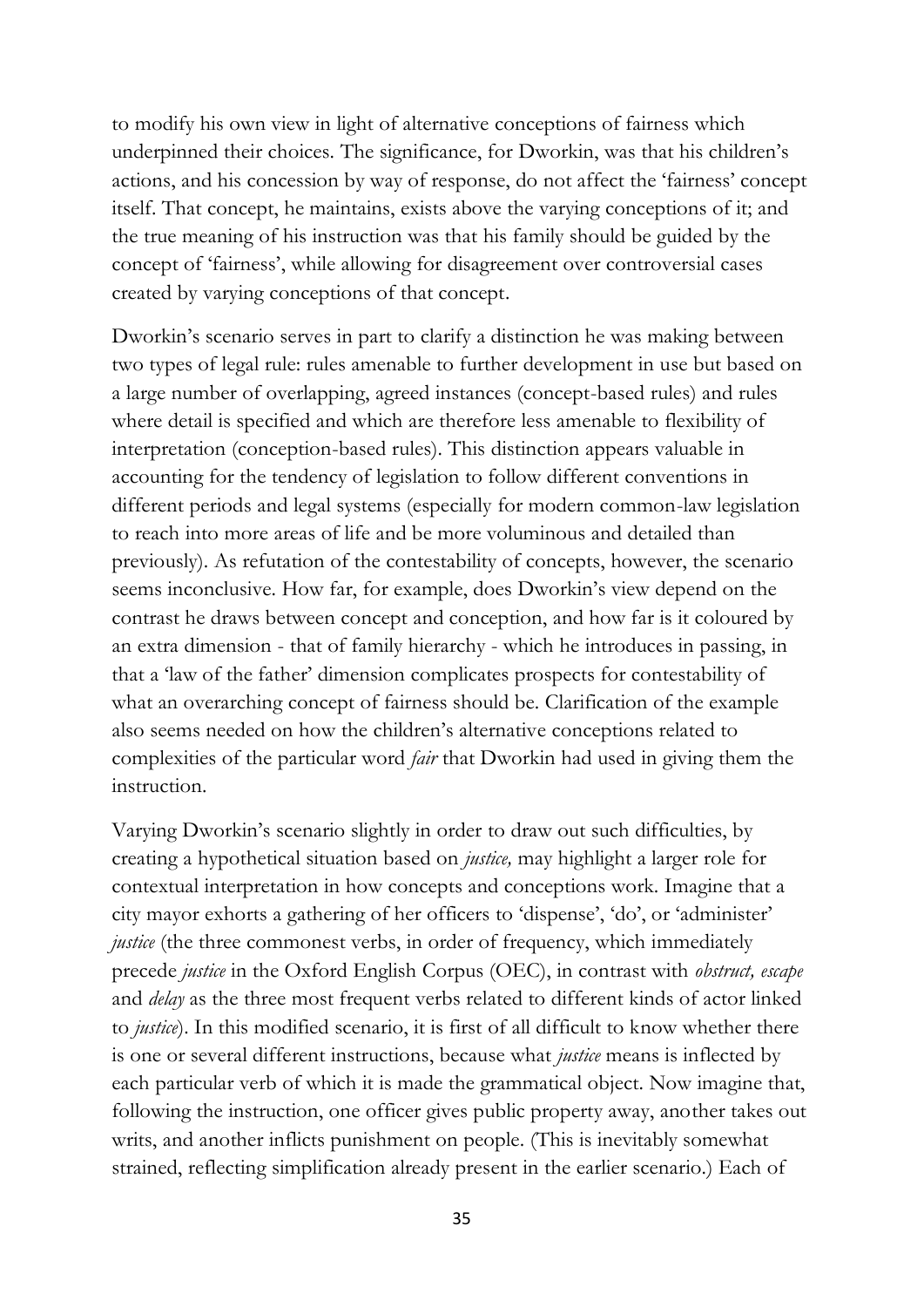to modify his own view in light of alternative conceptions of fairness which underpinned their choices. The significance, for Dworkin, was that his children's actions, and his concession by way of response, do not affect the 'fairness' concept itself. That concept, he maintains, exists above the varying conceptions of it; and the true meaning of his instruction was that his family should be guided by the concept of 'fairness', while allowing for disagreement over controversial cases created by varying conceptions of that concept.

Dworkin's scenario serves in part to clarify a distinction he was making between two types of legal rule: rules amenable to further development in use but based on a large number of overlapping, agreed instances (concept-based rules) and rules where detail is specified and which are therefore less amenable to flexibility of interpretation (conception-based rules). This distinction appears valuable in accounting for the tendency of legislation to follow different conventions in different periods and legal systems (especially for modern common-law legislation to reach into more areas of life and be more voluminous and detailed than previously). As refutation of the contestability of concepts, however, the scenario seems inconclusive. How far, for example, does Dworkin's view depend on the contrast he draws between concept and conception, and how far is it coloured by an extra dimension - that of family hierarchy - which he introduces in passing, in that a 'law of the father' dimension complicates prospects for contestability of what an overarching concept of fairness should be. Clarification of the example also seems needed on how the children's alternative conceptions related to complexities of the particular word *fair* that Dworkin had used in giving them the instruction.

Varying Dworkin's scenario slightly in order to draw out such difficulties, by creating a hypothetical situation based on *justice,* may highlight a larger role for contextual interpretation in how concepts and conceptions work. Imagine that a city mayor exhorts a gathering of her officers to 'dispense', 'do', or 'administer' *justice* (the three commonest verbs, in order of frequency, which immediately precede *justice* in the Oxford English Corpus (OEC), in contrast with *obstruct, escape* and *delay* as the three most frequent verbs related to different kinds of actor linked to *justice*). In this modified scenario, it is first of all difficult to know whether there is one or several different instructions, because what *justice* means is inflected by each particular verb of which it is made the grammatical object. Now imagine that, following the instruction, one officer gives public property away, another takes out writs, and another inflicts punishment on people. (This is inevitably somewhat strained, reflecting simplification already present in the earlier scenario.) Each of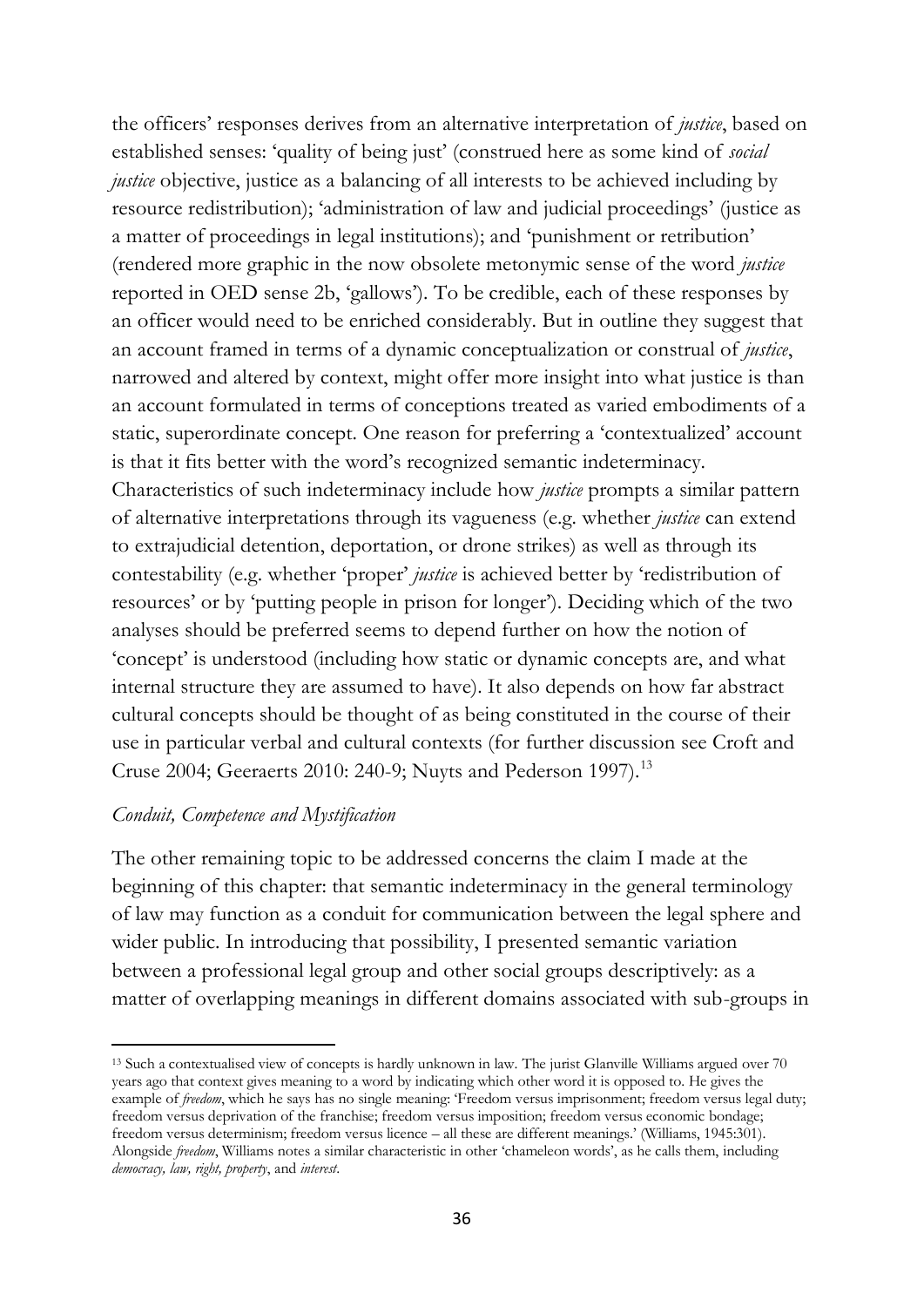the officers' responses derives from an alternative interpretation of *justice*, based on established senses: 'quality of being just' (construed here as some kind of *social justice* objective, justice as a balancing of all interests to be achieved including by resource redistribution); 'administration of law and judicial proceedings' (justice as a matter of proceedings in legal institutions); and 'punishment or retribution' (rendered more graphic in the now obsolete metonymic sense of the word *justice* reported in OED sense 2b, 'gallows'). To be credible, each of these responses by an officer would need to be enriched considerably. But in outline they suggest that an account framed in terms of a dynamic conceptualization or construal of *justice*, narrowed and altered by context, might offer more insight into what justice is than an account formulated in terms of conceptions treated as varied embodiments of a static, superordinate concept. One reason for preferring a 'contextualized' account is that it fits better with the word's recognized semantic indeterminacy. Characteristics of such indeterminacy include how *justice* prompts a similar pattern of alternative interpretations through its vagueness (e.g. whether *justice* can extend to extrajudicial detention, deportation, or drone strikes) as well as through its contestability (e.g. whether 'proper' *justice* is achieved better by 'redistribution of resources' or by 'putting people in prison for longer'). Deciding which of the two analyses should be preferred seems to depend further on how the notion of 'concept' is understood (including how static or dynamic concepts are, and what internal structure they are assumed to have). It also depends on how far abstract cultural concepts should be thought of as being constituted in the course of their use in particular verbal and cultural contexts (for further discussion see Croft and Cruse 2004; Geeraerts 2010: 240-9; Nuyts and Pederson 1997).<sup>13</sup>

#### *Conduit, Competence and Mystification*

The other remaining topic to be addressed concerns the claim I made at the beginning of this chapter: that semantic indeterminacy in the general terminology of law may function as a conduit for communication between the legal sphere and wider public. In introducing that possibility, I presented semantic variation between a professional legal group and other social groups descriptively: as a matter of overlapping meanings in different domains associated with sub-groups in

<sup>-</sup><sup>13</sup> Such a contextualised view of concepts is hardly unknown in law. The jurist Glanville Williams argued over 70 years ago that context gives meaning to a word by indicating which other word it is opposed to. He gives the example of *freedom*, which he says has no single meaning: 'Freedom versus imprisonment; freedom versus legal duty; freedom versus deprivation of the franchise; freedom versus imposition; freedom versus economic bondage; freedom versus determinism; freedom versus licence – all these are different meanings.' (Williams, 1945:301). Alongside *freedom*, Williams notes a similar characteristic in other 'chameleon words', as he calls them, including *democracy, law, right, property*, and *interest*.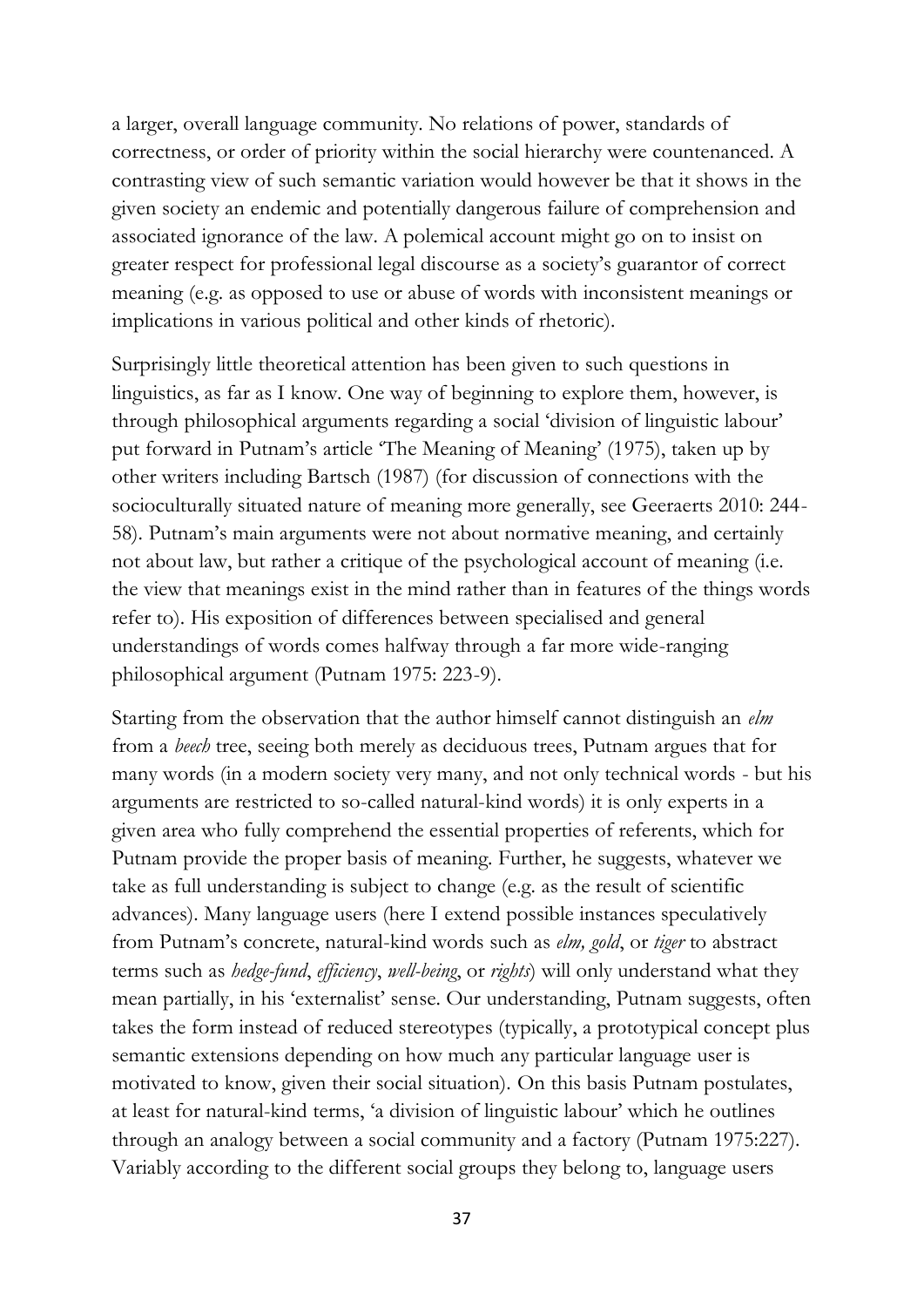a larger, overall language community. No relations of power, standards of correctness, or order of priority within the social hierarchy were countenanced. A contrasting view of such semantic variation would however be that it shows in the given society an endemic and potentially dangerous failure of comprehension and associated ignorance of the law. A polemical account might go on to insist on greater respect for professional legal discourse as a society's guarantor of correct meaning (e.g. as opposed to use or abuse of words with inconsistent meanings or implications in various political and other kinds of rhetoric).

Surprisingly little theoretical attention has been given to such questions in linguistics, as far as I know. One way of beginning to explore them, however, is through philosophical arguments regarding a social 'division of linguistic labour' put forward in Putnam's article 'The Meaning of Meaning' (1975), taken up by other writers including Bartsch (1987) (for discussion of connections with the socioculturally situated nature of meaning more generally, see Geeraerts 2010: 244- 58). Putnam's main arguments were not about normative meaning, and certainly not about law, but rather a critique of the psychological account of meaning (i.e. the view that meanings exist in the mind rather than in features of the things words refer to). His exposition of differences between specialised and general understandings of words comes halfway through a far more wide-ranging philosophical argument (Putnam 1975: 223-9).

Starting from the observation that the author himself cannot distinguish an *elm* from a *beech* tree, seeing both merely as deciduous trees, Putnam argues that for many words (in a modern society very many, and not only technical words - but his arguments are restricted to so-called natural-kind words) it is only experts in a given area who fully comprehend the essential properties of referents, which for Putnam provide the proper basis of meaning. Further, he suggests, whatever we take as full understanding is subject to change (e.g. as the result of scientific advances). Many language users (here I extend possible instances speculatively from Putnam's concrete, natural-kind words such as *elm, gold*, or *tiger* to abstract terms such as *hedge-fund*, *efficiency*, *well-being*, or *rights*) will only understand what they mean partially, in his 'externalist' sense. Our understanding, Putnam suggests, often takes the form instead of reduced stereotypes (typically, a prototypical concept plus semantic extensions depending on how much any particular language user is motivated to know, given their social situation). On this basis Putnam postulates, at least for natural-kind terms, 'a division of linguistic labour' which he outlines through an analogy between a social community and a factory (Putnam 1975:227). Variably according to the different social groups they belong to, language users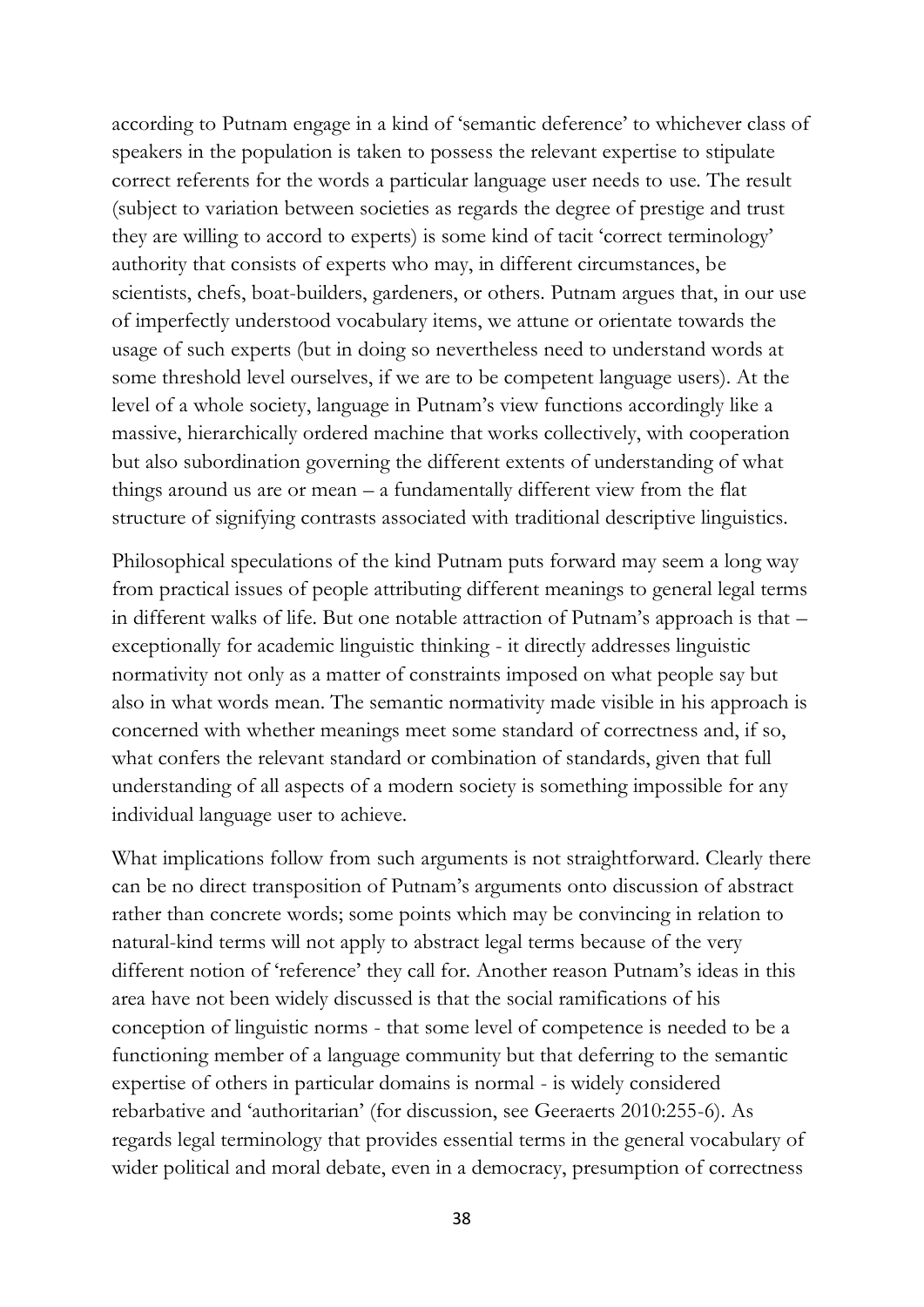according to Putnam engage in a kind of 'semantic deference' to whichever class of speakers in the population is taken to possess the relevant expertise to stipulate correct referents for the words a particular language user needs to use. The result (subject to variation between societies as regards the degree of prestige and trust they are willing to accord to experts) is some kind of tacit 'correct terminology' authority that consists of experts who may, in different circumstances, be scientists, chefs, boat-builders, gardeners, or others. Putnam argues that, in our use of imperfectly understood vocabulary items, we attune or orientate towards the usage of such experts (but in doing so nevertheless need to understand words at some threshold level ourselves, if we are to be competent language users). At the level of a whole society, language in Putnam's view functions accordingly like a massive, hierarchically ordered machine that works collectively, with cooperation but also subordination governing the different extents of understanding of what things around us are or mean – a fundamentally different view from the flat structure of signifying contrasts associated with traditional descriptive linguistics.

Philosophical speculations of the kind Putnam puts forward may seem a long way from practical issues of people attributing different meanings to general legal terms in different walks of life. But one notable attraction of Putnam's approach is that – exceptionally for academic linguistic thinking - it directly addresses linguistic normativity not only as a matter of constraints imposed on what people say but also in what words mean. The semantic normativity made visible in his approach is concerned with whether meanings meet some standard of correctness and, if so, what confers the relevant standard or combination of standards, given that full understanding of all aspects of a modern society is something impossible for any individual language user to achieve.

What implications follow from such arguments is not straightforward. Clearly there can be no direct transposition of Putnam's arguments onto discussion of abstract rather than concrete words; some points which may be convincing in relation to natural-kind terms will not apply to abstract legal terms because of the very different notion of 'reference' they call for. Another reason Putnam's ideas in this area have not been widely discussed is that the social ramifications of his conception of linguistic norms - that some level of competence is needed to be a functioning member of a language community but that deferring to the semantic expertise of others in particular domains is normal - is widely considered rebarbative and 'authoritarian' (for discussion, see Geeraerts 2010:255-6). As regards legal terminology that provides essential terms in the general vocabulary of wider political and moral debate, even in a democracy, presumption of correctness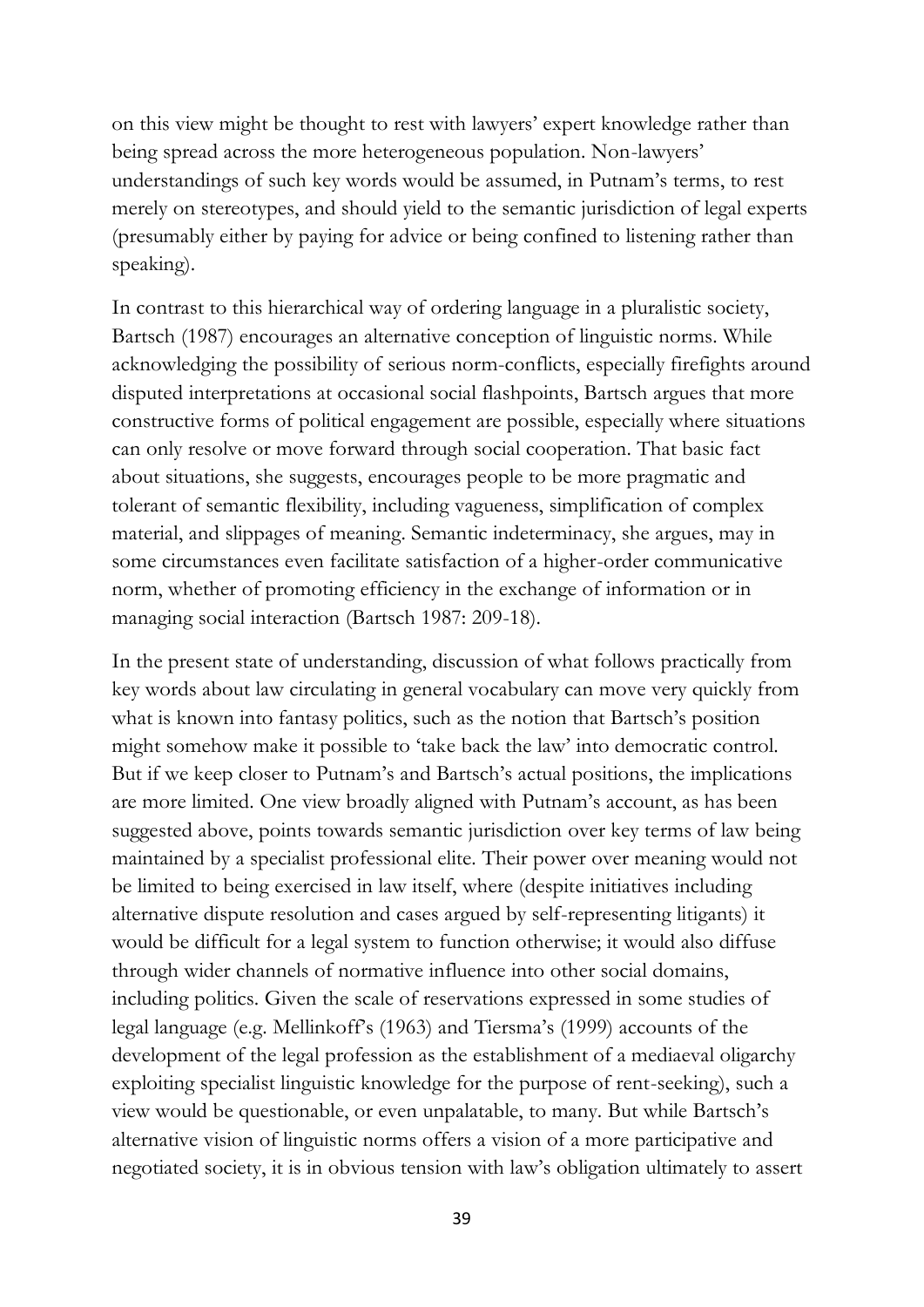on this view might be thought to rest with lawyers' expert knowledge rather than being spread across the more heterogeneous population. Non-lawyers' understandings of such key words would be assumed, in Putnam's terms, to rest merely on stereotypes, and should yield to the semantic jurisdiction of legal experts (presumably either by paying for advice or being confined to listening rather than speaking).

In contrast to this hierarchical way of ordering language in a pluralistic society, Bartsch (1987) encourages an alternative conception of linguistic norms. While acknowledging the possibility of serious norm-conflicts, especially firefights around disputed interpretations at occasional social flashpoints, Bartsch argues that more constructive forms of political engagement are possible, especially where situations can only resolve or move forward through social cooperation. That basic fact about situations, she suggests, encourages people to be more pragmatic and tolerant of semantic flexibility, including vagueness, simplification of complex material, and slippages of meaning. Semantic indeterminacy, she argues, may in some circumstances even facilitate satisfaction of a higher-order communicative norm, whether of promoting efficiency in the exchange of information or in managing social interaction (Bartsch 1987: 209-18).

In the present state of understanding, discussion of what follows practically from key words about law circulating in general vocabulary can move very quickly from what is known into fantasy politics, such as the notion that Bartsch's position might somehow make it possible to 'take back the law' into democratic control. But if we keep closer to Putnam's and Bartsch's actual positions, the implications are more limited. One view broadly aligned with Putnam's account, as has been suggested above, points towards semantic jurisdiction over key terms of law being maintained by a specialist professional elite. Their power over meaning would not be limited to being exercised in law itself, where (despite initiatives including alternative dispute resolution and cases argued by self-representing litigants) it would be difficult for a legal system to function otherwise; it would also diffuse through wider channels of normative influence into other social domains, including politics. Given the scale of reservations expressed in some studies of legal language (e.g. Mellinkoff's (1963) and Tiersma's (1999) accounts of the development of the legal profession as the establishment of a mediaeval oligarchy exploiting specialist linguistic knowledge for the purpose of rent-seeking), such a view would be questionable, or even unpalatable, to many. But while Bartsch's alternative vision of linguistic norms offers a vision of a more participative and negotiated society, it is in obvious tension with law's obligation ultimately to assert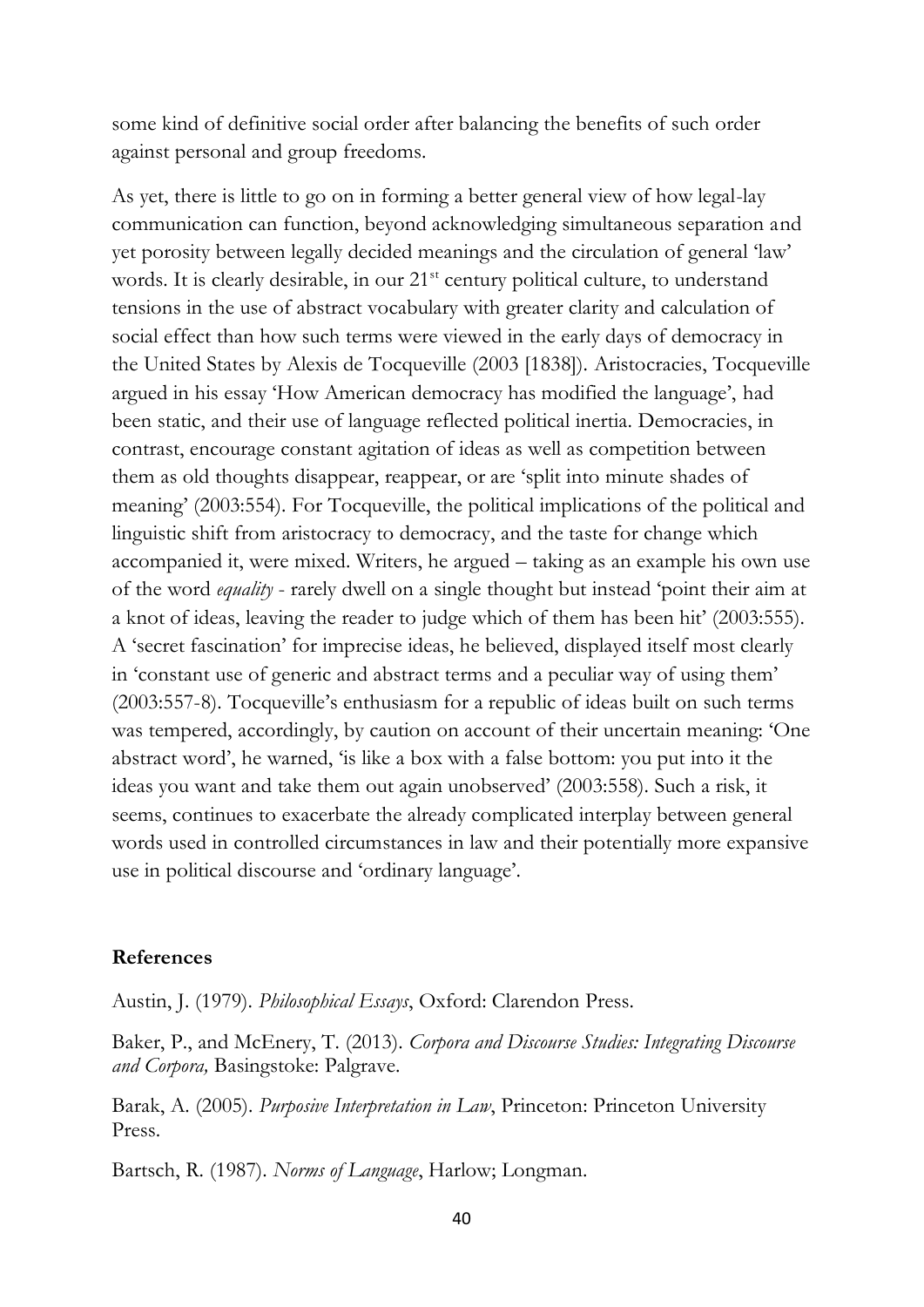some kind of definitive social order after balancing the benefits of such order against personal and group freedoms.

As yet, there is little to go on in forming a better general view of how legal-lay communication can function, beyond acknowledging simultaneous separation and yet porosity between legally decided meanings and the circulation of general 'law' words. It is clearly desirable, in our 21<sup>st</sup> century political culture, to understand tensions in the use of abstract vocabulary with greater clarity and calculation of social effect than how such terms were viewed in the early days of democracy in the United States by Alexis de Tocqueville (2003 [1838]). Aristocracies, Tocqueville argued in his essay 'How American democracy has modified the language', had been static, and their use of language reflected political inertia. Democracies, in contrast, encourage constant agitation of ideas as well as competition between them as old thoughts disappear, reappear, or are 'split into minute shades of meaning' (2003:554). For Tocqueville, the political implications of the political and linguistic shift from aristocracy to democracy, and the taste for change which accompanied it, were mixed. Writers, he argued – taking as an example his own use of the word *equality* - rarely dwell on a single thought but instead 'point their aim at a knot of ideas, leaving the reader to judge which of them has been hit' (2003:555). A 'secret fascination' for imprecise ideas, he believed, displayed itself most clearly in 'constant use of generic and abstract terms and a peculiar way of using them' (2003:557-8). Tocqueville's enthusiasm for a republic of ideas built on such terms was tempered, accordingly, by caution on account of their uncertain meaning: 'One abstract word', he warned, 'is like a box with a false bottom: you put into it the ideas you want and take them out again unobserved' (2003:558). Such a risk, it seems, continues to exacerbate the already complicated interplay between general words used in controlled circumstances in law and their potentially more expansive use in political discourse and 'ordinary language'.

#### **References**

Austin, J. (1979). *Philosophical Essays*, Oxford: Clarendon Press.

Baker, P., and McEnery, T. (2013). *Corpora and Discourse Studies: Integrating Discourse and Corpora,* Basingstoke: Palgrave.

Barak, A. (2005). *Purposive Interpretation in Law*, Princeton: Princeton University Press.

Bartsch, R. (1987). *Norms of Language*, Harlow; Longman.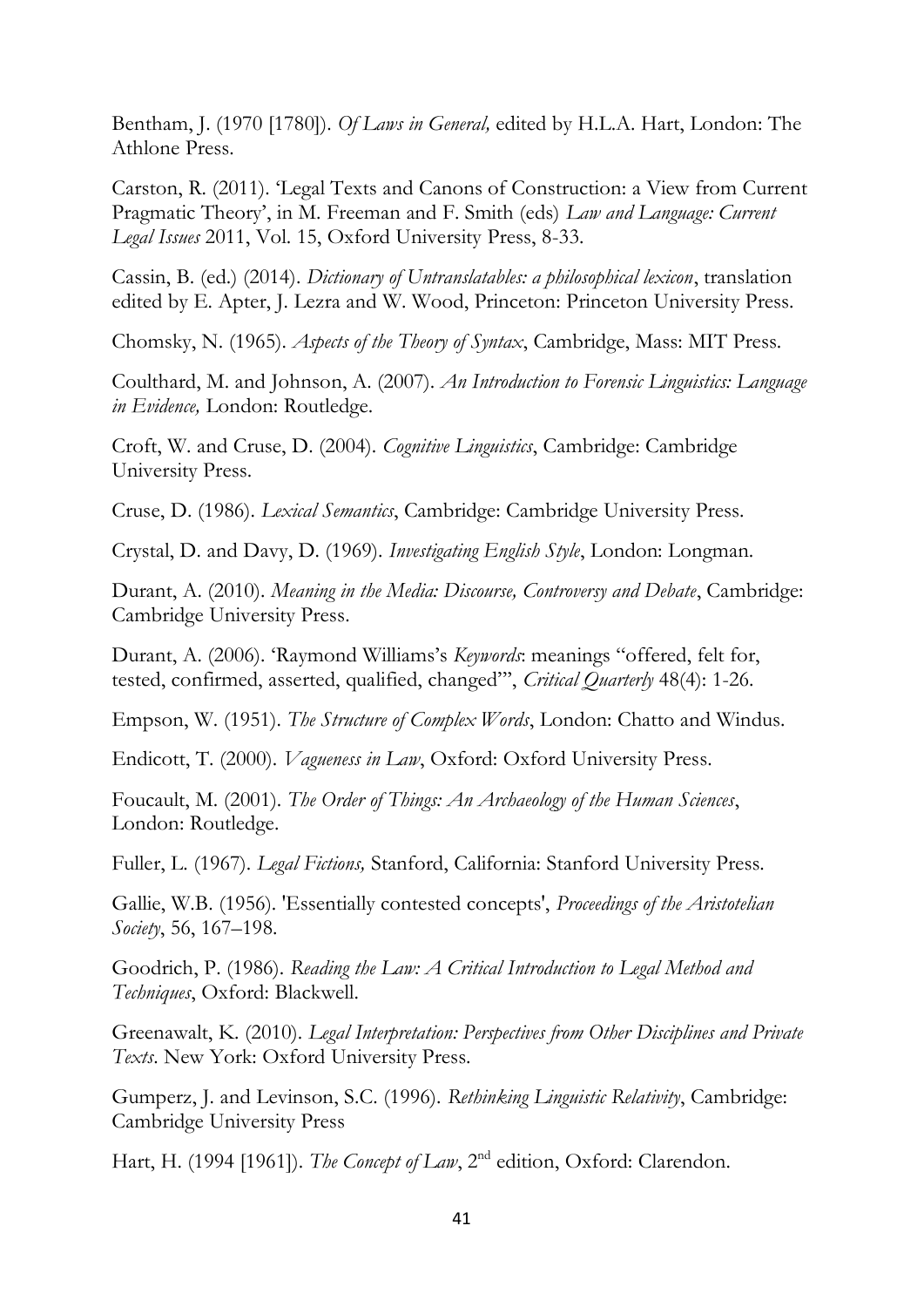Bentham, J. (1970 [1780]). *Of Laws in General,* edited by H.L.A. Hart, London: The Athlone Press.

Carston, R. (2011). 'Legal Texts and Canons of Construction: a View from Current Pragmatic Theory', in M. Freeman and F. Smith (eds) *Law and Language: Current Legal Issues* 2011, Vol. 15, Oxford University Press, 8-33.

Cassin, B. (ed.) (2014). *Dictionary of Untranslatables: a philosophical lexicon*, translation edited by E. Apter, J. Lezra and W. Wood, Princeton: Princeton University Press.

Chomsky, N. (1965). *Aspects of the Theory of Syntax*, Cambridge, Mass: MIT Press.

Coulthard, M. and Johnson, A. (2007). *An Introduction to Forensic Linguistics: Language in Evidence,* London: Routledge.

Croft, W. and Cruse, D. (2004). *Cognitive Linguistics*, Cambridge: Cambridge University Press.

Cruse, D. (1986). *Lexical Semantics*, Cambridge: Cambridge University Press.

Crystal, D. and Davy, D. (1969). *Investigating English Style*, London: Longman.

Durant, A. (2010). *Meaning in the Media: Discourse, Controversy and Debate*, Cambridge: Cambridge University Press.

Durant, A. (2006). 'Raymond Williams's *Keywords*: meanings "offered, felt for, tested, confirmed, asserted, qualified, changed"', *Critical Quarterly* 48(4): 1-26.

Empson, W. (1951). *The Structure of Complex Words*, London: Chatto and Windus.

Endicott, T. (2000). *Vagueness in Law*, Oxford: Oxford University Press.

Foucault, M. (2001). *The Order of Things: An Archaeology of the Human Sciences*, London: Routledge.

Fuller, L. (1967). *Legal Fictions,* Stanford, California: Stanford University Press.

Gallie, W.B. (1956). 'Essentially contested concepts', *Proceedings of the Aristotelian Society*, 56, 167–198.

Goodrich, P. (1986). *Reading the Law: A Critical Introduction to Legal Method and Techniques*, Oxford: Blackwell.

Greenawalt, K. (2010). *Legal Interpretation: Perspectives from Other Disciplines and Private Texts*. New York: Oxford University Press.

Gumperz, J. and Levinson, S.C. (1996). *Rethinking Linguistic Relativity*, Cambridge: Cambridge University Press

Hart, H. (1994 [1961]). *The Concept of Law*, 2<sup>nd</sup> edition, Oxford: Clarendon.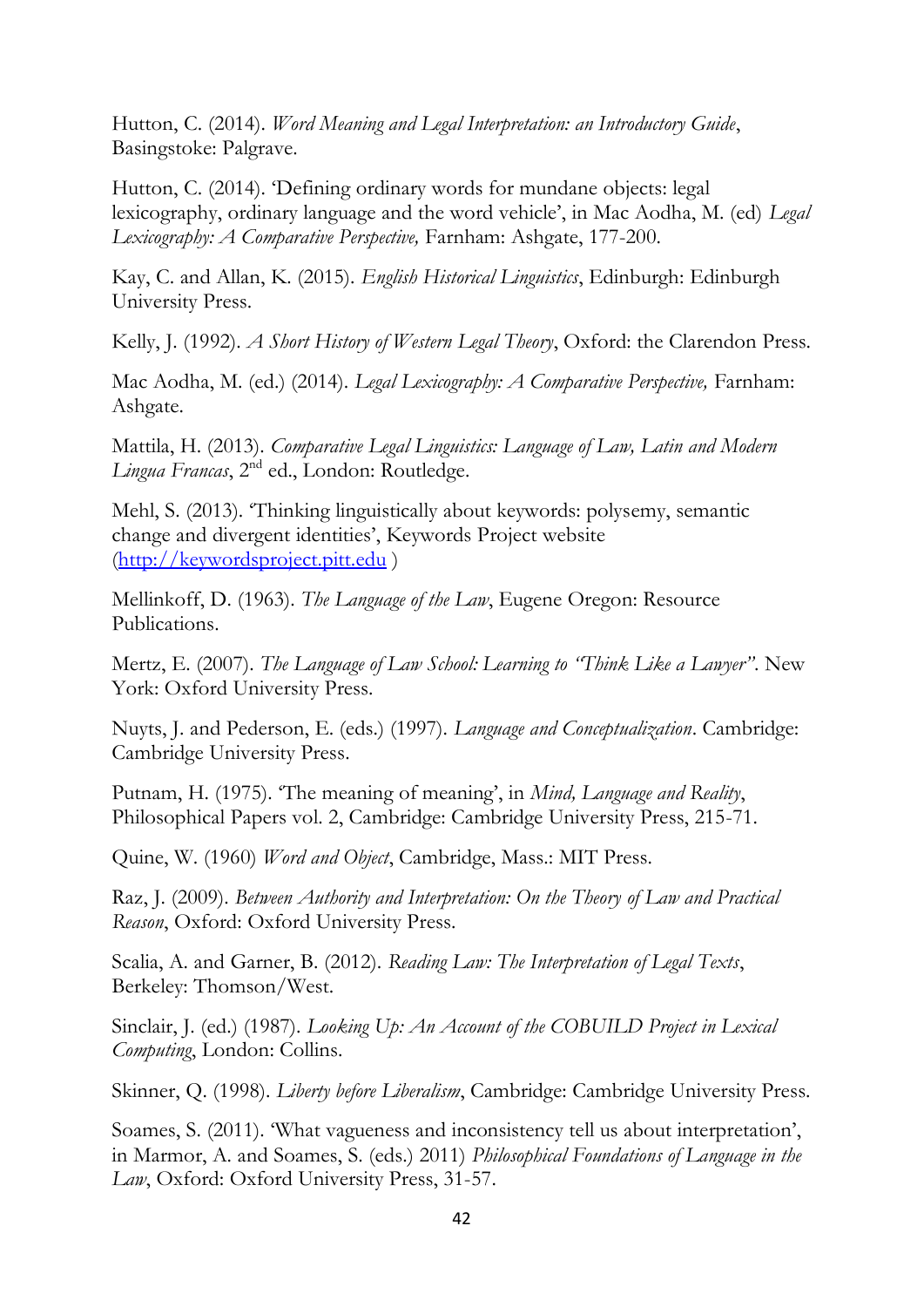Hutton, C. (2014). *Word Meaning and Legal Interpretation: an Introductory Guide*, Basingstoke: Palgrave.

Hutton, C. (2014). 'Defining ordinary words for mundane objects: legal lexicography, ordinary language and the word vehicle', in Mac Aodha, M. (ed) *Legal Lexicography: A Comparative Perspective,* Farnham: Ashgate, 177-200.

Kay, C. and Allan, K. (2015). *English Historical Linguistics*, Edinburgh: Edinburgh University Press.

Kelly, J. (1992). *A Short History of Western Legal Theory*, Oxford: the Clarendon Press.

Mac Aodha, M. (ed.) (2014). *Legal Lexicography: A Comparative Perspective,* Farnham: Ashgate.

Mattila, H. (2013). *Comparative Legal Linguistics: Language of Law, Latin and Modern Lingua Francas*, 2nd ed., London: Routledge.

Mehl, S. (2013). 'Thinking linguistically about keywords: polysemy, semantic change and divergent identities', Keywords Project website [\(http://keywordsproject.pitt.edu](http://keywordsproject.pitt.edu/) )

Mellinkoff, D. (1963). *The Language of the Law*, Eugene Oregon: Resource Publications.

Mertz, E. (2007). *The Language of Law School: Learning to "Think Like a Lawyer"*. New York: Oxford University Press.

Nuyts, J. and Pederson, E. (eds.) (1997). *Language and Conceptualization*. Cambridge: Cambridge University Press.

Putnam, H. (1975). 'The meaning of meaning', in *Mind, Language and Reality*, Philosophical Papers vol. 2, Cambridge: Cambridge University Press, 215-71.

Quine, W. (1960) *Word and Object*, Cambridge, Mass.: MIT Press.

Raz, J. (2009). *Between Authority and Interpretation: On the Theory of Law and Practical Reason*, Oxford: Oxford University Press.

Scalia, A. and Garner, B. (2012). *Reading Law: The Interpretation of Legal Texts*, Berkeley: Thomson/West.

Sinclair, J. (ed.) (1987). *Looking Up: An Account of the COBUILD Project in Lexical Computing*, London: Collins.

Skinner, Q. (1998). *Liberty before Liberalism*, Cambridge: Cambridge University Press.

Soames, S. (2011). 'What vagueness and inconsistency tell us about interpretation', in Marmor, A. and Soames, S. (eds.) 2011) *Philosophical Foundations of Language in the Law*, Oxford: Oxford University Press, 31-57.